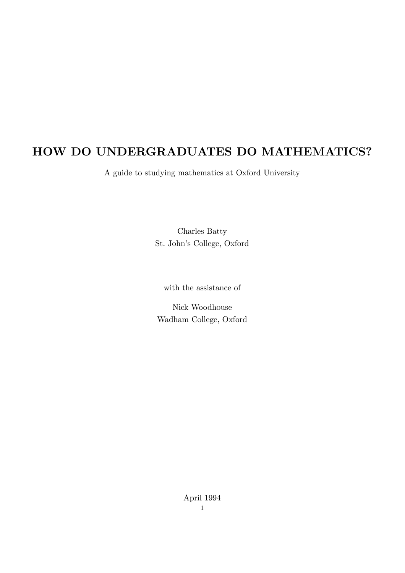# HOW DO UNDERGRADUATES DO MATHEMATICS?

A guide to studying mathematics at Oxford University

Charles Batty St. John's College, Oxford

with the assistance of

Nick Woodhouse Wadham College, Oxford

> April 1994 1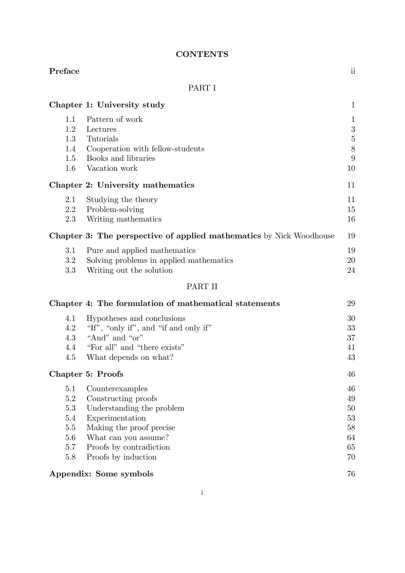### **CONTENTS**

#### Preface iii

### PART I

|                                     | Chapter 1: University study                                                                                                                    | $\mathbf{1}$                               |
|-------------------------------------|------------------------------------------------------------------------------------------------------------------------------------------------|--------------------------------------------|
| 1.1<br>1.2<br>1.3<br>1.4<br>$1.5\,$ | Pattern of work<br>Lectures<br>Tutorials<br>Cooperation with fellow-students<br>Books and libraries                                            | $\mathbf{1}$<br>3<br>$\bf 5$<br>$8\,$<br>9 |
| $1.6\,$                             | Vacation work<br>Chapter 2: University mathematics                                                                                             | 10<br>11                                   |
| 2.1<br>2.2<br>2.3                   | Studying the theory<br>Problem-solving<br>Writing mathematics                                                                                  | 11<br>15<br>16                             |
|                                     | <b>Chapter 3: The perspective of applied mathematics</b> by Nick Woodhouse                                                                     | 19                                         |
| 3.1<br>3.2<br>3.3                   | Pure and applied mathematics<br>Solving problems in applied mathematics<br>Writing out the solution                                            | 19<br>20<br>24                             |
|                                     | PART II                                                                                                                                        |                                            |
|                                     | Chapter 4: The formulation of mathematical statements                                                                                          | 29                                         |
| 4.1<br>4.2<br>4.3<br>4.4<br>4.5     | Hypotheses and conclusions<br>"If", "only if", and "if and only if"<br>"And" and "or"<br>"For all" and "there exists"<br>What depends on what? | 30<br>33<br>37<br>41<br>43                 |

## Chapter 5: Proofs 46

| 5.1                    | Counterexamples           | 46 |
|------------------------|---------------------------|----|
| 5.2                    | Constructing proofs       | 49 |
| 5.3                    | Understanding the problem | 50 |
| 5.4                    | Experimentation           | 53 |
| 5.5                    | Making the proof precise  | 58 |
| 5.6                    | What can you assume?      | 64 |
| 5.7                    | Proofs by contradiction   | 65 |
| 5.8                    | Proofs by induction       | 70 |
|                        |                           |    |
| Appendix: Some symbols |                           | 76 |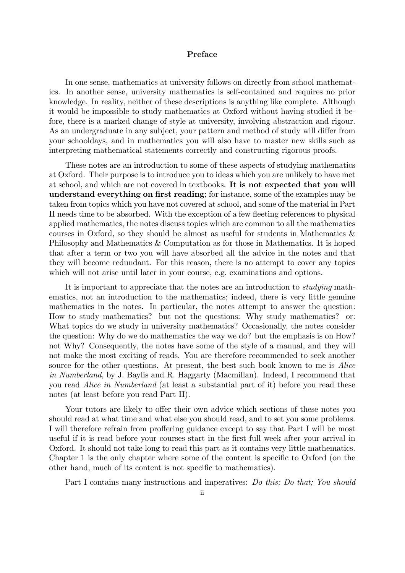#### Preface

In one sense, mathematics at university follows on directly from school mathematics. In another sense, university mathematics is self-contained and requires no prior knowledge. In reality, neither of these descriptions is anything like complete. Although it would be impossible to study mathematics at Oxford without having studied it before, there is a marked change of style at university, involving abstraction and rigour. As an undergraduate in any subject, your pattern and method of study will differ from your schooldays, and in mathematics you will also have to master new skills such as interpreting mathematical statements correctly and constructing rigorous proofs.

These notes are an introduction to some of these aspects of studying mathematics at Oxford. Their purpose is to introduce you to ideas which you are unlikely to have met at school, and which are not covered in textbooks. It is not expected that you will understand everything on first reading; for instance, some of the examples may be taken from topics which you have not covered at school, and some of the material in Part II needs time to be absorbed. With the exception of a few fleeting references to physical applied mathematics, the notes discuss topics which are common to all the mathematics courses in Oxford, so they should be almost as useful for students in Mathematics & Philosophy and Mathematics & Computation as for those in Mathematics. It is hoped that after a term or two you will have absorbed all the advice in the notes and that they will become redundant. For this reason, there is no attempt to cover any topics which will not arise until later in your course, e.g. examinations and options.

It is important to appreciate that the notes are an introduction to studying mathematics, not an introduction to the mathematics; indeed, there is very little genuine mathematics in the notes. In particular, the notes attempt to answer the question: How to study mathematics? but not the questions: Why study mathematics? or: What topics do we study in university mathematics? Occasionally, the notes consider the question: Why do we do mathematics the way we do? but the emphasis is on How? not Why? Consequently, the notes have some of the style of a manual, and they will not make the most exciting of reads. You are therefore recommended to seek another source for the other questions. At present, the best such book known to me is Alice in Numberland, by J. Baylis and R. Haggarty (Macmillan). Indeed, I recommend that you read Alice in Numberland (at least a substantial part of it) before you read these notes (at least before you read Part II).

Your tutors are likely to offer their own advice which sections of these notes you should read at what time and what else you should read, and to set you some problems. I will therefore refrain from proffering guidance except to say that Part I will be most useful if it is read before your courses start in the first full week after your arrival in Oxford. It should not take long to read this part as it contains very little mathematics. Chapter 1 is the only chapter where some of the content is specific to Oxford (on the other hand, much of its content is not specific to mathematics).

Part I contains many instructions and imperatives: Do this; Do that; You should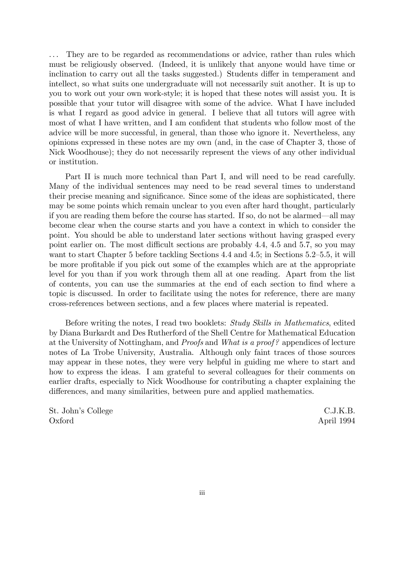... They are to be regarded as recommendations or advice, rather than rules which must be religiously observed. (Indeed, it is unlikely that anyone would have time or inclination to carry out all the tasks suggested.) Students differ in temperament and intellect, so what suits one undergraduate will not necessarily suit another. It is up to you to work out your own work-style; it is hoped that these notes will assist you. It is possible that your tutor will disagree with some of the advice. What I have included is what I regard as good advice in general. I believe that all tutors will agree with most of what I have written, and I am confident that students who follow most of the advice will be more successful, in general, than those who ignore it. Nevertheless, any opinions expressed in these notes are my own (and, in the case of Chapter 3, those of Nick Woodhouse); they do not necessarily represent the views of any other individual or institution.

Part II is much more technical than Part I, and will need to be read carefully. Many of the individual sentences may need to be read several times to understand their precise meaning and significance. Since some of the ideas are sophisticated, there may be some points which remain unclear to you even after hard thought, particularly if you are reading them before the course has started. If so, do not be alarmed–all may become clear when the course starts and you have a context in which to consider the point. You should be able to understand later sections without having grasped every point earlier on. The most difficult sections are probably 4.4, 4.5 and 5.7, so you may want to start Chapter 5 before tackling Sections 4.4 and 4.5; in Sections 5.2—5.5, it will be more profitable if you pick out some of the examples which are at the appropriate level for you than if you work through them all at one reading. Apart from the list of contents, you can use the summaries at the end of each section to find where a topic is discussed. In order to facilitate using the notes for reference, there are many cross-references between sections, and a few places where material is repeated.

Before writing the notes, I read two booklets: Study Skills in Mathematics, edited by Diana Burkardt and Des Rutherford of the Shell Centre for Mathematical Education at the University of Nottingham, and Proofs and What is a proof? appendices of lecture notes of La Trobe University, Australia. Although only faint traces of those sources may appear in these notes, they were very helpful in guiding me where to start and how to express the ideas. I am grateful to several colleagues for their comments on earlier drafts, especially to Nick Woodhouse for contributing a chapter explaining the differences, and many similarities, between pure and applied mathematics.

St. John's College C.J.K.B. Oxford April 1994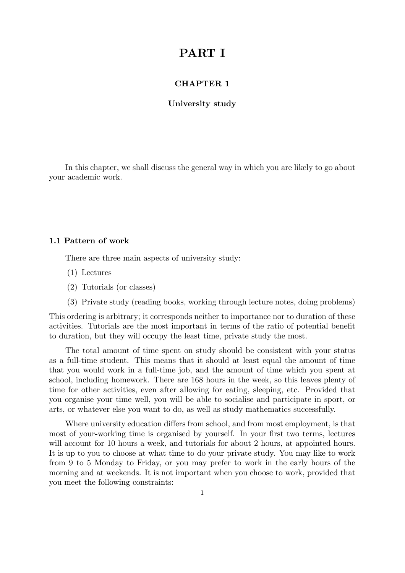## PART I

#### CHAPTER 1

#### University study

In this chapter, we shall discuss the general way in which you are likely to go about your academic work.

#### 1.1 Pattern of work

There are three main aspects of university study:

- (1) Lectures
- (2) Tutorials (or classes)
- (3) Private study (reading books, working through lecture notes, doing problems)

This ordering is arbitrary; it corresponds neither to importance nor to duration of these activities. Tutorials are the most important in terms of the ratio of potential benefit to duration, but they will occupy the least time, private study the most.

The total amount of time spent on study should be consistent with your status as a full-time student. This means that it should at least equal the amount of time that you would work in a full-time job, and the amount of time which you spent at school, including homework. There are 168 hours in the week, so this leaves plenty of time for other activities, even after allowing for eating, sleeping, etc. Provided that you organise your time well, you will be able to socialise and participate in sport, or arts, or whatever else you want to do, as well as study mathematics successfully.

Where university education differs from school, and from most employment, is that most of your-working time is organised by yourself. In your first two terms, lectures will account for 10 hours a week, and tutorials for about 2 hours, at appointed hours. It is up to you to choose at what time to do your private study. You may like to work from 9 to 5 Monday to Friday, or you may prefer to work in the early hours of the morning and at weekends. It is not important when you choose to work, provided that you meet the following constraints: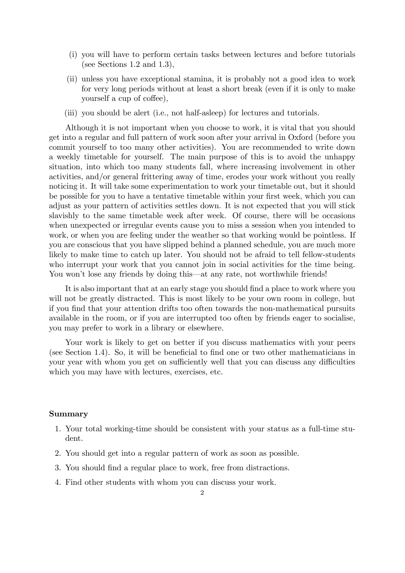- (i) you will have to perform certain tasks between lectures and before tutorials (see Sections 1.2 and 1.3),
- (ii) unless you have exceptional stamina, it is probably not a good idea to work for very long periods without at least a short break (even if it is only to make yourself a cup of coffee),
- (iii) you should be alert (i.e., not half-asleep) for lectures and tutorials.

Although it is not important when you choose to work, it is vital that you should get into a regular and full pattern of work soon after your arrival in Oxford (before you commit yourself to too many other activities). You are recommended to write down a weekly timetable for yourself. The main purpose of this is to avoid the unhappy situation, into which too many students fall, where increasing involvement in other activities, and/or general frittering away of time, erodes your work without you really noticing it. It will take some experimentation to work your timetable out, but it should be possible for you to have a tentative timetable within your first week, which you can adjust as your pattern of activities settles down. It is not expected that you will stick slavishly to the same timetable week after week. Of course, there will be occasions when unexpected or irregular events cause you to miss a session when you intended to work, or when you are feeling under the weather so that working would be pointless. If you are conscious that you have slipped behind a planned schedule, you are much more likely to make time to catch up later. You should not be afraid to tell fellow-students who interrupt your work that you cannot join in social activities for the time being. You won't lose any friends by doing this—at any rate, not worthwhile friends!

It is also important that at an early stage you should find a place to work where you will not be greatly distracted. This is most likely to be your own room in college, but if you find that your attention drifts too often towards the non-mathematical pursuits available in the room, or if you are interrupted too often by friends eager to socialise, you may prefer to work in a library or elsewhere.

Your work is likely to get on better if you discuss mathematics with your peers (see Section 1.4). So, it will be beneficial to find one or two other mathematicians in your year with whom you get on sufficiently well that you can discuss any difficulties which you may have with lectures, exercises, etc.

#### Summary

- 1. Your total working-time should be consistent with your status as a full-time student.
- 2. You should get into a regular pattern of work as soon as possible.
- 3. You should find a regular place to work, free from distractions.
- 4. Find other students with whom you can discuss your work.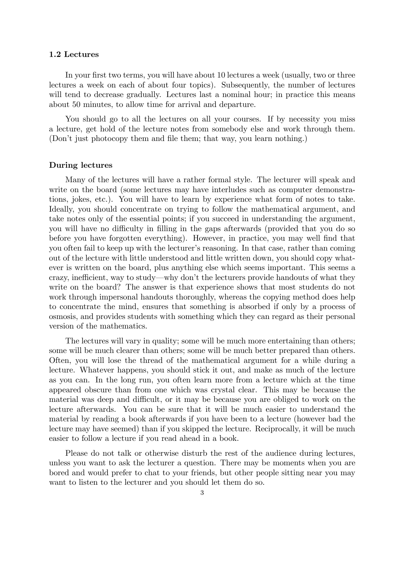#### 1.2 Lectures

In your first two terms, you will have about 10 lectures a week (usually, two or three lectures a week on each of about four topics). Subsequently, the number of lectures will tend to decrease gradually. Lectures last a nominal hour; in practice this means about 50 minutes, to allow time for arrival and departure.

You should go to all the lectures on all your courses. If by necessity you miss a lecture, get hold of the lecture notes from somebody else and work through them. (Don't just photocopy them and file them; that way, you learn nothing.)

#### During lectures

Many of the lectures will have a rather formal style. The lecturer will speak and write on the board (some lectures may have interludes such as computer demonstrations, jokes, etc.). You will have to learn by experience what form of notes to take. Ideally, you should concentrate on trying to follow the mathematical argument, and take notes only of the essential points; if you succeed in understanding the argument, you will have no difficulty in filling in the gaps afterwards (provided that you do so before you have forgotten everything). However, in practice, you may well find that you often fail to keep up with the lecturer's reasoning. In that case, rather than coming out of the lecture with little understood and little written down, you should copy whatever is written on the board, plus anything else which seems important. This seems a crazy, inefficient, way to study–why don't the lecturers provide handouts of what they write on the board? The answer is that experience shows that most students do not work through impersonal handouts thoroughly, whereas the copying method does help to concentrate the mind, ensures that something is absorbed if only by a process of osmosis, and provides students with something which they can regard as their personal version of the mathematics.

The lectures will vary in quality; some will be much more entertaining than others; some will be much clearer than others; some will be much better prepared than others. Often, you will lose the thread of the mathematical argument for a while during a lecture. Whatever happens, you should stick it out, and make as much of the lecture as you can. In the long run, you often learn more from a lecture which at the time appeared obscure than from one which was crystal clear. This may be because the material was deep and difficult, or it may be because you are obliged to work on the lecture afterwards. You can be sure that it will be much easier to understand the material by reading a book afterwards if you have been to a lecture (however bad the lecture may have seemed) than if you skipped the lecture. Reciprocally, it will be much easier to follow a lecture if you read ahead in a book.

Please do not talk or otherwise disturb the rest of the audience during lectures, unless you want to ask the lecturer a question. There may be moments when you are bored and would prefer to chat to your friends, but other people sitting near you may want to listen to the lecturer and you should let them do so.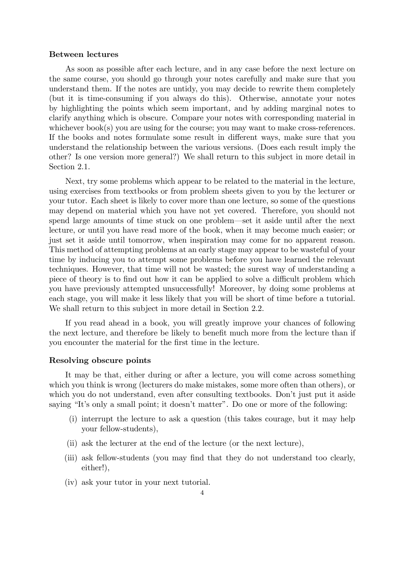#### Between lectures

As soon as possible after each lecture, and in any case before the next lecture on the same course, you should go through your notes carefully and make sure that you understand them. If the notes are untidy, you may decide to rewrite them completely (but it is time-consuming if you always do this). Otherwise, annotate your notes by highlighting the points which seem important, and by adding marginal notes to clarify anything which is obscure. Compare your notes with corresponding material in whichever book(s) you are using for the course; you may want to make cross-references. If the books and notes formulate some result in different ways, make sure that you understand the relationship between the various versions. (Does each result imply the other? Is one version more general?) We shall return to this subject in more detail in Section 2.1.

Next, try some problems which appear to be related to the material in the lecture, using exercises from textbooks or from problem sheets given to you by the lecturer or your tutor. Each sheet is likely to cover more than one lecture, so some of the questions may depend on material which you have not yet covered. Therefore, you should not spend large amounts of time stuck on one problem–set it aside until after the next lecture, or until you have read more of the book, when it may become much easier; or just set it aside until tomorrow, when inspiration may come for no apparent reason. This method of attempting problems at an early stage may appear to be wasteful of your time by inducing you to attempt some problems before you have learned the relevant techniques. However, that time will not be wasted; the surest way of understanding a piece of theory is to find out how it can be applied to solve a difficult problem which you have previously attempted unsuccessfully! Moreover, by doing some problems at each stage, you will make it less likely that you will be short of time before a tutorial. We shall return to this subject in more detail in Section 2.2.

If you read ahead in a book, you will greatly improve your chances of following the next lecture, and therefore be likely to benefit much more from the lecture than if you encounter the material for the first time in the lecture.

#### Resolving obscure points

It may be that, either during or after a lecture, you will come across something which you think is wrong (lecturers do make mistakes, some more often than others), or which you do not understand, even after consulting textbooks. Don't just put it aside saying "It's only a small point; it doesn't matter". Do one or more of the following:

- (i) interrupt the lecture to ask a question (this takes courage, but it may help your fellow-students),
- (ii) ask the lecturer at the end of the lecture (or the next lecture),
- (iii) ask fellow-students (you may find that they do not understand too clearly, either!),
- (iv) ask your tutor in your next tutorial.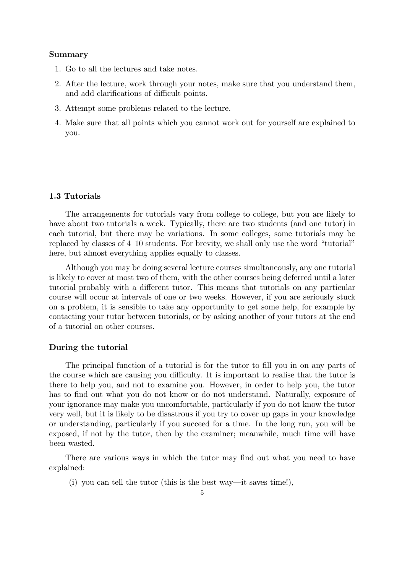#### Summary

- 1. Go to all the lectures and take notes.
- 2. After the lecture, work through your notes, make sure that you understand them, and add clarifications of difficult points.
- 3. Attempt some problems related to the lecture.
- 4. Make sure that all points which you cannot work out for yourself are explained to you.

#### 1.3 Tutorials

The arrangements for tutorials vary from college to college, but you are likely to have about two tutorials a week. Typically, there are two students (and one tutor) in each tutorial, but there may be variations. In some colleges, some tutorials may be replaced by classes of 4—10 students. For brevity, we shall only use the word "tutorial" here, but almost everything applies equally to classes.

Although you may be doing several lecture courses simultaneously, any one tutorial is likely to cover at most two of them, with the other courses being deferred until a later tutorial probably with a different tutor. This means that tutorials on any particular course will occur at intervals of one or two weeks. However, if you are seriously stuck on a problem, it is sensible to take any opportunity to get some help, for example by contacting your tutor between tutorials, or by asking another of your tutors at the end of a tutorial on other courses.

#### During the tutorial

The principal function of a tutorial is for the tutor to fill you in on any parts of the course which are causing you difficulty. It is important to realise that the tutor is there to help you, and not to examine you. However, in order to help you, the tutor has to find out what you do not know or do not understand. Naturally, exposure of your ignorance may make you uncomfortable, particularly if you do not know the tutor very well, but it is likely to be disastrous if you try to cover up gaps in your knowledge or understanding, particularly if you succeed for a time. In the long run, you will be exposed, if not by the tutor, then by the examiner; meanwhile, much time will have been wasted.

There are various ways in which the tutor may find out what you need to have explained:

(i) you can tell the tutor (this is the best way–it saves time!),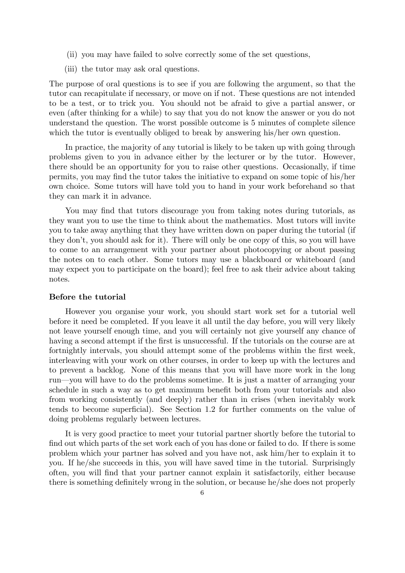- (ii) you may have failed to solve correctly some of the set questions,
- (iii) the tutor may ask oral questions.

The purpose of oral questions is to see if you are following the argument, so that the tutor can recapitulate if necessary, or move on if not. These questions are not intended to be a test, or to trick you. You should not be afraid to give a partial answer, or even (after thinking for a while) to say that you do not know the answer or you do not understand the question. The worst possible outcome is 5 minutes of complete silence which the tutor is eventually obliged to break by answering his/her own question.

In practice, the majority of any tutorial is likely to be taken up with going through problems given to you in advance either by the lecturer or by the tutor. However, there should be an opportunity for you to raise other questions. Occasionally, if time permits, you may find the tutor takes the initiative to expand on some topic of his/her own choice. Some tutors will have told you to hand in your work beforehand so that they can mark it in advance.

You may find that tutors discourage you from taking notes during tutorials, as they want you to use the time to think about the mathematics. Most tutors will invite you to take away anything that they have written down on paper during the tutorial (if they don't, you should ask for it). There will only be one copy of this, so you will have to come to an arrangement with your partner about photocopying or about passing the notes on to each other. Some tutors may use a blackboard or whiteboard (and may expect you to participate on the board); feel free to ask their advice about taking notes.

#### Before the tutorial

However you organise your work, you should start work set for a tutorial well before it need be completed. If you leave it all until the day before, you will very likely not leave yourself enough time, and you will certainly not give yourself any chance of having a second attempt if the first is unsuccessful. If the tutorials on the course are at fortnightly intervals, you should attempt some of the problems within the first week, interleaving with your work on other courses, in order to keep up with the lectures and to prevent a backlog. None of this means that you will have more work in the long run–you will have to do the problems sometime. It is just a matter of arranging your schedule in such a way as to get maximum benefit both from your tutorials and also from working consistently (and deeply) rather than in crises (when inevitably work tends to become superficial). See Section 1.2 for further comments on the value of doing problems regularly between lectures.

It is very good practice to meet your tutorial partner shortly before the tutorial to find out which parts of the set work each of you has done or failed to do. If there is some problem which your partner has solved and you have not, ask him/her to explain it to you. If he/she succeeds in this, you will have saved time in the tutorial. Surprisingly often, you will find that your partner cannot explain it satisfactorily, either because there is something definitely wrong in the solution, or because he/she does not properly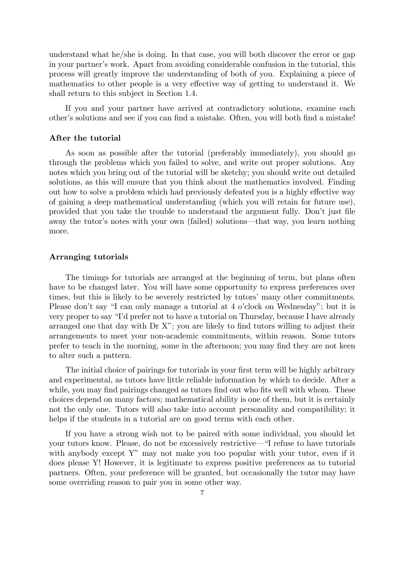understand what he/she is doing. In that case, you will both discover the error or gap in your partner's work. Apart from avoiding considerable confusion in the tutorial, this process will greatly improve the understanding of both of you. Explaining a piece of mathematics to other people is a very effective way of getting to understand it. We shall return to this subject in Section 1.4.

If you and your partner have arrived at contradictory solutions, examine each other's solutions and see if you can find a mistake. Often, you will both find a mistake!

#### After the tutorial

As soon as possible after the tutorial (preferably immediately), you should go through the problems which you failed to solve, and write out proper solutions. Any notes which you bring out of the tutorial will be sketchy; you should write out detailed solutions, as this will ensure that you think about the mathematics involved. Finding out how to solve a problem which had previously defeated you is a highly effective way of gaining a deep mathematical understanding (which you will retain for future use), provided that you take the trouble to understand the argument fully. Don't just file away the tutor's notes with your own (failed) solutions–that way, you learn nothing more.

#### Arranging tutorials

The timings for tutorials are arranged at the beginning of term, but plans often have to be changed later. You will have some opportunity to express preferences over times, but this is likely to be severely restricted by tutors' many other commitments. Please don't say "I can only manage a tutorial at 4 o'clock on Wednesday"; but it is very proper to say "I'd prefer not to have a tutorial on Thursday, because I have already arranged one that day with Dr X"; you are likely to find tutors willing to adjust their arrangements to meet your non-academic commitments, within reason. Some tutors prefer to teach in the morning, some in the afternoon; you may find they are not keen to alter such a pattern.

The initial choice of pairings for tutorials in your first term will be highly arbitrary and experimental, as tutors have little reliable information by which to decide. After a while, you may find pairings changed as tutors find out who fits well with whom. These choices depend on many factors; mathematical ability is one of them, but it is certainly not the only one. Tutors will also take into account personality and compatibility; it helps if the students in a tutorial are on good terms with each other.

If you have a strong wish not to be paired with some individual, you should let your tutors know. Please, do not be excessively restrictive–"I refuse to have tutorials with anybody except Y" may not make you too popular with your tutor, even if it does please Y! However, it is legitimate to express positive preferences as to tutorial partners. Often, your preference will be granted, but occasionally the tutor may have some overriding reason to pair you in some other way.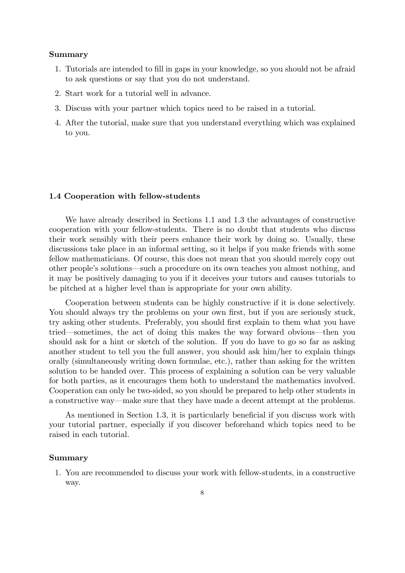#### Summary

- 1. Tutorials are intended to fill in gaps in your knowledge, so you should not be afraid to ask questions or say that you do not understand.
- 2. Start work for a tutorial well in advance.
- 3. Discuss with your partner which topics need to be raised in a tutorial.
- 4. After the tutorial, make sure that you understand everything which was explained to you.

#### 1.4 Cooperation with fellow-students

We have already described in Sections 1.1 and 1.3 the advantages of constructive cooperation with your fellow-students. There is no doubt that students who discuss their work sensibly with their peers enhance their work by doing so. Usually, these discussions take place in an informal setting, so it helps if you make friends with some fellow mathematicians. Of course, this does not mean that you should merely copy out other people's solutions–such a procedure on its own teaches you almost nothing, and it may be positively damaging to you if it deceives your tutors and causes tutorials to be pitched at a higher level than is appropriate for your own ability.

Cooperation between students can be highly constructive if it is done selectively. You should always try the problems on your own first, but if you are seriously stuck, try asking other students. Preferably, you should first explain to them what you have tried–sometimes, the act of doing this makes the way forward obvious–then you should ask for a hint or sketch of the solution. If you do have to go so far as asking another student to tell you the full answer, you should ask him/her to explain things orally (simultaneously writing down formulae, etc.), rather than asking for the written solution to be handed over. This process of explaining a solution can be very valuable for both parties, as it encourages them both to understand the mathematics involved. Cooperation can only be two-sided, so you should be prepared to help other students in a constructive way–make sure that they have made a decent attempt at the problems.

As mentioned in Section 1.3, it is particularly beneficial if you discuss work with your tutorial partner, especially if you discover beforehand which topics need to be raised in each tutorial.

#### Summary

1. You are recommended to discuss your work with fellow-students, in a constructive way.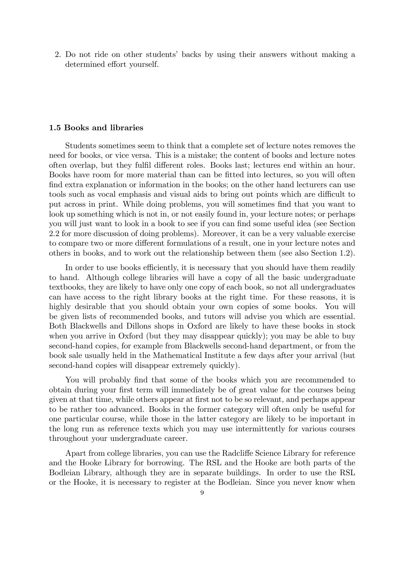2. Do not ride on other students' backs by using their answers without making a determined effort yourself.

#### 1.5 Books and libraries

Students sometimes seem to think that a complete set of lecture notes removes the need for books, or vice versa. This is a mistake; the content of books and lecture notes often overlap, but they fulfil different roles. Books last; lectures end within an hour. Books have room for more material than can be fitted into lectures, so you will often find extra explanation or information in the books; on the other hand lecturers can use tools such as vocal emphasis and visual aids to bring out points which are difficult to put across in print. While doing problems, you will sometimes find that you want to look up something which is not in, or not easily found in, your lecture notes; or perhaps you will just want to look in a book to see if you can find some useful idea (see Section 2.2 for more discussion of doing problems). Moreover, it can be a very valuable exercise to compare two or more different formulations of a result, one in your lecture notes and others in books, and to work out the relationship between them (see also Section 1.2).

In order to use books efficiently, it is necessary that you should have them readily to hand. Although college libraries will have a copy of all the basic undergraduate textbooks, they are likely to have only one copy of each book, so not all undergraduates can have access to the right library books at the right time. For these reasons, it is highly desirable that you should obtain your own copies of some books. You will be given lists of recommended books, and tutors will advise you which are essential. Both Blackwells and Dillons shops in Oxford are likely to have these books in stock when you arrive in Oxford (but they may disappear quickly); you may be able to buy second-hand copies, for example from Blackwells second-hand department, or from the book sale usually held in the Mathematical Institute a few days after your arrival (but second-hand copies will disappear extremely quickly).

You will probably find that some of the books which you are recommended to obtain during your first term will immediately be of great value for the courses being given at that time, while others appear at first not to be so relevant, and perhaps appear to be rather too advanced. Books in the former category will often only be useful for one particular course, while those in the latter category are likely to be important in the long run as reference texts which you may use intermittently for various courses throughout your undergraduate career.

Apart from college libraries, you can use the Radcliffe Science Library for reference and the Hooke Library for borrowing. The RSL and the Hooke are both parts of the Bodleian Library, although they are in separate buildings. In order to use the RSL or the Hooke, it is necessary to register at the Bodleian. Since you never know when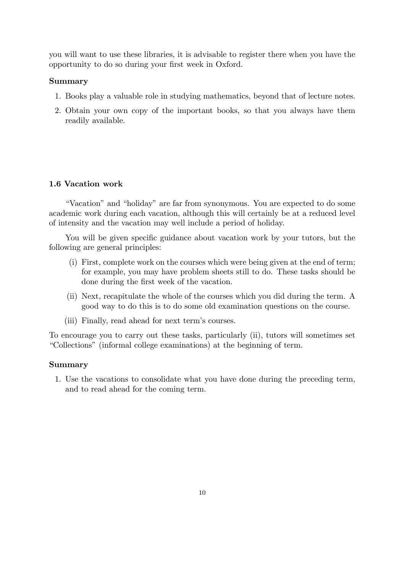you will want to use these libraries, it is advisable to register there when you have the opportunity to do so during your first week in Oxford.

#### Summary

- 1. Books play a valuable role in studying mathematics, beyond that of lecture notes.
- 2. Obtain your own copy of the important books, so that you always have them readily available.

#### 1.6 Vacation work

"Vacation" and "holiday" are far from synonymous. You are expected to do some academic work during each vacation, although this will certainly be at a reduced level of intensity and the vacation may well include a period of holiday.

You will be given specific guidance about vacation work by your tutors, but the following are general principles:

- (i) First, complete work on the courses which were being given at the end of term; for example, you may have problem sheets still to do. These tasks should be done during the first week of the vacation.
- (ii) Next, recapitulate the whole of the courses which you did during the term. A good way to do this is to do some old examination questions on the course.
- (iii) Finally, read ahead for next term's courses.

To encourage you to carry out these tasks, particularly (ii), tutors will sometimes set "Collections" (informal college examinations) at the beginning of term.

#### Summary

1. Use the vacations to consolidate what you have done during the preceding term, and to read ahead for the coming term.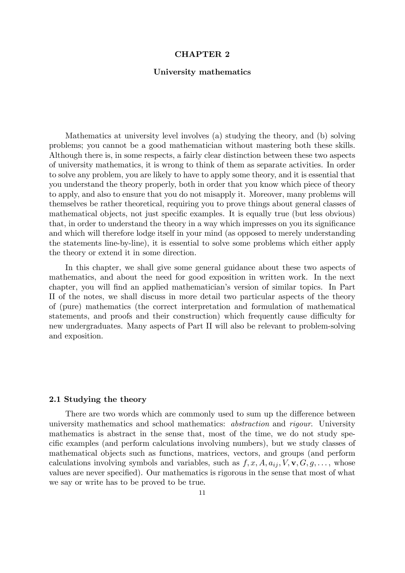#### CHAPTER 2

#### University mathematics

Mathematics at university level involves (a) studying the theory, and (b) solving problems; you cannot be a good mathematician without mastering both these skills. Although there is, in some respects, a fairly clear distinction between these two aspects of university mathematics, it is wrong to think of them as separate activities. In order to solve any problem, you are likely to have to apply some theory, and it is essential that you understand the theory properly, both in order that you know which piece of theory to apply, and also to ensure that you do not misapply it. Moreover, many problems will themselves be rather theoretical, requiring you to prove things about general classes of mathematical objects, not just specific examples. It is equally true (but less obvious) that, in order to understand the theory in a way which impresses on you its significance and which will therefore lodge itself in your mind (as opposed to merely understanding the statements line-by-line), it is essential to solve some problems which either apply the theory or extend it in some direction.

In this chapter, we shall give some general guidance about these two aspects of mathematics, and about the need for good exposition in written work. In the next chapter, you will find an applied mathematician's version of similar topics. In Part II of the notes, we shall discuss in more detail two particular aspects of the theory of (pure) mathematics (the correct interpretation and formulation of mathematical statements, and proofs and their construction) which frequently cause difficulty for new undergraduates. Many aspects of Part II will also be relevant to problem-solving and exposition.

#### 2.1 Studying the theory

There are two words which are commonly used to sum up the difference between university mathematics and school mathematics: abstraction and rigour. University mathematics is abstract in the sense that, most of the time, we do not study specific examples (and perform calculations involving numbers), but we study classes of mathematical objects such as functions, matrices, vectors, and groups (and perform calculations involving symbols and variables, such as  $f, x, A, a_{ij}, V, \mathbf{v}, G, g, \ldots$ , whose values are never specified). Our mathematics is rigorous in the sense that most of what we say or write has to be proved to be true.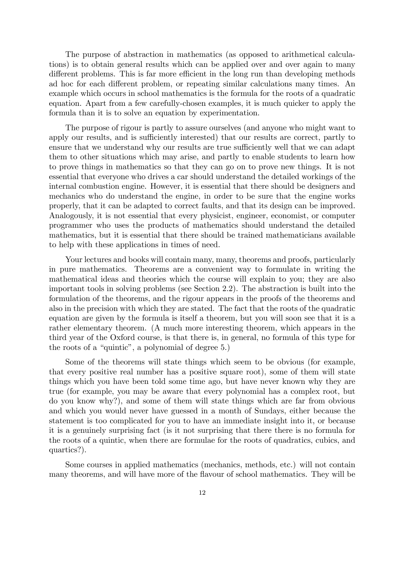The purpose of abstraction in mathematics (as opposed to arithmetical calculations) is to obtain general results which can be applied over and over again to many different problems. This is far more efficient in the long run than developing methods ad hoc for each different problem, or repeating similar calculations many times. An example which occurs in school mathematics is the formula for the roots of a quadratic equation. Apart from a few carefully-chosen examples, it is much quicker to apply the formula than it is to solve an equation by experimentation.

The purpose of rigour is partly to assure ourselves (and anyone who might want to apply our results, and is sufficiently interested) that our results are correct, partly to ensure that we understand why our results are true sufficiently well that we can adapt them to other situations which may arise, and partly to enable students to learn how to prove things in mathematics so that they can go on to prove new things. It is not essential that everyone who drives a car should understand the detailed workings of the internal combustion engine. However, it is essential that there should be designers and mechanics who do understand the engine, in order to be sure that the engine works properly, that it can be adapted to correct faults, and that its design can be improved. Analogously, it is not essential that every physicist, engineer, economist, or computer programmer who uses the products of mathematics should understand the detailed mathematics, but it is essential that there should be trained mathematicians available to help with these applications in times of need.

Your lectures and books will contain many, many, theorems and proofs, particularly in pure mathematics. Theorems are a convenient way to formulate in writing the mathematical ideas and theories which the course will explain to you; they are also important tools in solving problems (see Section 2.2). The abstraction is built into the formulation of the theorems, and the rigour appears in the proofs of the theorems and also in the precision with which they are stated. The fact that the roots of the quadratic equation are given by the formula is itself a theorem, but you will soon see that it is a rather elementary theorem. (A much more interesting theorem, which appears in the third year of the Oxford course, is that there is, in general, no formula of this type for the roots of a "quintic", a polynomial of degree 5.)

Some of the theorems will state things which seem to be obvious (for example, that every positive real number has a positive square root), some of them will state things which you have been told some time ago, but have never known why they are true (for example, you may be aware that every polynomial has a complex root, but do you know why?), and some of them will state things which are far from obvious and which you would never have guessed in a month of Sundays, either because the statement is too complicated for you to have an immediate insight into it, or because it is a genuinely surprising fact (is it not surprising that there there is no formula for the roots of a quintic, when there are formulae for the roots of quadratics, cubics, and quartics?).

Some courses in applied mathematics (mechanics, methods, etc.) will not contain many theorems, and will have more of the flavour of school mathematics. They will be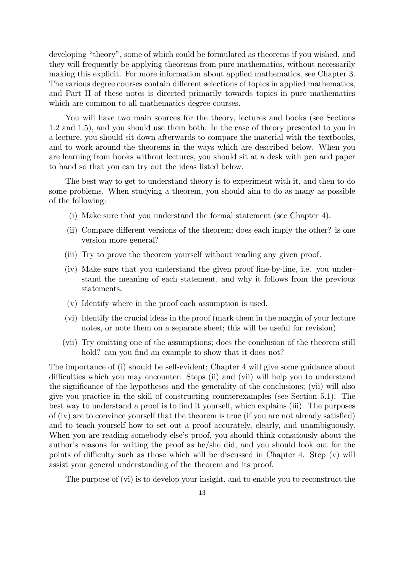developing "theory", some of which could be formulated as theorems if you wished, and they will frequently be applying theorems from pure mathematics, without necessarily making this explicit. For more information about applied mathematics, see Chapter 3. The various degree courses contain different selections of topics in applied mathematics, and Part II of these notes is directed primarily towards topics in pure mathematics which are common to all mathematics degree courses.

You will have two main sources for the theory, lectures and books (see Sections 1.2 and 1.5), and you should use them both. In the case of theory presented to you in a lecture, you should sit down afterwards to compare the material with the textbooks, and to work around the theorems in the ways which are described below. When you are learning from books without lectures, you should sit at a desk with pen and paper to hand so that you can try out the ideas listed below.

The best way to get to understand theory is to experiment with it, and then to do some problems. When studying a theorem, you should aim to do as many as possible of the following:

- (i) Make sure that you understand the formal statement (see Chapter 4).
- (ii) Compare different versions of the theorem; does each imply the other? is one version more general?
- (iii) Try to prove the theorem yourself without reading any given proof.
- (iv) Make sure that you understand the given proof line-by-line, i.e. you understand the meaning of each statement, and why it follows from the previous statements.
- (v) Identify where in the proof each assumption is used.
- (vi) Identify the crucial ideas in the proof (mark them in the margin of your lecture notes, or note them on a separate sheet; this will be useful for revision).
- (vii) Try omitting one of the assumptions; does the conclusion of the theorem still hold? can you find an example to show that it does not?

The importance of (i) should be self-evident; Chapter 4 will give some guidance about difficulties which you may encounter. Steps (ii) and (vii) will help you to understand the significance of the hypotheses and the generality of the conclusions; (vii) will also give you practice in the skill of constructing counterexamples (see Section 5.1). The best way to understand a proof is to find it yourself, which explains (iii). The purposes of (iv) are to convince yourself that the theorem is true (if you are not already satisfied) and to teach yourself how to set out a proof accurately, clearly, and unambiguously. When you are reading somebody else's proof, you should think consciously about the author's reasons for writing the proof as he/she did, and you should look out for the points of difficulty such as those which will be discussed in Chapter 4. Step (v) will assist your general understanding of the theorem and its proof.

The purpose of (vi) is to develop your insight, and to enable you to reconstruct the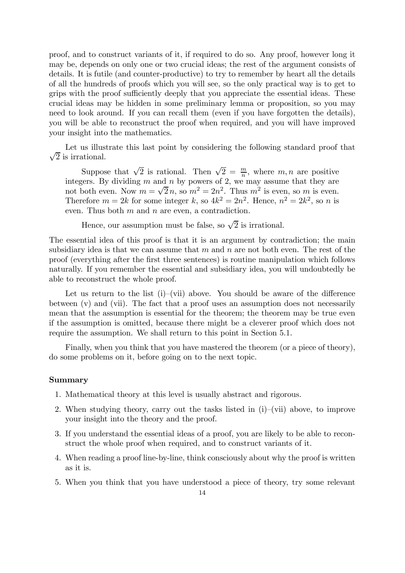proof, and to construct variants of it, if required to do so. Any proof, however long it may be, depends on only one or two crucial ideas; the rest of the argument consists of details. It is futile (and counter-productive) to try to remember by heart all the details of all the hundreds of proofs which you will see, so the only practical way is to get to grips with the proof sufficiently deeply that you appreciate the essential ideas. These crucial ideas may be hidden in some preliminary lemma or proposition, so you may need to look around. If you can recall them (even if you have forgotten the details), you will be able to reconstruct the proof when required, and you will have improved your insight into the mathematics.

 $\sqrt{2}$  is irrational. Let us illustrate this last point by considering the following standard proof that

Suppose that  $\sqrt{2}$  is rational. Then  $\sqrt{2} = \frac{m}{n}$ , where  $m, n$  are positive integers. By dividing  $m$  and  $n$  by powers of 2, we may assume that they are not both even. Now  $m = \sqrt{2}n$ , so  $m^2 = 2n^2$ . Thus  $m^2$  is even, so m is even. Therefore  $m = 2k$  for some integer k, so  $4k^2 = 2n^2$ . Hence,  $n^2 = 2k^2$ , so n is even. Thus both  $m$  and  $n$  are even, a contradiction.

Hence, our assumption must be false, so  $\sqrt{2}$  is irrational.

The essential idea of this proof is that it is an argument by contradiction; the main subsidiary idea is that we can assume that  $m$  and  $n$  are not both even. The rest of the proof (everything after the first three sentences) is routine manipulation which follows naturally. If you remember the essential and subsidiary idea, you will undoubtedly be able to reconstruct the whole proof.

Let us return to the list  $(i)$ –(vii) above. You should be aware of the difference between (v) and (vii). The fact that a proof uses an assumption does not necessarily mean that the assumption is essential for the theorem; the theorem may be true even if the assumption is omitted, because there might be a cleverer proof which does not require the assumption. We shall return to this point in Section 5.1.

Finally, when you think that you have mastered the theorem (or a piece of theory), do some problems on it, before going on to the next topic.

#### Summary

- 1. Mathematical theory at this level is usually abstract and rigorous.
- 2. When studying theory, carry out the tasks listed in (i)—(vii) above, to improve your insight into the theory and the proof.
- 3. If you understand the essential ideas of a proof, you are likely to be able to reconstruct the whole proof when required, and to construct variants of it.
- 4. When reading a proof line-by-line, think consciously about why the proof is written as it is.
- 5. When you think that you have understood a piece of theory, try some relevant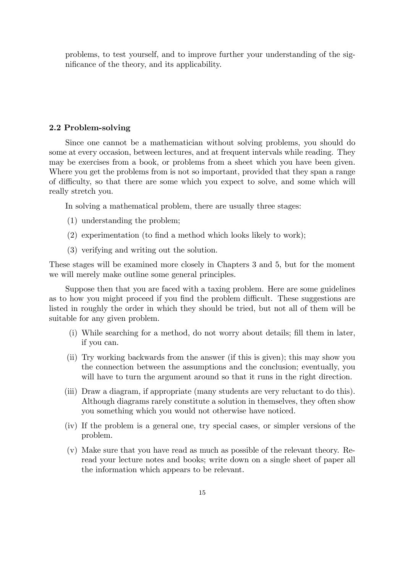problems, to test yourself, and to improve further your understanding of the significance of the theory, and its applicability.

#### 2.2 Problem-solving

Since one cannot be a mathematician without solving problems, you should do some at every occasion, between lectures, and at frequent intervals while reading. They may be exercises from a book, or problems from a sheet which you have been given. Where you get the problems from is not so important, provided that they span a range of difficulty, so that there are some which you expect to solve, and some which will really stretch you.

In solving a mathematical problem, there are usually three stages:

- (1) understanding the problem;
- (2) experimentation (to find a method which looks likely to work);
- (3) verifying and writing out the solution.

These stages will be examined more closely in Chapters 3 and 5, but for the moment we will merely make outline some general principles.

Suppose then that you are faced with a taxing problem. Here are some guidelines as to how you might proceed if you find the problem difficult. These suggestions are listed in roughly the order in which they should be tried, but not all of them will be suitable for any given problem.

- (i) While searching for a method, do not worry about details; fill them in later, if you can.
- (ii) Try working backwards from the answer (if this is given); this may show you the connection between the assumptions and the conclusion; eventually, you will have to turn the argument around so that it runs in the right direction.
- (iii) Draw a diagram, if appropriate (many students are very reluctant to do this). Although diagrams rarely constitute a solution in themselves, they often show you something which you would not otherwise have noticed.
- (iv) If the problem is a general one, try special cases, or simpler versions of the problem.
- (v) Make sure that you have read as much as possible of the relevant theory. Reread your lecture notes and books; write down on a single sheet of paper all the information which appears to be relevant.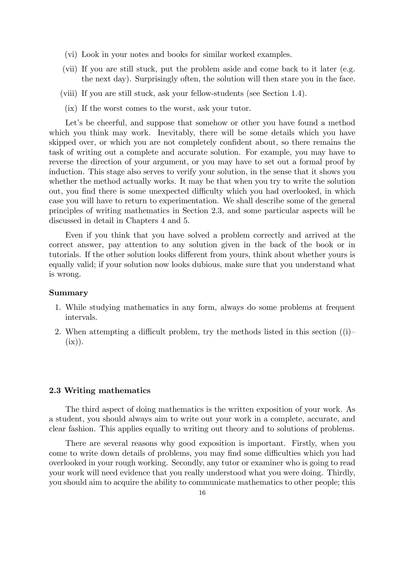- (vi) Look in your notes and books for similar worked examples.
- (vii) If you are still stuck, put the problem aside and come back to it later (e.g. the next day). Surprisingly often, the solution will then stare you in the face.
- (viii) If you are still stuck, ask your fellow-students (see Section 1.4).
	- (ix) If the worst comes to the worst, ask your tutor.

Let's be cheerful, and suppose that somehow or other you have found a method which you think may work. Inevitably, there will be some details which you have skipped over, or which you are not completely confident about, so there remains the task of writing out a complete and accurate solution. For example, you may have to reverse the direction of your argument, or you may have to set out a formal proof by induction. This stage also serves to verify your solution, in the sense that it shows you whether the method actually works. It may be that when you try to write the solution out, you find there is some unexpected difficulty which you had overlooked, in which case you will have to return to experimentation. We shall describe some of the general principles of writing mathematics in Section 2.3, and some particular aspects will be discussed in detail in Chapters 4 and 5.

Even if you think that you have solved a problem correctly and arrived at the correct answer, pay attention to any solution given in the back of the book or in tutorials. If the other solution looks different from yours, think about whether yours is equally valid; if your solution now looks dubious, make sure that you understand what is wrong.

#### Summary

- 1. While studying mathematics in any form, always do some problems at frequent intervals.
- 2. When attempting a difficult problem, try the methods listed in this section  $(i)$  $(ix)).$

#### 2.3 Writing mathematics

The third aspect of doing mathematics is the written exposition of your work. As a student, you should always aim to write out your work in a complete, accurate, and clear fashion. This applies equally to writing out theory and to solutions of problems.

There are several reasons why good exposition is important. Firstly, when you come to write down details of problems, you may find some difficulties which you had overlooked in your rough working. Secondly, any tutor or examiner who is going to read your work will need evidence that you really understood what you were doing. Thirdly, you should aim to acquire the ability to communicate mathematics to other people; this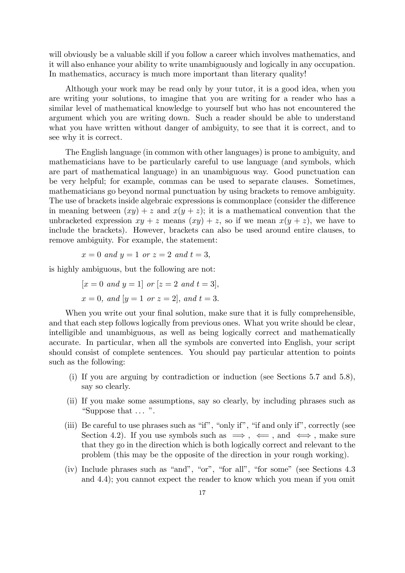will obviously be a valuable skill if you follow a career which involves mathematics, and it will also enhance your ability to write unambiguously and logically in any occupation. In mathematics, accuracy is much more important than literary quality!

Although your work may be read only by your tutor, it is a good idea, when you are writing your solutions, to imagine that you are writing for a reader who has a similar level of mathematical knowledge to yourself but who has not encountered the argument which you are writing down. Such a reader should be able to understand what you have written without danger of ambiguity, to see that it is correct, and to see why it is correct.

The English language (in common with other languages) is prone to ambiguity, and mathematicians have to be particularly careful to use language (and symbols, which are part of mathematical language) in an unambiguous way. Good punctuation can be very helpful; for example, commas can be used to separate clauses. Sometimes, mathematicians go beyond normal punctuation by using brackets to remove ambiguity. The use of brackets inside algebraic expressions is commonplace (consider the difference in meaning between  $(xy) + z$  and  $x(y + z)$ ; it is a mathematical convention that the unbracketed expression  $xy + z$  means  $(xy) + z$ , so if we mean  $x(y + z)$ , we have to include the brackets). However, brackets can also be used around entire clauses, to remove ambiguity. For example, the statement:

$$
x = 0
$$
 and  $y = 1$  or  $z = 2$  and  $t = 3$ ,

is highly ambiguous, but the following are not:

$$
[x = 0 \text{ and } y = 1] \text{ or } [z = 2 \text{ and } t = 3],
$$
  

$$
x = 0, \text{ and } [y = 1 \text{ or } z = 2], \text{ and } t = 3.
$$

When you write out your final solution, make sure that it is fully comprehensible, and that each step follows logically from previous ones. What you write should be clear, intelligible and unambiguous, as well as being logically correct and mathematically accurate. In particular, when all the symbols are converted into English, your script should consist of complete sentences. You should pay particular attention to points such as the following:

- (i) If you are arguing by contradiction or induction (see Sections 5.7 and 5.8), say so clearly.
- (ii) If you make some assumptions, say so clearly, by including phrases such as "Suppose that ... ".
- (iii) Be careful to use phrases such as "if", "only if", "if and only if", correctly (see Section 4.2). If you use symbols such as  $\implies$ ,  $\iff$ , and  $\iff$ , make sure that they go in the direction which is both logically correct and relevant to the problem (this may be the opposite of the direction in your rough working).
- (iv) Include phrases such as "and", "or", "for all", "for some" (see Sections 4.3 and 4.4); you cannot expect the reader to know which you mean if you omit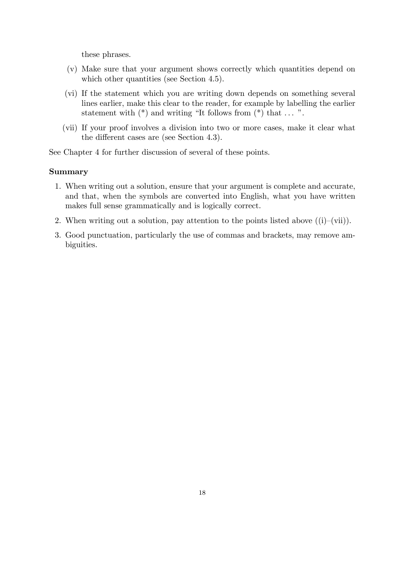these phrases.

- (v) Make sure that your argument shows correctly which quantities depend on which other quantities (see Section 4.5).
- (vi) If the statement which you are writing down depends on something several lines earlier, make this clear to the reader, for example by labelling the earlier statement with  $(*)$  and writing "It follows from  $(*)$  that  $\dots$ ".
- (vii) If your proof involves a division into two or more cases, make it clear what the different cases are (see Section 4.3).

See Chapter 4 for further discussion of several of these points.

#### Summary

- 1. When writing out a solution, ensure that your argument is complete and accurate, and that, when the symbols are converted into English, what you have written makes full sense grammatically and is logically correct.
- 2. When writing out a solution, pay attention to the points listed above  $((i)–(vii))$ .
- 3. Good punctuation, particularly the use of commas and brackets, may remove ambiguities.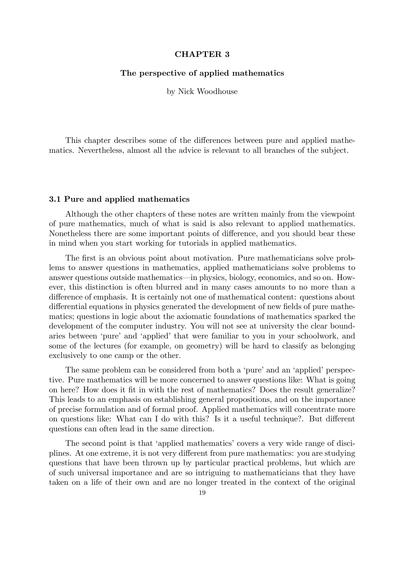#### CHAPTER 3

#### The perspective of applied mathematics

by Nick Woodhouse

This chapter describes some of the differences between pure and applied mathematics. Nevertheless, almost all the advice is relevant to all branches of the subject.

#### 3.1 Pure and applied mathematics

Although the other chapters of these notes are written mainly from the viewpoint of pure mathematics, much of what is said is also relevant to applied mathematics. Nonetheless there are some important points of difference, and you should bear these in mind when you start working for tutorials in applied mathematics.

The first is an obvious point about motivation. Pure mathematicians solve problems to answer questions in mathematics, applied mathematicians solve problems to answer questions outside mathematics–in physics, biology, economics, and so on. However, this distinction is often blurred and in many cases amounts to no more than a difference of emphasis. It is certainly not one of mathematical content: questions about differential equations in physics generated the development of new fields of pure mathematics; questions in logic about the axiomatic foundations of mathematics sparked the development of the computer industry. You will not see at university the clear boundaries between 'pure' and 'applied' that were familiar to you in your schoolwork, and some of the lectures (for example, on geometry) will be hard to classify as belonging exclusively to one camp or the other.

The same problem can be considered from both a 'pure' and an 'applied' perspective. Pure mathematics will be more concerned to answer questions like: What is going on here? How does it fit in with the rest of mathematics? Does the result generalize? This leads to an emphasis on establishing general propositions, and on the importance of precise formulation and of formal proof. Applied mathematics will concentrate more on questions like: What can I do with this? Is it a useful technique?. But different questions can often lead in the same direction.

The second point is that 'applied mathematics' covers a very wide range of disciplines. At one extreme, it is not very different from pure mathematics: you are studying questions that have been thrown up by particular practical problems, but which are of such universal importance and are so intriguing to mathematicians that they have taken on a life of their own and are no longer treated in the context of the original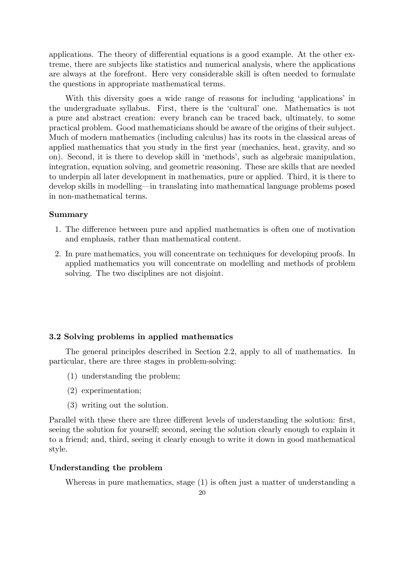applications. The theory of differential equations is a good example. At the other extreme, there are subjects like statistics and numerical analysis, where the applications are always at the forefront. Here very considerable skill is often needed to formulate the questions in appropriate mathematical terms.

With this diversity goes a wide range of reasons for including 'applications' in the undergraduate syllabus. First, there is the 'cultural' one. Mathematics is not a pure and abstract creation: every branch can be traced back, ultimately, to some practical problem. Good mathematicians should be aware of the origins of their subject. Much of modern mathematics (including calculus) has its roots in the classical areas of applied mathematics that you study in the first year (mechanics, heat, gravity, and so on). Second, it is there to develop skill in 'methods', such as algebraic manipulation, integration, equation solving, and geometric reasoning. These are skills that are needed to underpin all later development in mathematics, pure or applied. Third, it is there to develop skills in modelling–in translating into mathematical language problems posed in non-mathematical terms.

#### Summary

- 1. The difference between pure and applied mathematics is often one of motivation and emphasis, rather than mathematical content.
- 2. In pure mathematics, you will concentrate on techniques for developing proofs. In applied mathematics you will concentrate on modelling and methods of problem solving. The two disciplines are not disjoint.

#### 3.2 Solving problems in applied mathematics

The general principles described in Section 2.2, apply to all of mathematics. In particular, there are three stages in problem-solving:

- (1) understanding the problem;
- (2) experimentation;
- (3) writing out the solution.

Parallel with these there are three different levels of understanding the solution: first, seeing the solution for yourself; second, seeing the solution clearly enough to explain it to a friend; and, third, seeing it clearly enough to write it down in good mathematical style.

#### Understanding the problem

Whereas in pure mathematics, stage (1) is often just a matter of understanding a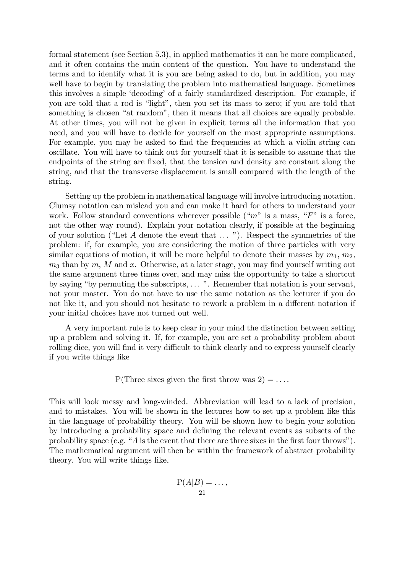formal statement (see Section 5.3), in applied mathematics it can be more complicated, and it often contains the main content of the question. You have to understand the terms and to identify what it is you are being asked to do, but in addition, you may well have to begin by translating the problem into mathematical language. Sometimes this involves a simple 'decoding' of a fairly standardized description. For example, if you are told that a rod is "light", then you set its mass to zero; if you are told that something is chosen "at random", then it means that all choices are equally probable. At other times, you will not be given in explicit terms all the information that you need, and you will have to decide for yourself on the most appropriate assumptions. For example, you may be asked to find the frequencies at which a violin string can oscillate. You will have to think out for yourself that it is sensible to assume that the endpoints of the string are fixed, that the tension and density are constant along the string, and that the transverse displacement is small compared with the length of the string.

Setting up the problem in mathematical language will involve introducing notation. Clumsy notation can mislead you and can make it hard for others to understand your work. Follow standard conventions wherever possible (" $m$ " is a mass, " $F$ " is a force, not the other way round). Explain your notation clearly, if possible at the beginning of your solution ("Let A denote the event that ... "). Respect the symmetries of the problem: if, for example, you are considering the motion of three particles with very similar equations of motion, it will be more helpful to denote their masses by  $m_1, m_2$ ,  $m_3$  than by m, M and x. Otherwise, at a later stage, you may find yourself writing out the same argument three times over, and may miss the opportunity to take a shortcut by saying "by permuting the subscripts, ... ". Remember that notation is your servant, not your master. You do not have to use the same notation as the lecturer if you do not like it, and you should not hesitate to rework a problem in a different notation if your initial choices have not turned out well.

A very important rule is to keep clear in your mind the distinction between setting up a problem and solving it. If, for example, you are set a probability problem about rolling dice, you will find it very difficult to think clearly and to express yourself clearly if you write things like

P(Three sixes given the first throw was 
$$
2
$$
) = . . . .

This will look messy and long-winded. Abbreviation will lead to a lack of precision, and to mistakes. You will be shown in the lectures how to set up a problem like this in the language of probability theory. You will be shown how to begin your solution by introducing a probability space and defining the relevant events as subsets of the probability space (e.g. "A is the event that there are three sixes in the first four throws"). The mathematical argument will then be within the framework of abstract probability theory. You will write things like,

$$
\mathrm{P}(A|B) = \ldots,
$$
  
21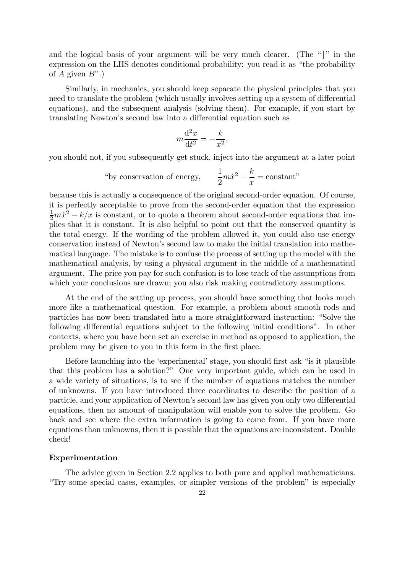and the logical basis of your argument will be very much clearer. (The " $|$ " in the expression on the LHS denotes conditional probability: you read it as "the probability of A given  $B$ ".)

Similarly, in mechanics, you should keep separate the physical principles that you need to translate the problem (which usually involves setting up a system of differential equations), and the subsequent analysis (solving them). For example, if you start by translating Newton's second law into a differential equation such as

$$
m\frac{\mathrm{d}^2x}{\mathrm{d}t^2} = -\frac{k}{x^2},
$$

you should not, if you subsequently get stuck, inject into the argument at a later point

"by conservation of energy, 
$$
\frac{1}{2}m\dot{x}^2 - \frac{k}{x} = \text{constant"}
$$

because this is actually a consequence of the original second-order equation. Of course, it is perfectly acceptable to prove from the second-order equation that the expression  $\frac{1}{2}m\dot{x}^2 - k/x$  is constant, or to quote a theorem about second-order equations that implies that it is constant. It is also helpful to point out that the conserved quantity is the total energy. If the wording of the problem allowed it, you could also use energy conservation instead of Newton's second law to make the initial translation into mathematical language. The mistake is to confuse the process of setting up the model with the mathematical analysis, by using a physical argument in the middle of a mathematical argument. The price you pay for such confusion is to lose track of the assumptions from which your conclusions are drawn; you also risk making contradictory assumptions.

At the end of the setting up process, you should have something that looks much more like a mathematical question. For example, a problem about smooth rods and particles has now been translated into a more straightforward instruction: "Solve the following differential equations subject to the following initial conditions". In other contexts, where you have been set an exercise in method as opposed to application, the problem may be given to you in this form in the first place.

Before launching into the 'experimental' stage, you should first ask "is it plausible that this problem has a solution?" One very important guide, which can be used in a wide variety of situations, is to see if the number of equations matches the number of unknowns. If you have introduced three coordinates to describe the position of a particle, and your application of Newton's second law has given you only two differential equations, then no amount of manipulation will enable you to solve the problem. Go back and see where the extra information is going to come from. If you have more equations than unknowns, then it is possible that the equations are inconsistent. Double check!

#### Experimentation

The advice given in Section 2.2 applies to both pure and applied mathematicians. "Try some special cases, examples, or simpler versions of the problem" is especially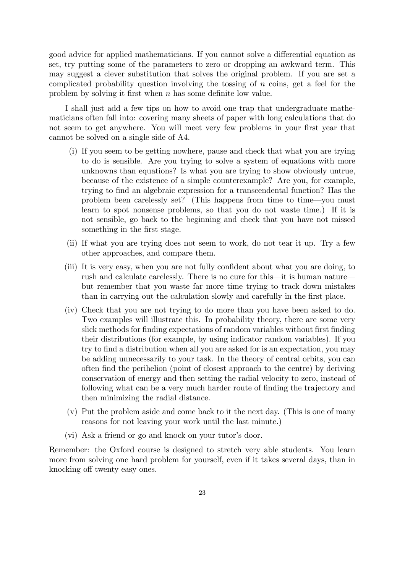good advice for applied mathematicians. If you cannot solve a differential equation as set, try putting some of the parameters to zero or dropping an awkward term. This may suggest a clever substitution that solves the original problem. If you are set a complicated probability question involving the tossing of n coins, get a feel for the problem by solving it first when n has some definite low value.

I shall just add a few tips on how to avoid one trap that undergraduate mathematicians often fall into: covering many sheets of paper with long calculations that do not seem to get anywhere. You will meet very few problems in your first year that cannot be solved on a single side of A4.

- (i) If you seem to be getting nowhere, pause and check that what you are trying to do is sensible. Are you trying to solve a system of equations with more unknowns than equations? Is what you are trying to show obviously untrue, because of the existence of a simple counterexample? Are you, for example, trying to find an algebraic expression for a transcendental function? Has the problem been carelessly set? (This happens from time to time–you must learn to spot nonsense problems, so that you do not waste time.) If it is not sensible, go back to the beginning and check that you have not missed something in the first stage.
- (ii) If what you are trying does not seem to work, do not tear it up. Try a few other approaches, and compare them.
- (iii) It is very easy, when you are not fully confident about what you are doing, to rush and calculate carelessly. There is no cure for this–it is human nature– but remember that you waste far more time trying to track down mistakes than in carrying out the calculation slowly and carefully in the first place.
- (iv) Check that you are not trying to do more than you have been asked to do. Two examples will illustrate this. In probability theory, there are some very slick methods for finding expectations of random variables without first finding their distributions (for example, by using indicator random variables). If you try to find a distribution when all you are asked for is an expectation, you may be adding unnecessarily to your task. In the theory of central orbits, you can often find the perihelion (point of closest approach to the centre) by deriving conservation of energy and then setting the radial velocity to zero, instead of following what can be a very much harder route of finding the trajectory and then minimizing the radial distance.
- (v) Put the problem aside and come back to it the next day. (This is one of many reasons for not leaving your work until the last minute.)
- (vi) Ask a friend or go and knock on your tutor's door.

Remember: the Oxford course is designed to stretch very able students. You learn more from solving one hard problem for yourself, even if it takes several days, than in knocking off twenty easy ones.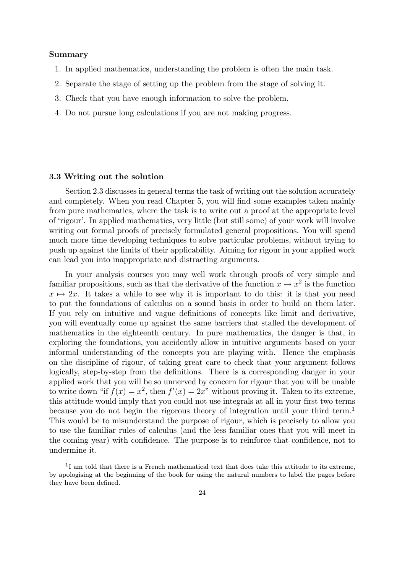#### Summary

- 1. In applied mathematics, understanding the problem is often the main task.
- 2. Separate the stage of setting up the problem from the stage of solving it.
- 3. Check that you have enough information to solve the problem.
- 4. Do not pursue long calculations if you are not making progress.

#### 3.3 Writing out the solution

Section 2.3 discusses in general terms the task of writing out the solution accurately and completely. When you read Chapter 5, you will find some examples taken mainly from pure mathematics, where the task is to write out a proof at the appropriate level of 'rigour'. In applied mathematics, very little (but still some) of your work will involve writing out formal proofs of precisely formulated general propositions. You will spend much more time developing techniques to solve particular problems, without trying to push up against the limits of their applicability. Aiming for rigour in your applied work can lead you into inappropriate and distracting arguments.

In your analysis courses you may well work through proofs of very simple and familiar propositions, such as that the derivative of the function  $x \mapsto x^2$  is the function  $x \mapsto 2x$ . It takes a while to see why it is important to do this: it is that you need to put the foundations of calculus on a sound basis in order to build on them later. If you rely on intuitive and vague definitions of concepts like limit and derivative, you will eventually come up against the same barriers that stalled the development of mathematics in the eighteenth century. In pure mathematics, the danger is that, in exploring the foundations, you accidently allow in intuitive arguments based on your informal understanding of the concepts you are playing with. Hence the emphasis on the discipline of rigour, of taking great care to check that your argument follows logically, step-by-step from the definitions. There is a corresponding danger in your applied work that you will be so unnerved by concern for rigour that you will be unable to write down "if  $f(x) = x^2$ , then  $f'(x) = 2x$ " without proving it. Taken to its extreme, this attitude would imply that you could not use integrals at all in your first two terms because you do not begin the rigorous theory of integration until your third term.<sup>1</sup> This would be to misunderstand the purpose of rigour, which is precisely to allow you to use the familiar rules of calculus (and the less familiar ones that you will meet in the coming year) with confidence. The purpose is to reinforce that confidence, not to undermine it.

 $1$ I am told that there is a French mathematical text that does take this attitude to its extreme, by apologising at the beginning of the book for using the natural numbers to label the pages before they have been defined.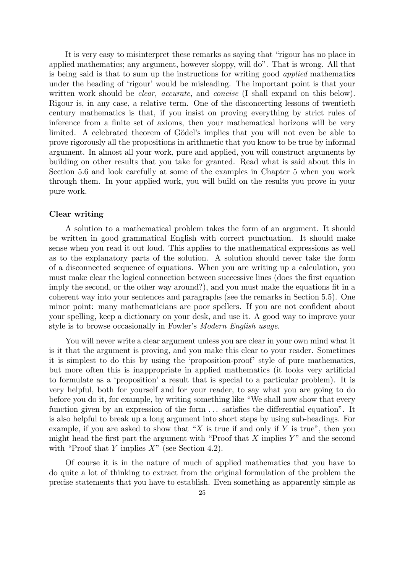It is very easy to misinterpret these remarks as saying that "rigour has no place in applied mathematics; any argument, however sloppy, will do". That is wrong. All that is being said is that to sum up the instructions for writing good applied mathematics under the heading of 'rigour' would be misleading. The important point is that your written work should be *clear, accurate*, and *concise* (I shall expand on this below). Rigour is, in any case, a relative term. One of the disconcerting lessons of twentieth century mathematics is that, if you insist on proving everything by strict rules of inference from a finite set of axioms, then your mathematical horizons will be very limited. A celebrated theorem of Gödel's implies that you will not even be able to prove rigorously all the propositions in arithmetic that you know to be true by informal argument. In almost all your work, pure and applied, you will construct arguments by building on other results that you take for granted. Read what is said about this in Section 5.6 and look carefully at some of the examples in Chapter 5 when you work through them. In your applied work, you will build on the results you prove in your pure work.

#### Clear writing

A solution to a mathematical problem takes the form of an argument. It should be written in good grammatical English with correct punctuation. It should make sense when you read it out loud. This applies to the mathematical expressions as well as to the explanatory parts of the solution. A solution should never take the form of a disconnected sequence of equations. When you are writing up a calculation, you must make clear the logical connection between successive lines (does the first equation imply the second, or the other way around?), and you must make the equations fit in a coherent way into your sentences and paragraphs (see the remarks in Section 5.5). One minor point: many mathematicians are poor spellers. If you are not confident about your spelling, keep a dictionary on your desk, and use it. A good way to improve your style is to browse occasionally in Fowler's Modern English usage.

You will never write a clear argument unless you are clear in your own mind what it is it that the argument is proving, and you make this clear to your reader. Sometimes it is simplest to do this by using the 'proposition-proof' style of pure mathematics, but more often this is inappropriate in applied mathematics (it looks very artificial to formulate as a 'proposition' a result that is special to a particular problem). It is very helpful, both for yourself and for your reader, to say what you are going to do before you do it, for example, by writing something like "We shall now show that every function given by an expression of the form  $\dots$  satisfies the differential equation". It is also helpful to break up a long argument into short steps by using sub-headings. For example, if you are asked to show that "X is true if and only if Y is true", then you might head the first part the argument with "Proof that  $X$  implies  $Y$ " and the second with "Proof that Y implies  $X$ " (see Section 4.2).

Of course it is in the nature of much of applied mathematics that you have to do quite a lot of thinking to extract from the original formulation of the problem the precise statements that you have to establish. Even something as apparently simple as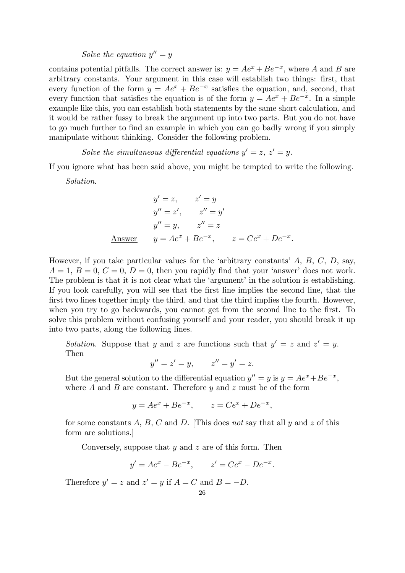Solve the equation  $y'' = y$ 

contains potential pitfalls. The correct answer is:  $y = Ae^{x} + Be^{-x}$ , where A and B are arbitrary constants. Your argument in this case will establish two things: first, that every function of the form  $y = Ae^{x} + Be^{-x}$  satisfies the equation, and, second, that every function that satisfies the equation is of the form  $y = Ae^{x} + Be^{-x}$ . In a simple example like this, you can establish both statements by the same short calculation, and it would be rather fussy to break the argument up into two parts. But you do not have to go much further to find an example in which you can go badly wrong if you simply manipulate without thinking. Consider the following problem.

Solve the simultaneous differential equations  $y' = z$ ,  $z' = y$ .

If you ignore what has been said above, you might be tempted to write the following.

Solution.

$$
y' = z, \t z' = y
$$
  
\n
$$
y'' = z', \t z'' = y'
$$
  
\n
$$
y'' = y, \t z'' = z
$$
  
\nAnswer  $y = Ae^x + Be^{-x}, \t z = Ce^x + De^{-x}.$ 

However, if you take particular values for the 'arbitrary constants' A, B, C, D, say,  $A = 1, B = 0, C = 0, D = 0$ , then you rapidly find that your 'answer' does not work. The problem is that it is not clear what the 'argument' in the solution is establishing. If you look carefully, you will see that the first line implies the second line, that the first two lines together imply the third, and that the third implies the fourth. However, when you try to go backwards, you cannot get from the second line to the first. To solve this problem without confusing yourself and your reader, you should break it up into two parts, along the following lines.

Solution. Suppose that y and z are functions such that  $y' = z$  and  $z' = y$ . Then

$$
y'' = z' = y, \qquad z'' = y' = z.
$$

But the general solution to the differential equation  $y'' = y$  is  $y = Ae^{x} + Be^{-x}$ , where  $A$  and  $B$  are constant. Therefore  $y$  and  $z$  must be of the form

$$
y = Ae^{x} + Be^{-x}
$$
,  $z = Ce^{x} + De^{-x}$ ,

for some constants  $A, B, C$  and  $D$ . [This does not say that all  $y$  and  $z$  of this form are solutions.]

Conversely, suppose that  $y$  and  $z$  are of this form. Then

$$
y' = Ae^x - Be^{-x}
$$
,  $z' = Ce^x - De^{-x}$ .

Therefore  $y' = z$  and  $z' = y$  if  $A = C$  and  $B = -D$ .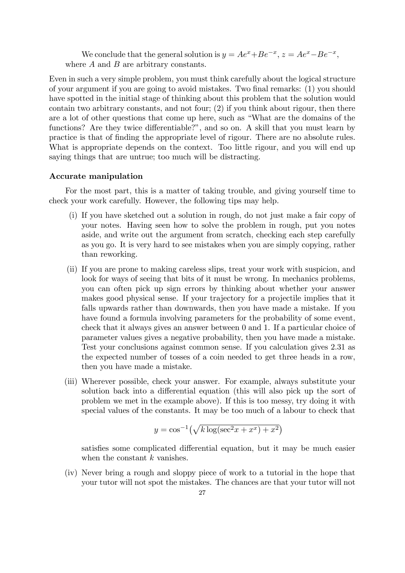We conclude that the general solution is  $y = Ae^{x} + Be^{-x}$ ,  $z = Ae^{x} - Be^{-x}$ , where  $A$  and  $B$  are arbitrary constants.

Even in such a very simple problem, you must think carefully about the logical structure of your argument if you are going to avoid mistakes. Two final remarks: (1) you should have spotted in the initial stage of thinking about this problem that the solution would contain two arbitrary constants, and not four; (2) if you think about rigour, then there are a lot of other questions that come up here, such as "What are the domains of the functions? Are they twice differentiable?", and so on. A skill that you must learn by practice is that of finding the appropriate level of rigour. There are no absolute rules. What is appropriate depends on the context. Too little rigour, and you will end up saying things that are untrue; too much will be distracting.

#### Accurate manipulation

For the most part, this is a matter of taking trouble, and giving yourself time to check your work carefully. However, the following tips may help.

- (i) If you have sketched out a solution in rough, do not just make a fair copy of your notes. Having seen how to solve the problem in rough, put you notes aside, and write out the argument from scratch, checking each step carefully as you go. It is very hard to see mistakes when you are simply copying, rather than reworking.
- (ii) If you are prone to making careless slips, treat your work with suspicion, and look for ways of seeing that bits of it must be wrong. In mechanics problems, you can often pick up sign errors by thinking about whether your answer makes good physical sense. If your trajectory for a projectile implies that it falls upwards rather than downwards, then you have made a mistake. If you have found a formula involving parameters for the probability of some event, check that it always gives an answer between 0 and 1. If a particular choice of parameter values gives a negative probability, then you have made a mistake. Test your conclusions against common sense. If you calculation gives 2.31 as the expected number of tosses of a coin needed to get three heads in a row, then you have made a mistake.
- (iii) Wherever possible, check your answer. For example, always substitute your solution back into a differential equation (this will also pick up the sort of problem we met in the example above). If this is too messy, try doing it with special values of the constants. It may be too much of a labour to check that

$$
y = \cos^{-1}\left(\sqrt{k \log(\sec^2 x + x^x) + x^2}\right)
$$

satisfies some complicated differential equation, but it may be much easier when the constant  $k$  vanishes.

(iv) Never bring a rough and sloppy piece of work to a tutorial in the hope that your tutor will not spot the mistakes. The chances are that your tutor will not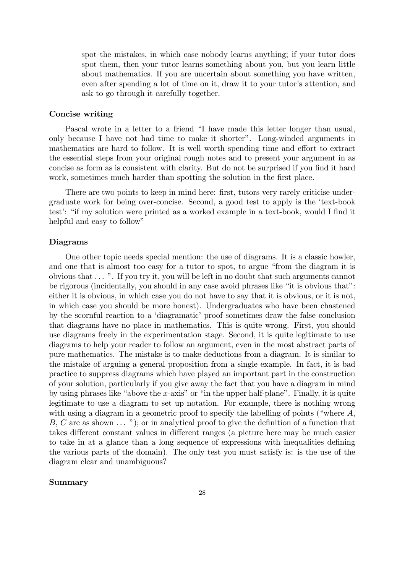spot the mistakes, in which case nobody learns anything; if your tutor does spot them, then your tutor learns something about you, but you learn little about mathematics. If you are uncertain about something you have written, even after spending a lot of time on it, draw it to your tutor's attention, and ask to go through it carefully together.

#### Concise writing

Pascal wrote in a letter to a friend "I have made this letter longer than usual, only because I have not had time to make it shorter". Long-winded arguments in mathematics are hard to follow. It is well worth spending time and effort to extract the essential steps from your original rough notes and to present your argument in as concise as form as is consistent with clarity. But do not be surprised if you find it hard work, sometimes much harder than spotting the solution in the first place.

There are two points to keep in mind here: first, tutors very rarely criticise undergraduate work for being over-concise. Second, a good test to apply is the 'text-book test': "if my solution were printed as a worked example in a text-book, would I find it helpful and easy to follow"

#### Diagrams

One other topic needs special mention: the use of diagrams. It is a classic howler, and one that is almost too easy for a tutor to spot, to argue "from the diagram it is obvious that ... ". If you try it, you will be left in no doubt that such arguments cannot be rigorous (incidentally, you should in any case avoid phrases like "it is obvious that": either it is obvious, in which case you do not have to say that it is obvious, or it is not, in which case you should be more honest). Undergraduates who have been chastened by the scornful reaction to a 'diagramatic' proof sometimes draw the false conclusion that diagrams have no place in mathematics. This is quite wrong. First, you should use diagrams freely in the experimentation stage. Second, it is quite legitimate to use diagrams to help your reader to follow an argument, even in the most abstract parts of pure mathematics. The mistake is to make deductions from a diagram. It is similar to the mistake of arguing a general proposition from a single example. In fact, it is bad practice to suppress diagrams which have played an important part in the construction of your solution, particularly if you give away the fact that you have a diagram in mind by using phrases like "above the x-axis" or "in the upper half-plane". Finally, it is quite legitimate to use a diagram to set up notation. For example, there is nothing wrong with using a diagram in a geometric proof to specify the labelling of points ("where  $A$ ,  $B, C$  are as shown  $\dots$  "); or in analytical proof to give the definition of a function that takes different constant values in different ranges (a picture here may be much easier to take in at a glance than a long sequence of expressions with inequalities defining the various parts of the domain). The only test you must satisfy is: is the use of the diagram clear and unambiguous?

#### Summary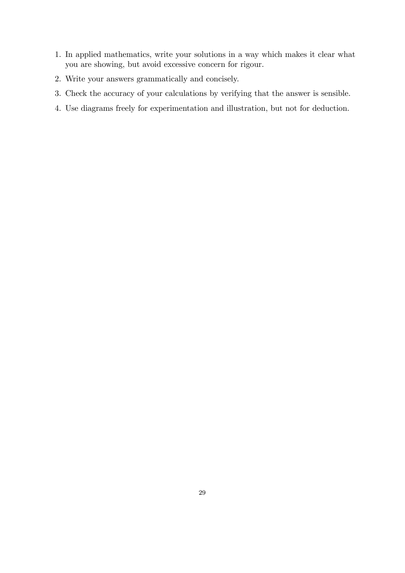- 1. In applied mathematics, write your solutions in a way which makes it clear what you are showing, but avoid excessive concern for rigour.
- 2. Write your answers grammatically and concisely.
- 3. Check the accuracy of your calculations by verifying that the answer is sensible.
- 4. Use diagrams freely for experimentation and illustration, but not for deduction.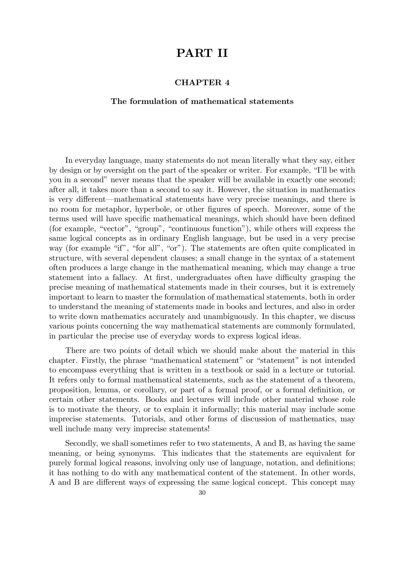## PART II

#### CHAPTER 4

#### The formulation of mathematical statements

In everyday language, many statements do not mean literally what they say, either by design or by oversight on the part of the speaker or writer. For example, "I'll be with you in a second" never means that the speaker will be available in exactly one second; after all, it takes more than a second to say it. However, the situation in mathematics is very different–mathematical statements have very precise meanings, and there is no room for metaphor, hyperbole, or other figures of speech. Moreover, some of the terms used will have specific mathematical meanings, which should have been defined (for example, "vector", "group", "continuous function"), while others will express the same logical concepts as in ordinary English language, but be used in a very precise way (for example "if", "for all", "or"). The statements are often quite complicated in structure, with several dependent clauses; a small change in the syntax of a statement often produces a large change in the mathematical meaning, which may change a true statement into a fallacy. At first, undergraduates often have difficulty grasping the precise meaning of mathematical statements made in their courses, but it is extremely important to learn to master the formulation of mathematical statements, both in order to understand the meaning of statements made in books and lectures, and also in order to write down mathematics accurately and unambiguously. In this chapter, we discuss various points concerning the way mathematical statements are commonly formulated, in particular the precise use of everyday words to express logical ideas.

There are two points of detail which we should make about the material in this chapter. Firstly, the phrase "mathematical statement" or "statement" is not intended to encompass everything that is written in a textbook or said in a lecture or tutorial. It refers only to formal mathematical statements, such as the statement of a theorem, proposition, lemma, or corollary, or part of a formal proof, or a formal definition, or certain other statements. Books and lectures will include other material whose role is to motivate the theory, or to explain it informally; this material may include some imprecise statements. Tutorials, and other forms of discussion of mathematics, may well include many very imprecise statements!

Secondly, we shall sometimes refer to two statements, A and B, as having the same meaning, or being synonyms. This indicates that the statements are equivalent for purely formal logical reasons, involving only use of language, notation, and definitions; it has nothing to do with any mathematical content of the statement. In other words, A and B are different ways of expressing the same logical concept. This concept may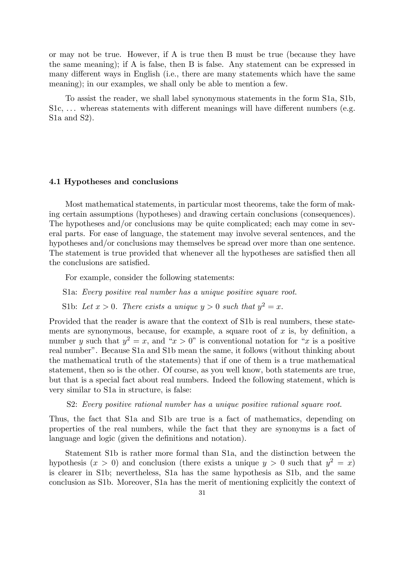or may not be true. However, if A is true then B must be true (because they have the same meaning); if A is false, then B is false. Any statement can be expressed in many different ways in English (i.e., there are many statements which have the same meaning); in our examples, we shall only be able to mention a few.

To assist the reader, we shall label synonymous statements in the form S1a, S1b, S1c, ... whereas statements with different meanings will have different numbers (e.g. S1a and S2).

#### 4.1 Hypotheses and conclusions

Most mathematical statements, in particular most theorems, take the form of making certain assumptions (hypotheses) and drawing certain conclusions (consequences). The hypotheses and/or conclusions may be quite complicated; each may come in several parts. For ease of language, the statement may involve several sentences, and the hypotheses and/or conclusions may themselves be spread over more than one sentence. The statement is true provided that whenever all the hypotheses are satisfied then all the conclusions are satisfied.

For example, consider the following statements:

S1a: Every positive real number has a unique positive square root.

S1b: Let  $x > 0$ . There exists a unique  $y > 0$  such that  $y^2 = x$ .

Provided that the reader is aware that the context of S1b is real numbers, these statements are synonymous, because, for example, a square root of  $x$  is, by definition, a number y such that  $y^2 = x$ , and " $x > 0$ " is conventional notation for "x is a positive real number". Because S1a and S1b mean the same, it follows (without thinking about the mathematical truth of the statements) that if one of them is a true mathematical statement, then so is the other. Of course, as you well know, both statements are true, but that is a special fact about real numbers. Indeed the following statement, which is very similar to S1a in structure, is false:

#### S2: Every positive rational number has a unique positive rational square root.

Thus, the fact that S1a and S1b are true is a fact of mathematics, depending on properties of the real numbers, while the fact that they are synonyms is a fact of language and logic (given the definitions and notation).

Statement S1b is rather more formal than S1a, and the distinction between the hypothesis  $(x > 0)$  and conclusion (there exists a unique  $y > 0$  such that  $y^2 = x$ ) is clearer in S1b; nevertheless, S1a has the same hypothesis as S1b, and the same conclusion as S1b. Moreover, S1a has the merit of mentioning explicitly the context of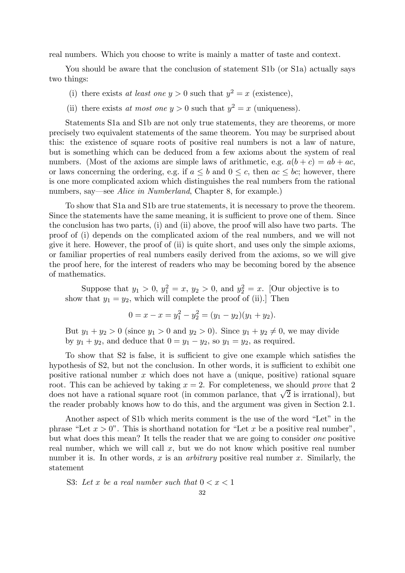real numbers. Which you choose to write is mainly a matter of taste and context.

You should be aware that the conclusion of statement S1b (or S1a) actually says two things:

- (i) there exists at least one  $y > 0$  such that  $y^2 = x$  (existence),
- (ii) there exists at most one  $y > 0$  such that  $y^2 = x$  (uniqueness).

Statements S1a and S1b are not only true statements, they are theorems, or more precisely two equivalent statements of the same theorem. You may be surprised about this: the existence of square roots of positive real numbers is not a law of nature, but is something which can be deduced from a few axioms about the system of real numbers. (Most of the axioms are simple laws of arithmetic, e.g.  $a(b + c) = ab + ac$ , or laws concerning the ordering, e.g. if  $a \leq b$  and  $0 \leq c$ , then  $ac \leq bc$ ; however, there is one more complicated axiom which distinguishes the real numbers from the rational numbers, say—see Alice in Numberland, Chapter 8, for example.)

To show that S1a and S1b are true statements, it is necessary to prove the theorem. Since the statements have the same meaning, it is sufficient to prove one of them. Since the conclusion has two parts, (i) and (ii) above, the proof will also have two parts. The proof of (i) depends on the complicated axiom of the real numbers, and we will not give it here. However, the proof of (ii) is quite short, and uses only the simple axioms, or familiar properties of real numbers easily derived from the axioms, so we will give the proof here, for the interest of readers who may be becoming bored by the absence of mathematics.

Suppose that  $y_1 > 0$ ,  $y_1^2 = x$ ,  $y_2 > 0$ , and  $y_2^2 = x$ . [Our objective is to show that  $y_1 = y_2$ , which will complete the proof of (ii). Then

$$
0 = x - x = y_1^2 - y_2^2 = (y_1 - y_2)(y_1 + y_2).
$$

But  $y_1 + y_2 > 0$  (since  $y_1 > 0$  and  $y_2 > 0$ ). Since  $y_1 + y_2 \neq 0$ , we may divide by  $y_1 + y_2$ , and deduce that  $0 = y_1 - y_2$ , so  $y_1 = y_2$ , as required.

To show that S2 is false, it is sufficient to give one example which satisfies the hypothesis of S2, but not the conclusion. In other words, it is sufficient to exhibit one positive rational number  $x$  which does not have a (unique, positive) rational square root. This can be achieved by taking  $x = 2$ . For completeness, we should prove that 2 does not have a rational square root (in common parlance, that  $\sqrt{2}$  is irrational), but the reader probably knows how to do this, and the argument was given in Section 2.1.

Another aspect of S1b which merits comment is the use of the word "Let" in the phrase "Let  $x > 0$ ". This is shorthand notation for "Let x be a positive real number", but what does this mean? It tells the reader that we are going to consider one positive real number, which we will call  $x$ , but we do not know which positive real number number it is. In other words, x is an *arbitrary* positive real number x. Similarly, the statement

S3: Let x be a real number such that  $0 < x < 1$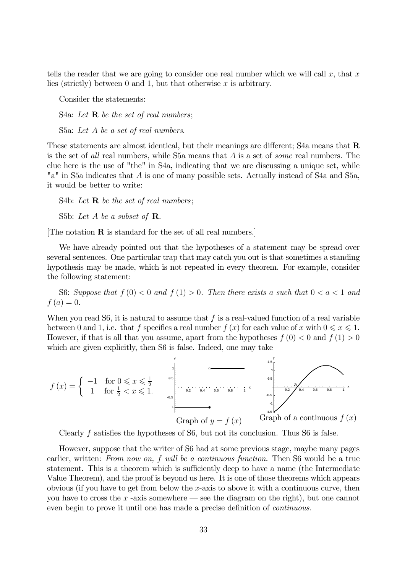tells the reader that we are going to consider one real number which we will call  $x$ , that  $x$ lies (strictly) between 0 and 1, but that otherwise  $x$  is arbitrary.

Consider the statements:

S4a: Let  $\bf{R}$  be the set of real numbers;

S5a: Let A be a set of real numbers.

These statements are almost identical, but their meanings are different; S4a means that  $\bf{R}$ is the set of all real numbers, while S5a means that A is a set of some real numbers. The clue here is the use of "the" in S4a, indicating that we are discussing a unique set, while "a" in S5a indicates that A is one of many possible sets. Actually instead of S4a and S5a, it would be better to write:

S4b: Let  $\bf{R}$  be the set of real numbers; S5b: Let A be a subset of  $\mathbf R$ .

[The notation R is standard for the set of all real numbers.]

We have already pointed out that the hypotheses of a statement may be spread over several sentences. One particular trap that may catch you out is that sometimes a standing hypothesis may be made, which is not repeated in every theorem. For example, consider the following statement:

S6: Suppose that  $f(0) < 0$  and  $f(1) > 0$ . Then there exists a such that  $0 < a < 1$  and  $f(a)=0.$ 

When you read S6, it is natural to assume that  $f$  is a real-valued function of a real variable between 0 and 1, i.e. that f specifies a real number  $f(x)$  for each value of x with  $0 \le x \le 1$ . However, if that is all that you assume, apart from the hypotheses  $f(0) < 0$  and  $f(1) > 0$ which are given explicitly, then S6 is false. Indeed, one may take



Clearly f satisfies the hypotheses of S6, but not its conclusion. Thus S6 is false.

However, suppose that the writer of S6 had at some previous stage, maybe many pages earlier, written: From now on, f will be a continuous function. Then S6 would be a true statement. This is a theorem which is sufficiently deep to have a name (the Intermediate Value Theorem), and the proof is beyond us here. It is one of those theorems which appears obvious (if you have to get from below the x-axis to above it with a continuous curve, then you have to cross the  $x$ -axis somewhere – see the diagram on the right), but one cannot even begin to prove it until one has made a precise definition of continuous.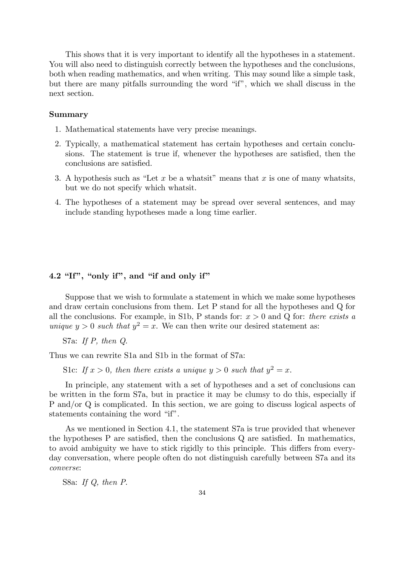This shows that it is very important to identify all the hypotheses in a statement. You will also need to distinguish correctly between the hypotheses and the conclusions, both when reading mathematics, and when writing. This may sound like a simple task, but there are many pitfalls surrounding the word "if", which we shall discuss in the next section.

## Summary

- 1. Mathematical statements have very precise meanings.
- 2. Typically, a mathematical statement has certain hypotheses and certain conclusions. The statement is true if, whenever the hypotheses are satisfied, then the conclusions are satisfied.
- 3. A hypothesis such as "Let x be a whatsit" means that x is one of many whatsits, but we do not specify which whatsit.
- 4. The hypotheses of a statement may be spread over several sentences, and may include standing hypotheses made a long time earlier.

#### 4.2 "If", "only if", and "if and only if"

Suppose that we wish to formulate a statement in which we make some hypotheses and draw certain conclusions from them. Let P stand for all the hypotheses and Q for all the conclusions. For example, in S1b, P stands for:  $x > 0$  and Q for: there exists a unique  $y > 0$  such that  $y^2 = x$ . We can then write our desired statement as:

S7a: If P, then Q.

Thus we can rewrite S1a and S1b in the format of S7a:

S1c: If  $x > 0$ , then there exists a unique  $y > 0$  such that  $y^2 = x$ .

In principle, any statement with a set of hypotheses and a set of conclusions can be written in the form S7a, but in practice it may be clumsy to do this, especially if P and/or Q is complicated. In this section, we are going to discuss logical aspects of statements containing the word "if".

As we mentioned in Section 4.1, the statement S7a is true provided that whenever the hypotheses P are satisfied, then the conclusions Q are satisfied. In mathematics, to avoid ambiguity we have to stick rigidly to this principle. This differs from everyday conversation, where people often do not distinguish carefully between S7a and its converse:

S8a: If Q, then P.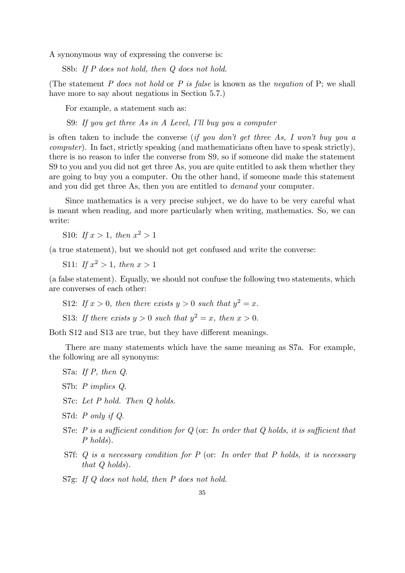A synonymous way of expressing the converse is:

S8b: If P does not hold, then Q does not hold.

(The statement P does not hold or P is false is known as the negation of P; we shall have more to say about negations in Section 5.7.)

For example, a statement such as:

S9: If you get three As in A Level, I'll buy you a computer

is often taken to include the converse (if you don't get three As, I won't buy you a computer). In fact, strictly speaking (and mathematicians often have to speak strictly), there is no reason to infer the converse from S9, so if someone did make the statement S9 to you and you did not get three As, you are quite entitled to ask them whether they are going to buy you a computer. On the other hand, if someone made this statement and you did get three As, then you are entitled to demand your computer.

Since mathematics is a very precise subject, we do have to be very careful what is meant when reading, and more particularly when writing, mathematics. So, we can write:

S10: If  $x > 1$ , then  $x^2 > 1$ 

(a true statement), but we should not get confused and write the converse:

S11: If  $x^2 > 1$ , then  $x > 1$ 

(a false statement). Equally, we should not confuse the following two statements, which are converses of each other:

S12: If  $x > 0$ , then there exists  $y > 0$  such that  $y^2 = x$ .

S13: If there exists  $y > 0$  such that  $y^2 = x$ , then  $x > 0$ .

Both S12 and S13 are true, but they have different meanings.

There are many statements which have the same meaning as S7a. For example, the following are all synonyms:

S7a: If P, then Q.

S7b: P implies Q.

S7c: Let P hold. Then Q holds.

S7d: P only if Q.

- S7e: P is a sufficient condition for  $Q$  (or: In order that  $Q$  holds, it is sufficient that P holds).
- S7f:  $Q$  is a necessary condition for  $P$  (or: In order that  $P$  holds, it is necessary that Q holds).

S7g: If Q does not hold, then P does not hold.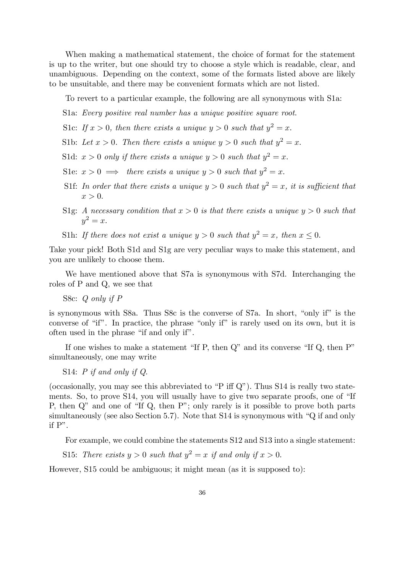When making a mathematical statement, the choice of format for the statement is up to the writer, but one should try to choose a style which is readable, clear, and unambiguous. Depending on the context, some of the formats listed above are likely to be unsuitable, and there may be convenient formats which are not listed.

To revert to a particular example, the following are all synonymous with S1a:

S1a: Every positive real number has a unique positive square root.

S1c: If  $x > 0$ , then there exists a unique  $y > 0$  such that  $y^2 = x$ .

S1b: Let  $x > 0$ . Then there exists a unique  $y > 0$  such that  $y^2 = x$ .

S1d:  $x > 0$  only if there exists a unique  $y > 0$  such that  $y^2 = x$ .

S1e:  $x > 0 \implies$  there exists a unique  $y > 0$  such that  $y^2 = x$ .

- S1f: In order that there exists a unique  $y > 0$  such that  $y^2 = x$ , it is sufficient that  $x > 0$ .
- S1g: A necessary condition that  $x > 0$  is that there exists a unique  $y > 0$  such that  $y^2=x$ .

S1h: If there does not exist a unique  $y > 0$  such that  $y^2 = x$ , then  $x \le 0$ .

Take your pick! Both S1d and S1g are very peculiar ways to make this statement, and you are unlikely to choose them.

We have mentioned above that S7a is synonymous with S7d. Interchanging the roles of P and Q, we see that

S8c: Q only if P

is synonymous with S8a. Thus S8c is the converse of S7a. In short, "only if" is the converse of "if". In practice, the phrase "only if" is rarely used on its own, but it is often used in the phrase "if and only if".

If one wishes to make a statement "If P, then Q" and its converse "If Q, then P" simultaneously, one may write

S14: P if and only if Q.

(occasionally, you may see this abbreviated to "P iff Q"). Thus S14 is really two statements. So, to prove S14, you will usually have to give two separate proofs, one of "If P, then Q" and one of "If Q, then P"; only rarely is it possible to prove both parts simultaneously (see also Section 5.7). Note that S14 is synonymous with "Q if and only if P".

For example, we could combine the statements S12 and S13 into a single statement:

S15: There exists  $y > 0$  such that  $y^2 = x$  if and only if  $x > 0$ .

However, S15 could be ambiguous; it might mean (as it is supposed to):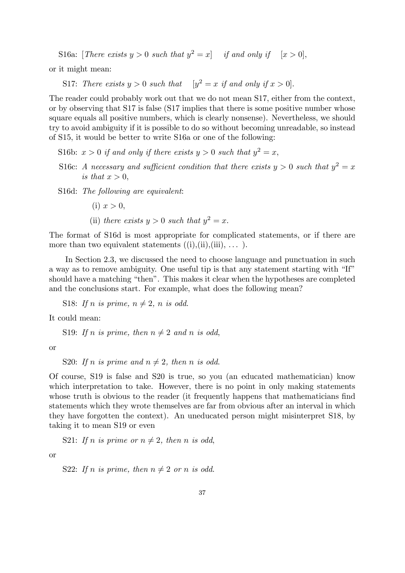S16a: [There exists  $y > 0$  such that  $y^2 = x$ ] if and only if  $[x > 0]$ ,

or it might mean:

S17: There exists  $y > 0$  such that  $[y^2 = x \text{ if and only if } x > 0].$ 

The reader could probably work out that we do not mean S17, either from the context, or by observing that S17 is false (S17 implies that there is some positive number whose square equals all positive numbers, which is clearly nonsense). Nevertheless, we should try to avoid ambiguity if it is possible to do so without becoming unreadable, so instead of S15, it would be better to write S16a or one of the following:

S16b:  $x > 0$  if and only if there exists  $y > 0$  such that  $y^2 = x$ ,

S16c: A necessary and sufficient condition that there exists  $y > 0$  such that  $y^2 = x$ is that  $x > 0$ ,

S16d: The following are equivalent:

- (i)  $x > 0$ ,
- (ii) there exists  $y > 0$  such that  $y^2 = x$ .

The format of S16d is most appropriate for complicated statements, or if there are more than two equivalent statements  $((i), (ii), (iii), \ldots)$ .

In Section 2.3, we discussed the need to choose language and punctuation in such a way as to remove ambiguity. One useful tip is that any statement starting with "If" should have a matching "then". This makes it clear when the hypotheses are completed and the conclusions start. For example, what does the following mean?

S18: If n is prime,  $n \neq 2$ , n is odd.

It could mean:

S19: If n is prime, then  $n \neq 2$  and n is odd,

or

S20: If n is prime and  $n \neq 2$ , then n is odd.

Of course, S19 is false and S20 is true, so you (an educated mathematician) know which interpretation to take. However, there is no point in only making statements whose truth is obvious to the reader (it frequently happens that mathematicians find statements which they wrote themselves are far from obvious after an interval in which they have forgotten the context). An uneducated person might misinterpret S18, by taking it to mean S19 or even

S21: If n is prime or  $n \neq 2$ , then n is odd,

or

S22: If n is prime, then 
$$
n \neq 2
$$
 or n is odd.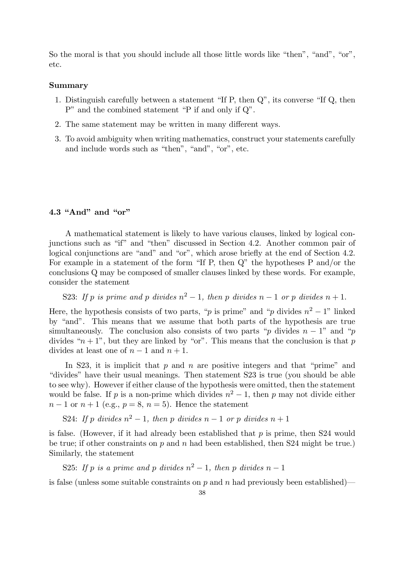So the moral is that you should include all those little words like "then", "and", "or", etc.

#### Summary

- 1. Distinguish carefully between a statement "If P, then Q", its converse "If Q, then P" and the combined statement "P if and only if Q".
- 2. The same statement may be written in many different ways.
- 3. To avoid ambiguity when writing mathematics, construct your statements carefully and include words such as "then", "and", "or", etc.

## 4.3 "And" and "or"

A mathematical statement is likely to have various clauses, linked by logical conjunctions such as "if" and "then" discussed in Section 4.2. Another common pair of logical conjunctions are "and" and "or", which arose briefly at the end of Section 4.2. For example in a statement of the form "If P, then Q" the hypotheses P and/or the conclusions Q may be composed of smaller clauses linked by these words. For example, consider the statement

S23: If p is prime and p divides  $n^2 - 1$ , then p divides  $n - 1$  or p divides  $n + 1$ .

Here, the hypothesis consists of two parts, "p is prime" and "p divides  $n^2 - 1$ " linked by "and". This means that we assume that both parts of the hypothesis are true simultaneously. The conclusion also consists of two parts "p divides  $n-1$ " and "p divides " $n + 1$ ", but they are linked by "or". This means that the conclusion is that p divides at least one of  $n-1$  and  $n+1$ .

In S23, it is implicit that  $p$  and  $n$  are positive integers and that "prime" and "divides" have their usual meanings. Then statement S23 is true (you should be able to see why). However if either clause of the hypothesis were omitted, then the statement would be false. If p is a non-prime which divides  $n^2 - 1$ , then p may not divide either  $n-1$  or  $n+1$  (e.g.,  $p=8$ ,  $n=5$ ). Hence the statement

S24: If p divides  $n^2 - 1$ , then p divides  $n - 1$  or p divides  $n + 1$ 

is false. (However, if it had already been established that  $p$  is prime, then S24 would be true; if other constraints on  $p$  and  $n$  had been established, then S24 might be true.) Similarly, the statement

S25: If p is a prime and p divides  $n^2 - 1$ , then p divides  $n - 1$ 

is false (unless some suitable constraints on  $p$  and  $n$  had previously been established)—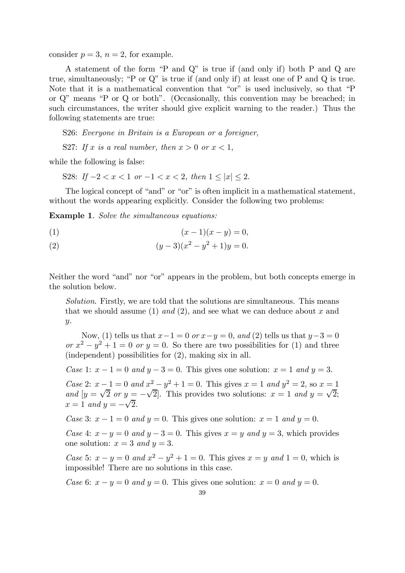consider  $p = 3$ ,  $n = 2$ , for example.

A statement of the form "P and Q" is true if (and only if) both P and Q are true, simultaneously; "P or Q" is true if (and only if) at least one of P and Q is true. Note that it is a mathematical convention that "or" is used inclusively, so that "P or Q" means "P or Q or both". (Occasionally, this convention may be breached; in such circumstances, the writer should give explicit warning to the reader.) Thus the following statements are true:

S26: Everyone in Britain is a European or a foreigner,

S27: If x is a real number, then  $x > 0$  or  $x < 1$ ,

while the following is false:

S28: If  $-2 < x < 1$  or  $-1 < x < 2$ , then  $1 < |x| < 2$ .

The logical concept of "and" or "or" is often implicit in a mathematical statement, without the words appearing explicitly. Consider the following two problems:

Example 1. Solve the simultaneous equations:

(1) 
$$
(x-1)(x-y) = 0,
$$

(2) 
$$
(y-3)(x^2-y^2+1)y=0.
$$

Neither the word "and" nor "or" appears in the problem, but both concepts emerge in the solution below.

Solution. Firstly, we are told that the solutions are simultaneous. This means that we should assume (1) and (2), and see what we can deduce about x and y.

Now, (1) tells us that  $x-1=0$  or  $x-y=0$ , and (2) tells us that  $y-3=0$ or  $x^2 - y^2 + 1 = 0$  or  $y = 0$ . So there are two possibilities for (1) and three (independent) possibilities for (2), making six in all.

Case 1:  $x - 1 = 0$  and  $y - 3 = 0$ . This gives one solution:  $x = 1$  and  $y = 3$ .

*Case* 2:  $x - 1 = 0$  and  $x^2 - y^2 + 1 = 0$ . This gives  $x = 1$  and  $y^2 = 2$ , so  $x = 1$ and  $[y = \sqrt{2} \text{ or } y = -\sqrt{2}]$ . This provides two solutions:  $x = 1$  and  $y = \sqrt{2}$ ;  $x = 1$  and  $y = -\sqrt{2}$ .

Case 3:  $x - 1 = 0$  and  $y = 0$ . This gives one solution:  $x = 1$  and  $y = 0$ .

Case 4:  $x - y = 0$  and  $y - 3 = 0$ . This gives  $x = y$  and  $y = 3$ , which provides one solution:  $x = 3$  and  $y = 3$ .

*Case* 5:  $x - y = 0$  and  $x^2 - y^2 + 1 = 0$ . This gives  $x = y$  and  $1 = 0$ , which is impossible! There are no solutions in this case.

Case 6:  $x - y = 0$  and  $y = 0$ . This gives one solution:  $x = 0$  and  $y = 0$ .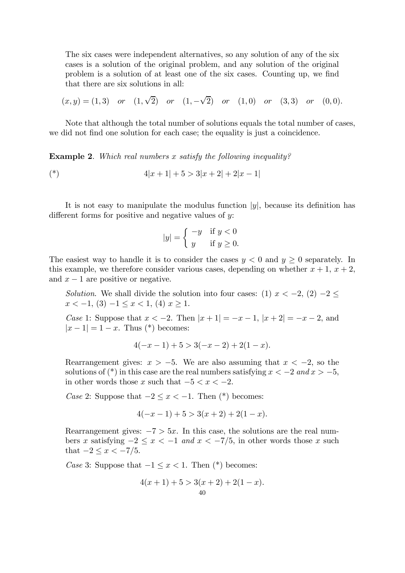The six cases were independent alternatives, so any solution of any of the six cases is a solution of the original problem, and any solution of the original problem is a solution of at least one of the six cases. Counting up, we find that there are six solutions in all:

$$
(x,y) = (1,3)
$$
 or  $(1,\sqrt{2})$  or  $(1,-\sqrt{2})$  or  $(1,0)$  or  $(3,3)$  or  $(0,0)$ .

Note that although the total number of solutions equals the total number of cases, we did not find one solution for each case; the equality is just a coincidence.

Example 2. Which real numbers x satisfy the following inequality?

$$
4|x+1|+5>3|x+2|+2|x-1|
$$

It is not easy to manipulate the modulus function  $|y|$ , because its definition has different forms for positive and negative values of y:

$$
|y| = \begin{cases} -y & \text{if } y < 0\\ y & \text{if } y \ge 0. \end{cases}
$$

The easiest way to handle it is to consider the cases  $y < 0$  and  $y \ge 0$  separately. In this example, we therefore consider various cases, depending on whether  $x + 1$ ,  $x + 2$ , and  $x - 1$  are positive or negative.

Solution. We shall divide the solution into four cases: (1)  $x < -2$ , (2)  $-2 \le$  $x < -1$ , (3)  $-1 \le x < 1$ , (4)  $x > 1$ .

*Case* 1: Suppose that  $x < -2$ . Then  $|x + 1| = -x - 1$ ,  $|x + 2| = -x - 2$ , and  $|x-1|=1-x$ . Thus (\*) becomes:

$$
4(-x-1) + 5 > 3(-x-2) + 2(1-x).
$$

Rearrangement gives:  $x > -5$ . We are also assuming that  $x < -2$ , so the solutions of (\*) in this case are the real numbers satisfying  $x < -2$  and  $x > -5$ , in other words those x such that  $-5 < x < -2$ .

Case 2: Suppose that  $-2 \leq x < -1$ . Then (\*) becomes:

$$
4(-x-1) + 5 > 3(x+2) + 2(1-x).
$$

Rearrangement gives:  $-7 > 5x$ . In this case, the solutions are the real numbers x satisfying  $-2 \le x < -1$  and  $x < -7/5$ , in other words those x such that  $-2 \leq x \leq -7/5$ .

Case 3: Suppose that  $-1 \leq x < 1$ . Then (\*) becomes:

$$
4(x + 1) + 5 > 3(x + 2) + 2(1 - x).
$$
  
40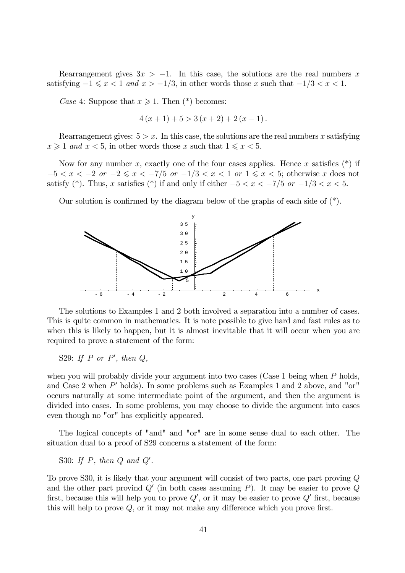Rearrangement gives  $3x > -1$ . In this case, the solutions are the real numbers x satisfying  $-1 \leq x < 1$  and  $x > -1/3$ , in other words those x such that  $-1/3 < x < 1$ .

Case 4: Suppose that  $x \geq 1$ . Then  $(*)$  becomes:

$$
4(x + 1) + 5 > 3(x + 2) + 2(x - 1).
$$

Rearrangement gives:  $5 > x$ . In this case, the solutions are the real numbers x satisfying  $x \geq 1$  and  $x < 5$ , in other words those x such that  $1 \leq x < 5$ .

Now for any number x, exactly one of the four cases applies. Hence x satisfies  $(*)$  if  $-5 < x < -2$  or  $-2 \le x < -7/5$  or  $-1/3 < x < 1$  or  $1 \le x < 5$ ; otherwise x does not satisfy (\*). Thus, x satisfies (\*) if and only if either  $-5 < x < -7/5$  or  $-1/3 < x < 5$ .

Our solution is confirmed by the diagram below of the graphs of each side of (\*).



The solutions to Examples 1 and 2 both involved a separation into a number of cases. This is quite common in mathematics. It is note possible to give hard and fast rules as to when this is likely to happen, but it is almost inevitable that it will occur when you are required to prove a statement of the form:

S29: If P or P', then  $Q$ ,

when you will probably divide your argument into two cases (Case 1 being when  $P$  holds, and Case 2 when  $P'$  holds). In some problems such as Examples 1 and 2 above, and "or" occurs naturally at some intermediate point of the argument, and then the argument is divided into cases. In some problems, you may choose to divide the argument into cases even though no "or" has explicitly appeared.

The logical concepts of "and" and "or" are in some sense dual to each other. The situation dual to a proof of S29 concerns a statement of the form:

S30: If  $P$ , then  $Q$  and  $Q'$ .

To prove S30, it is likely that your argument will consist of two parts, one part proving Q and the other part provind  $Q'$  (in both cases assuming P). It may be easier to prove  $Q$ first, because this will help you to prove  $Q'$ , or it may be easier to prove  $Q'$  first, because this will help to prove Q, or it may not make any difference which you prove first.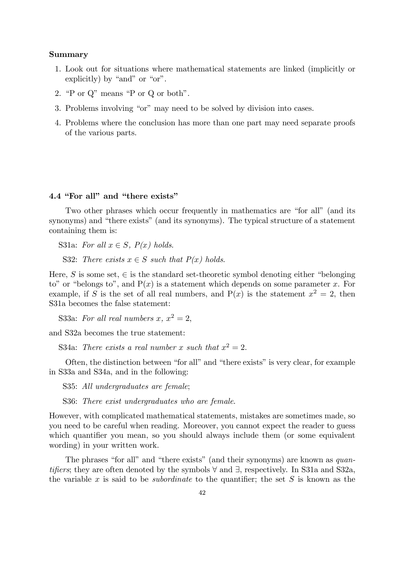## Summary

- 1. Look out for situations where mathematical statements are linked (implicitly or explicitly) by "and" or "or".
- 2. "P or Q" means "P or Q or both".
- 3. Problems involving "or" may need to be solved by division into cases.
- 4. Problems where the conclusion has more than one part may need separate proofs of the various parts.

## 4.4 "For all" and "there exists"

Two other phrases which occur frequently in mathematics are "for all" (and its synonyms) and "there exists" (and its synonyms). The typical structure of a statement containing them is:

S31a: For all  $x \in S$ ,  $P(x)$  holds.

S32: There exists  $x \in S$  such that  $P(x)$  holds.

Here, S is some set,  $\in$  is the standard set-theoretic symbol denoting either "belonging" to" or "belongs to", and  $P(x)$  is a statement which depends on some parameter x. For example, if S is the set of all real numbers, and  $P(x)$  is the statement  $x^2 = 2$ , then S31a becomes the false statement:

S33a: For all real numbers x,  $x^2 = 2$ ,

and S32a becomes the true statement:

S34a: There exists a real number x such that  $x^2 = 2$ .

Often, the distinction between "for all" and "there exists" is very clear, for example in S33a and S34a, and in the following:

S35: All undergraduates are female;

S36: There exist undergraduates who are female.

However, with complicated mathematical statements, mistakes are sometimes made, so you need to be careful when reading. Moreover, you cannot expect the reader to guess which quantifier you mean, so you should always include them (or some equivalent wording) in your written work.

The phrases "for all" and "there exists" (and their synonyms) are known as *quan*tifiers; they are often denoted by the symbols ∀ and ∃, respectively. In S31a and S32a, the variable x is said to be *subordinate* to the quantifier; the set  $S$  is known as the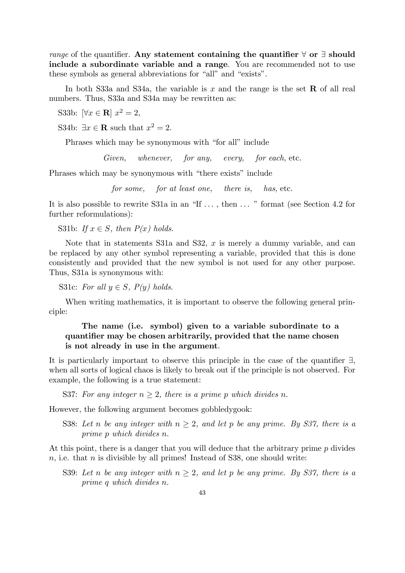range of the quantifier. Any statement containing the quantifier  $\forall$  or  $\exists$  should include a subordinate variable and a range. You are recommended not to use these symbols as general abbreviations for "all" and "exists".

In both S33a and S34a, the variable is x and the range is the set  $\bf{R}$  of all real numbers. Thus, S33a and S34a may be rewritten as:

S33b:  $[\forall x \in \mathbb{R}]$   $x^2 = 2$ ,

S34b:  $\exists x \in \mathbf{R}$  such that  $x^2 = 2$ .

Phrases which may be synonymous with "for all" include

Given, whenever, for any, every, for each, etc.

Phrases which may be synonymous with "there exists" include

for some, for at least one, there is, has, etc.

It is also possible to rewrite S31a in an "If ... , then ... " format (see Section 4.2 for further reformulations):

S31b: If  $x \in S$ , then  $P(x)$  holds.

Note that in statements S31a and S32,  $x$  is merely a dummy variable, and can be replaced by any other symbol representing a variable, provided that this is done consistently and provided that the new symbol is not used for any other purpose. Thus, S31a is synonymous with:

S31c: For all  $y \in S$ ,  $P(y)$  holds.

When writing mathematics, it is important to observe the following general principle:

# The name (i.e. symbol) given to a variable subordinate to a quantifier may be chosen arbitrarily, provided that the name chosen is not already in use in the argument.

It is particularly important to observe this principle in the case of the quantifier ∃, when all sorts of logical chaos is likely to break out if the principle is not observed. For example, the following is a true statement:

S37: For any integer  $n \geq 2$ , there is a prime p which divides n.

However, the following argument becomes gobbledygook:

S38: Let n be any integer with  $n \geq 2$ , and let p be any prime. By S37, there is a prime p which divides n.

At this point, there is a danger that you will deduce that the arbitrary prime p divides  $n$ , i.e. that  $n$  is divisible by all primes! Instead of S38, one should write:

S39: Let n be any integer with  $n \geq 2$ , and let p be any prime. By S37, there is a prime q which divides n.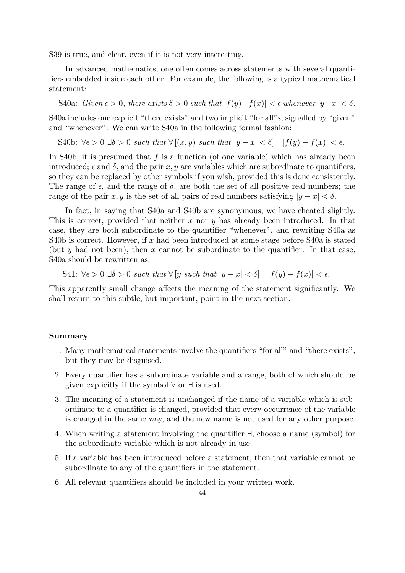S39 is true, and clear, even if it is not very interesting.

In advanced mathematics, one often comes across statements with several quantifiers embedded inside each other. For example, the following is a typical mathematical statement:

S40a: Given 
$$
\epsilon > 0
$$
, there exists  $\delta > 0$  such that  $|f(y)-f(x)| < \epsilon$  whenever  $|y-x| < \delta$ .

S40a includes one explicit "there exists" and two implicit "for all"s, signalled by "given" and "whenever". We can write S40a in the following formal fashion:

S40b: 
$$
\forall \epsilon > 0 \ \exists \delta > 0
$$
 such that  $\forall [(x, y) \text{ such that } |y - x| < \delta$ ]  $|f(y) - f(x)| < \epsilon$ .

In S40b, it is presumed that  $f$  is a function (of one variable) which has already been introduced;  $\epsilon$  and  $\delta$ , and the pair x, y are variables which are subordinate to quantifiers, so they can be replaced by other symbols if you wish, provided this is done consistently. The range of  $\epsilon$ , and the range of  $\delta$ , are both the set of all positive real numbers; the range of the pair x, y is the set of all pairs of real numbers satisfying  $|y - x| < \delta$ .

In fact, in saying that S40a and S40b are synonymous, we have cheated slightly. This is correct, provided that neither  $x$  nor  $y$  has already been introduced. In that case, they are both subordinate to the quantifier "whenever", and rewriting S40a as S40b is correct. However, if x had been introduced at some stage before S40a is stated (but y had not been), then x cannot be subordinate to the quantifier. In that case, S40a should be rewritten as:

S41: 
$$
\forall \epsilon > 0 \ \exists \delta > 0
$$
 such that  $\forall [y \ such \ that \ |y - x| < \delta]$   $|f(y) - f(x)| < \epsilon$ .

This apparently small change affects the meaning of the statement significantly. We shall return to this subtle, but important, point in the next section.

#### Summary

- 1. Many mathematical statements involve the quantifiers "for all" and "there exists", but they may be disguised.
- 2. Every quantifier has a subordinate variable and a range, both of which should be given explicitly if the symbol ∀ or ∃ is used.
- 3. The meaning of a statement is unchanged if the name of a variable which is subordinate to a quantifier is changed, provided that every occurrence of the variable is changed in the same way, and the new name is not used for any other purpose.
- 4. When writing a statement involving the quantifier ∃, choose a name (symbol) for the subordinate variable which is not already in use.
- 5. If a variable has been introduced before a statement, then that variable cannot be subordinate to any of the quantifiers in the statement.
- 6. All relevant quantifiers should be included in your written work.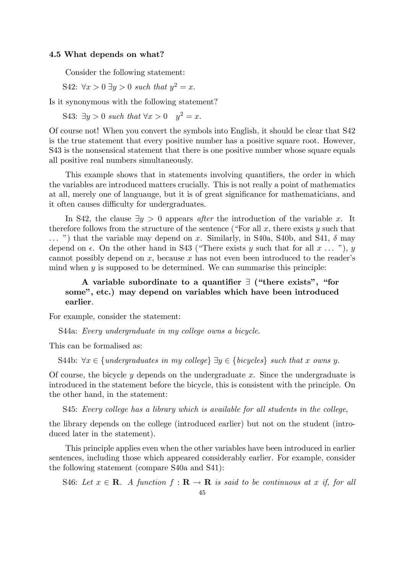#### 4.5 What depends on what?

Consider the following statement:

S42:  $\forall x > 0 \ \exists y > 0$  such that  $y^2 = x$ .

Is it synonymous with the following statement?

S43:  $\exists y > 0$  such that  $\forall x > 0$   $y^2 = x$ .

Of course not! When you convert the symbols into English, it should be clear that S42 is the true statement that every positive number has a positive square root. However, S43 is the nonsensical statement that there is one positive number whose square equals all positive real numbers simultaneously.

This example shows that in statements involving quantifiers, the order in which the variables are introduced matters crucially. This is not really a point of mathematics at all, merely one of languauge, but it is of great significance for mathematicians, and it often causes difficulty for undergraduates.

In S42, the clause  $\exists y > 0$  appears *after* the introduction of the variable x. It therefore follows from the structure of the sentence ("For all  $x$ , there exists  $y$  such that  $\ldots$  ") that the variable may depend on x. Similarly, in S40a, S40b, and S41,  $\delta$  may depend on  $\epsilon$ . On the other hand in S43 ("There exists y such that for all  $x \ldots$ "), y cannot possibly depend on  $x$ , because  $x$  has not even been introduced to the reader's mind when  $y$  is supposed to be determined. We can summarise this principle:

# A variable subordinate to a quantifier ∃ ("there exists", "for some", etc.) may depend on variables which have been introduced earlier.

For example, consider the statement:

S44a: Every undergraduate in my college owns a bicycle.

This can be formalised as:

S44b:  $\forall x \in \{undergraduates in my college\} \exists y \in \{bicycles\} such that x owns y.$ 

Of course, the bicycle  $y$  depends on the undergraduate  $x$ . Since the undergraduate is introduced in the statement before the bicycle, this is consistent with the principle. On the other hand, in the statement:

S45: Every college has a library which is available for all students in the college,

the library depends on the college (introduced earlier) but not on the student (introduced later in the statement).

This principle applies even when the other variables have been introduced in earlier sentences, including those which appeared considerably earlier. For example, consider the following statement (compare S40a and S41):

S46: Let  $x \in \mathbf{R}$ . A function  $f : \mathbf{R} \to \mathbf{R}$  is said to be continuous at x if, for all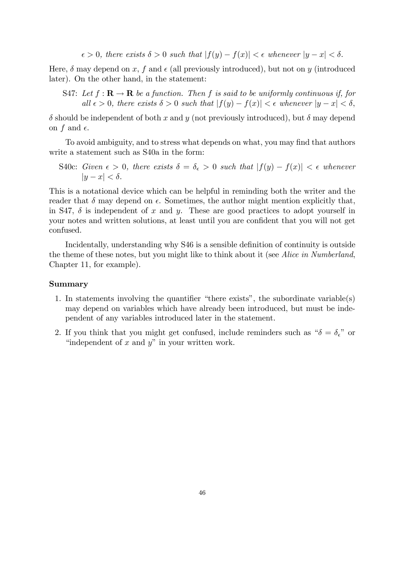$\epsilon > 0$ , there exists  $\delta > 0$  such that  $|f(y) - f(x)| < \epsilon$  whenever  $|y - x| < \delta$ .

Here,  $\delta$  may depend on x, f and  $\epsilon$  (all previously introduced), but not on y (introduced later). On the other hand, in the statement:

S47: Let  $f: \mathbf{R} \to \mathbf{R}$  be a function. Then f is said to be uniformly continuous if, for all  $\epsilon > 0$ , there exists  $\delta > 0$  such that  $|f(y) - f(x)| < \epsilon$  whenever  $|y - x| < \delta$ ,

 $\delta$  should be independent of both x and y (not previously introduced), but  $\delta$  may depend on f and  $\epsilon$ .

To avoid ambiguity, and to stress what depends on what, you may find that authors write a statement such as S40a in the form:

S40c: Given  $\epsilon > 0$ , there exists  $\delta = \delta_{\epsilon} > 0$  such that  $|f(y) - f(x)| < \epsilon$  whenever  $|y-x| < \delta$ .

This is a notational device which can be helpful in reminding both the writer and the reader that  $\delta$  may depend on  $\epsilon$ . Sometimes, the author might mention explicitly that, in S47,  $\delta$  is independent of x and y. These are good practices to adopt yourself in your notes and written solutions, at least until you are confident that you will not get confused.

Incidentally, understanding why S46 is a sensible definition of continuity is outside the theme of these notes, but you might like to think about it (see Alice in Numberland, Chapter 11, for example).

#### Summary

- 1. In statements involving the quantifier "there exists", the subordinate variable(s) may depend on variables which have already been introduced, but must be independent of any variables introduced later in the statement.
- 2. If you think that you might get confused, include reminders such as " $\delta = \delta_{\epsilon}$ " or "independent of  $x$  and  $y$ " in your written work.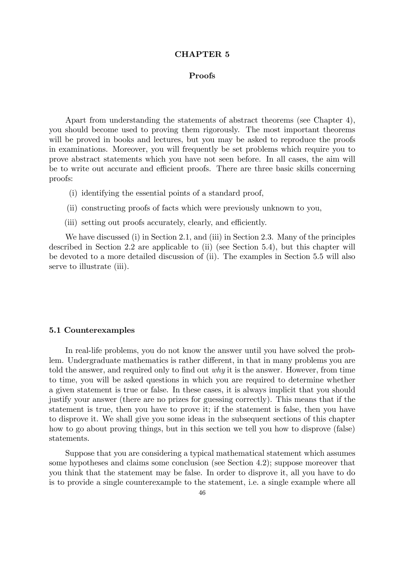#### CHAPTER 5

#### Proofs

Apart from understanding the statements of abstract theorems (see Chapter 4), you should become used to proving them rigorously. The most important theorems will be proved in books and lectures, but you may be asked to reproduce the proofs in examinations. Moreover, you will frequently be set problems which require you to prove abstract statements which you have not seen before. In all cases, the aim will be to write out accurate and efficient proofs. There are three basic skills concerning proofs:

- (i) identifying the essential points of a standard proof,
- (ii) constructing proofs of facts which were previously unknown to you,
- (iii) setting out proofs accurately, clearly, and efficiently.

We have discussed (i) in Section 2.1, and (iii) in Section 2.3. Many of the principles described in Section 2.2 are applicable to (ii) (see Section 5.4), but this chapter will be devoted to a more detailed discussion of (ii). The examples in Section 5.5 will also serve to illustrate (iii).

#### 5.1 Counterexamples

In real-life problems, you do not know the answer until you have solved the problem. Undergraduate mathematics is rather different, in that in many problems you are told the answer, and required only to find out  $why$  it is the answer. However, from time to time, you will be asked questions in which you are required to determine whether a given statement is true or false. In these cases, it is always implicit that you should justify your answer (there are no prizes for guessing correctly). This means that if the statement is true, then you have to prove it; if the statement is false, then you have to disprove it. We shall give you some ideas in the subsequent sections of this chapter how to go about proving things, but in this section we tell you how to disprove (false) statements.

Suppose that you are considering a typical mathematical statement which assumes some hypotheses and claims some conclusion (see Section 4.2); suppose moreover that you think that the statement may be false. In order to disprove it, all you have to do is to provide a single counterexample to the statement, i.e. a single example where all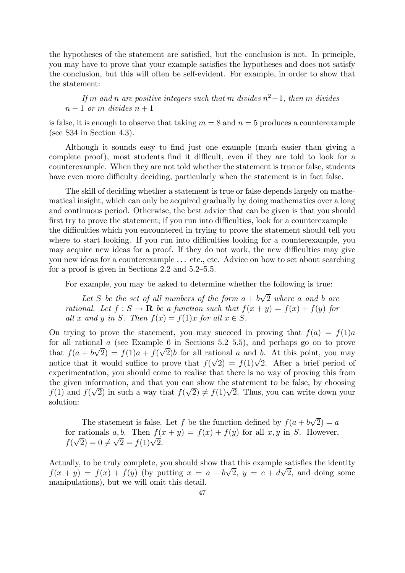the hypotheses of the statement are satisfied, but the conclusion is not. In principle, you may have to prove that your example satisfies the hypotheses and does not satisfy the conclusion, but this will often be self-evident. For example, in order to show that the statement:

If m and n are positive integers such that m divides  $n^2-1$ , then m divides  $n-1$  or m divides  $n+1$ 

is false, it is enough to observe that taking  $m = 8$  and  $n = 5$  produces a counterexample (see S34 in Section 4.3).

Although it sounds easy to find just one example (much easier than giving a complete proof), most students find it difficult, even if they are told to look for a counterexample. When they are not told whether the statement is true or false, students have even more difficulty deciding, particularly when the statement is in fact false.

The skill of deciding whether a statement is true or false depends largely on mathematical insight, which can only be acquired gradually by doing mathematics over a long and continuous period. Otherwise, the best advice that can be given is that you should first try to prove the statement; if you run into difficulties, look for a counterexample– the difficulties which you encountered in trying to prove the statement should tell you where to start looking. If you run into difficulties looking for a counterexample, you may acquire new ideas for a proof. If they do not work, the new difficulties may give you new ideas for a counterexample ... etc., etc. Advice on how to set about searching for a proof is given in Sections 2.2 and 5.2—5.5.

For example, you may be asked to determine whether the following is true:

Let S be the set of all numbers of the form  $a + b\sqrt{2}$  where a and b are rational. Let  $f : S \to \mathbf{R}$  be a function such that  $f(x + y) = f(x) + f(y)$  for all x and y in S. Then  $f(x) = f(1)x$  for all  $x \in S$ .

On trying to prove the statement, you may succeed in proving that  $f(a) = f(1)a$ for all rational  $\alpha$  (see Example 6 in Sections 5.2–5.5), and perhaps go on to prove that  $f(a + b\sqrt{2}) = f(1)a + f(\sqrt{2})b$  for all rational a and b. At this point, you may notice that it would suffice to prove that  $f(\sqrt{2}) = f(1)\sqrt{2}$ . After a brief period of experimentation, you should come to realise that there is no way of proving this from the given information, and that you can show the statement to be false, by choosing f(1) and  $f(\sqrt{2})$  in such a way that  $f(\sqrt{2}) \neq f(1)\sqrt{2}$ . Thus, you can write down your solution:

The statement is false. Let f be the function defined by  $f(a + b\sqrt{2}) = a$ for rationals a, b. Then  $f(x + y) = f(x) + f(y)$  for all x, y in S. However,  $f(\sqrt{2}) = 0 \neq \sqrt{2} = f(1)\sqrt{2}.$ 

Actually, to be truly complete, you should show that this example satisfies the identity  $f(x + y) = f(x) + f(y)$  (by putting  $x = a + b\sqrt{2}$ ,  $y = c + d\sqrt{2}$ , and doing some manipulations), but we will omit this detail.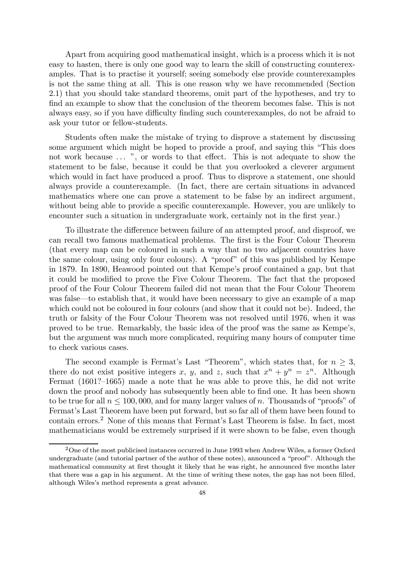Apart from acquiring good mathematical insight, which is a process which it is not easy to hasten, there is only one good way to learn the skill of constructing counterexamples. That is to practise it yourself; seeing somebody else provide counterexamples is not the same thing at all. This is one reason why we have recommended (Section 2.1) that you should take standard theorems, omit part of the hypotheses, and try to find an example to show that the conclusion of the theorem becomes false. This is not always easy, so if you have difficulty finding such counterexamples, do not be afraid to ask your tutor or fellow-students.

Students often make the mistake of trying to disprove a statement by discussing some argument which might be hoped to provide a proof, and saying this "This does not work because ... ", or words to that effect. This is not adequate to show the statement to be false, because it could be that you overlooked a cleverer argument which would in fact have produced a proof. Thus to disprove a statement, one should always provide a counterexample. (In fact, there are certain situations in advanced mathematics where one can prove a statement to be false by an indirect argument, without being able to provide a specific counterexample. However, you are unlikely to encounter such a situation in undergraduate work, certainly not in the first year.)

To illustrate the difference between failure of an attempted proof, and disproof, we can recall two famous mathematical problems. The first is the Four Colour Theorem (that every map can be coloured in such a way that no two adjacent countries have the same colour, using only four colours). A "proof" of this was published by Kempe in 1879. In 1890, Heawood pointed out that Kempe's proof contained a gap, but that it could be modified to prove the Five Colour Theorem. The fact that the proposed proof of the Four Colour Theorem failed did not mean that the Four Colour Theorem was false–to establish that, it would have been necessary to give an example of a map which could not be coloured in four colours (and show that it could not be). Indeed, the truth or falsity of the Four Colour Theorem was not resolved until 1976, when it was proved to be true. Remarkably, the basic idea of the proof was the same as Kempe's, but the argument was much more complicated, requiring many hours of computer time to check various cases.

The second example is Fermat's Last "Theorem", which states that, for  $n \geq 3$ , there do not exist positive integers x, y, and z, such that  $x^n + y^n = z^n$ . Although Fermat (1601?—1665) made a note that he was able to prove this, he did not write down the proof and nobody has subsequently been able to find one. It has been shown to be true for all  $n \le 100,000$ , and for many larger values of n. Thousands of "proofs" of Fermat's Last Theorem have been put forward, but so far all of them have been found to contain errors.<sup>2</sup> None of this means that Fermat's Last Theorem is false. In fact, most mathematicians would be extremely surprised if it were shown to be false, even though

<sup>&</sup>lt;sup>2</sup>One of the most publicised instances occurred in June 1993 when Andrew Wiles, a former Oxford undergraduate (and tutorial partner of the author of these notes), announced a "proof". Although the mathematical community at first thought it likely that he was right, he announced five months later that there was a gap in his argument. At the time of writing these notes, the gap has not been filled, although Wiles's method represents a great advance.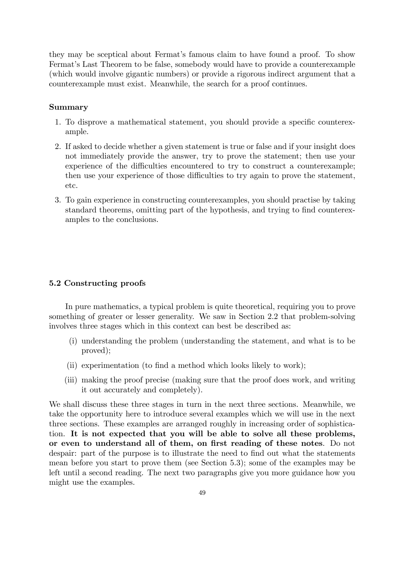they may be sceptical about Fermat's famous claim to have found a proof. To show Fermat's Last Theorem to be false, somebody would have to provide a counterexample (which would involve gigantic numbers) or provide a rigorous indirect argument that a counterexample must exist. Meanwhile, the search for a proof continues.

## Summary

- 1. To disprove a mathematical statement, you should provide a specific counterexample.
- 2. If asked to decide whether a given statement is true or false and if your insight does not immediately provide the answer, try to prove the statement; then use your experience of the difficulties encountered to try to construct a counterexample; then use your experience of those difficulties to try again to prove the statement, etc.
- 3. To gain experience in constructing counterexamples, you should practise by taking standard theorems, omitting part of the hypothesis, and trying to find counterexamples to the conclusions.

## 5.2 Constructing proofs

In pure mathematics, a typical problem is quite theoretical, requiring you to prove something of greater or lesser generality. We saw in Section 2.2 that problem-solving involves three stages which in this context can best be described as:

- (i) understanding the problem (understanding the statement, and what is to be proved);
- (ii) experimentation (to find a method which looks likely to work);
- (iii) making the proof precise (making sure that the proof does work, and writing it out accurately and completely).

We shall discuss these three stages in turn in the next three sections. Meanwhile, we take the opportunity here to introduce several examples which we will use in the next three sections. These examples are arranged roughly in increasing order of sophistication. It is not expected that you will be able to solve all these problems, or even to understand all of them, on first reading of these notes. Do not despair: part of the purpose is to illustrate the need to find out what the statements mean before you start to prove them (see Section 5.3); some of the examples may be left until a second reading. The next two paragraphs give you more guidance how you might use the examples.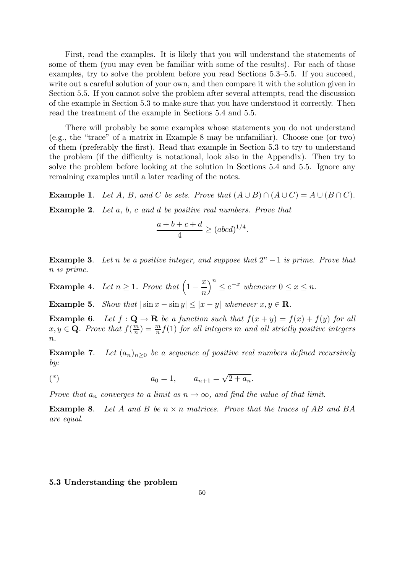First, read the examples. It is likely that you will understand the statements of some of them (you may even be familiar with some of the results). For each of those examples, try to solve the problem before you read Sections 5.3—5.5. If you succeed, write out a careful solution of your own, and then compare it with the solution given in Section 5.5. If you cannot solve the problem after several attempts, read the discussion of the example in Section 5.3 to make sure that you have understood it correctly. Then read the treatment of the example in Sections 5.4 and 5.5.

There will probably be some examples whose statements you do not understand (e.g., the "trace" of a matrix in Example 8 may be unfamiliar). Choose one (or two) of them (preferably the first). Read that example in Section 5.3 to try to understand the problem (if the difficulty is notational, look also in the Appendix). Then try to solve the problem before looking at the solution in Sections 5.4 and 5.5. Ignore any remaining examples until a later reading of the notes.

**Example 1.** Let A, B, and C be sets. Prove that  $(A \cup B) \cap (A \cup C) = A \cup (B \cap C)$ .

**Example 2.** Let a, b, c and d be positive real numbers. Prove that

$$
\frac{a+b+c+d}{4} \ge (abcd)^{1/4}.
$$

**Example 3.** Let n be a positive integer, and suppose that  $2^n - 1$  is prime. Prove that n is prime.

**Example 4.** Let  $n \geq 1$ . Prove that  $\left(1 - \frac{x}{n}\right)$  $\big)^n \leq e^{-x}$  whenever  $0 \leq x \leq n$ .

Example 5. Show that  $|\sin x - \sin y| < |x - y|$  whenever  $x, y \in \mathbb{R}$ .

**Example 6.** Let  $f: \mathbf{Q} \to \mathbf{R}$  be a function such that  $f(x+y) = f(x) + f(y)$  for all  $x, y \in \mathbf{Q}$ . Prove that  $f(\frac{m}{n}) = \frac{m}{n} f(1)$  for all integers m and all strictly positive integers  $\overline{n}$ .

**Example 7.** Let  $(a_n)_{n>0}$  be a sequence of positive real numbers defined recursively by:

(\*) 
$$
a_0 = 1
$$
,  $a_{n+1} = \sqrt{2 + a_n}$ .

Prove that  $a_n$  converges to a limit as  $n \to \infty$ , and find the value of that limit.

**Example 8.** Let A and B be  $n \times n$  matrices. Prove that the traces of AB and BA are equal.

#### 5.3 Understanding the problem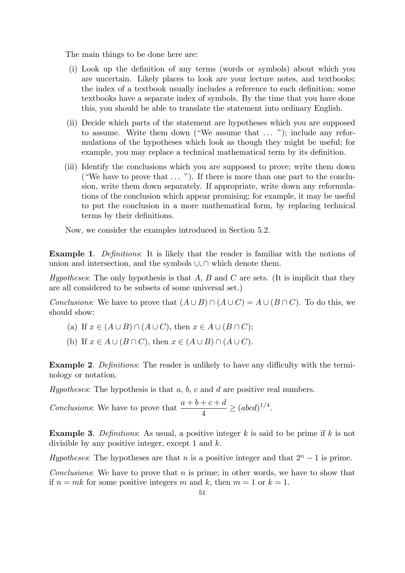The main things to be done here are:

- (i) Look up the definition of any terms (words or symbols) about which you are uncertain. Likely places to look are your lecture notes, and textbooks; the index of a textbook usually includes a reference to each definition; some textbooks have a separate index of symbols. By the time that you have done this, you should be able to translate the statement into ordinary English.
- (ii) Decide which parts of the statement are hypotheses which you are supposed to assume. Write them down ("We assume that ... "); include any reformulations of the hypotheses which look as though they might be useful; for example, you may replace a technical mathematical term by its definition.
- (iii) Identify the conclusions which you are supposed to prove; write them down ("We have to prove that ... "). If there is more than one part to the conclusion, write them down separately. If appropriate, write down any reformulations of the conclusion which appear promising; for example, it may be useful to put the conclusion in a more mathematical form, by replacing technical terms by their definitions.

Now, we consider the examples introduced in Section 5.2.

Example 1. Definitions: It is likely that the reader is familiar with the notions of union and intersection, and the symbols ∪,∩ which denote them.

Hypotheses: The only hypothesis is that  $A, B$  and  $C$  are sets. (It is implicit that they are all considered to be subsets of some universal set.)

Conclusions: We have to prove that  $(A \cup B) \cap (A \cup C) = A \cup (B \cap C)$ . To do this, we should show:

- (a) If  $x \in (A \cup B) \cap (A \cup C)$ , then  $x \in A \cup (B \cap C)$ ;
- (b) If  $x \in A \cup (B \cap C)$ , then  $x \in (A \cup B) \cap (A \cup C)$ .

Example 2. Definitions: The reader is unlikely to have any difficulty with the terminology or notation.

Hypotheses: The hypothesis is that  $a, b, c$  and  $d$  are positive real numbers.

Conclusions: We have to prove that  $\frac{a+b+c+d}{4}$  $\frac{+ c + a}{4} \geq (abcd)^{1/4}.$ 

**Example 3.** Definitions: As usual, a positive integer  $k$  is said to be prime if  $k$  is not divisible by any positive integer, except 1 and  $k$ .

Hypotheses: The hypotheses are that n is a positive integer and that  $2<sup>n</sup> - 1$  is prime.

*Conclusions:* We have to prove that  $n$  is prime; in other words, we have to show that if  $n = mk$  for some positive integers m and k, then  $m = 1$  or  $k = 1$ .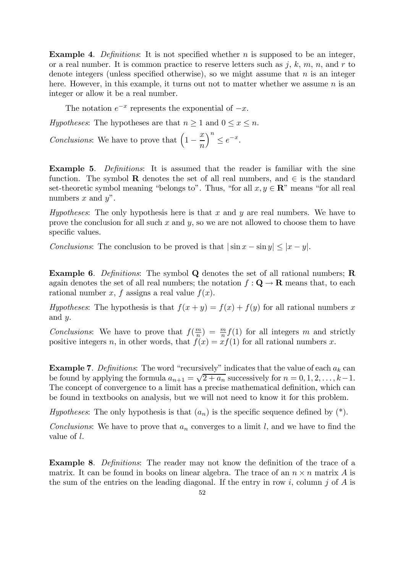**Example 4.** Definitions: It is not specified whether n is supposed to be an integer, or a real number. It is common practice to reserve letters such as  $j, k, m, n$ , and r to denote integers (unless specified otherwise), so we might assume that  $n$  is an integer here. However, in this example, it turns out not to matter whether we assume  $n$  is an integer or allow it be a real number.

The notation  $e^{-x}$  represents the exponential of  $-x$ .

Hypotheses: The hypotheses are that  $n \geq 1$  and  $0 \leq x \leq n$ .

Conclusions: We have to prove that  $\left(1 - \frac{x}{n}\right)$  $\Big)^n \leq e^{-x}.$ 

Example 5. Definitions: It is assumed that the reader is familiar with the sine function. The symbol R denotes the set of all real numbers, and  $\in$  is the standard set-theoretic symbol meaning "belongs to". Thus, "for all  $x, y \in \mathbb{R}$ " means "for all real numbers  $x$  and  $y$ ".

Hypotheses: The only hypothesis here is that x and y are real numbers. We have to prove the conclusion for all such  $x$  and  $y$ , so we are not allowed to choose them to have specific values.

Conclusions: The conclusion to be proved is that  $|\sin x - \sin y| \leq |x - y|$ .

Example 6. Definitions: The symbol Q denotes the set of all rational numbers; R again denotes the set of all real numbers; the notation  $f: \mathbf{Q} \to \mathbf{R}$  means that, to each rational number x, f assigns a real value  $f(x)$ .

Hypotheses: The hypothesis is that  $f(x + y) = f(x) + f(y)$  for all rational numbers x and y.

Conclusions: We have to prove that  $f(\frac{m}{n}) = \frac{m}{n} f(1)$  for all integers m and strictly positive integers n, in other words, that  $f(x) = xf(1)$  for all rational numbers x.

**Example 7.** Definitions: The word "recursively" indicates that the value of each  $a_k$  can be found by applying the formula  $a_{n+1} = \sqrt{2 + a_n}$  successively for  $n = 0, 1, 2, \ldots, k-1$ . The concept of convergence to a limit has a precise mathematical definition, which can be found in textbooks on analysis, but we will not need to know it for this problem.

*Hypotheses*: The only hypothesis is that  $(a_n)$  is the specific sequence defined by  $(*)$ .

*Conclusions*: We have to prove that  $a_n$  converges to a limit l, and we have to find the value of l.

Example 8. Definitions: The reader may not know the definition of the trace of a matrix. It can be found in books on linear algebra. The trace of an  $n \times n$  matrix A is the sum of the entries on the leading diagonal. If the entry in row i, column j of  $A$  is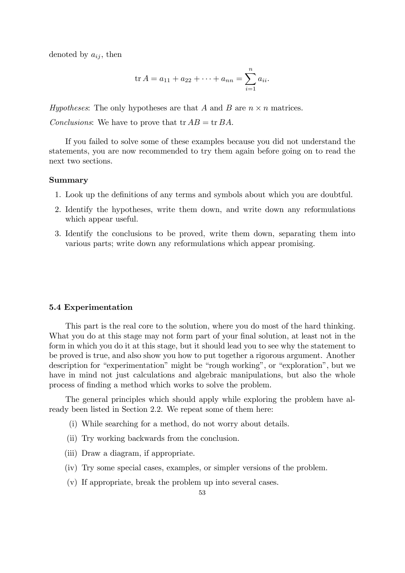denoted by  $a_{ij}$ , then

$$
\operatorname{tr} A = a_{11} + a_{22} + \cdots + a_{nn} = \sum_{i=1}^{n} a_{ii}.
$$

Hypotheses: The only hypotheses are that A and B are  $n \times n$  matrices. Conclusions: We have to prove that  $tr AB = tr BA$ .

If you failed to solve some of these examples because you did not understand the statements, you are now recommended to try them again before going on to read the next two sections.

## Summary

- 1. Look up the definitions of any terms and symbols about which you are doubtful.
- 2. Identify the hypotheses, write them down, and write down any reformulations which appear useful.
- 3. Identify the conclusions to be proved, write them down, separating them into various parts; write down any reformulations which appear promising.

#### 5.4 Experimentation

This part is the real core to the solution, where you do most of the hard thinking. What you do at this stage may not form part of your final solution, at least not in the form in which you do it at this stage, but it should lead you to see why the statement to be proved is true, and also show you how to put together a rigorous argument. Another description for "experimentation" might be "rough working", or "exploration", but we have in mind not just calculations and algebraic manipulations, but also the whole process of finding a method which works to solve the problem.

The general principles which should apply while exploring the problem have already been listed in Section 2.2. We repeat some of them here:

- (i) While searching for a method, do not worry about details.
- (ii) Try working backwards from the conclusion.
- (iii) Draw a diagram, if appropriate.
- (iv) Try some special cases, examples, or simpler versions of the problem.
- (v) If appropriate, break the problem up into several cases.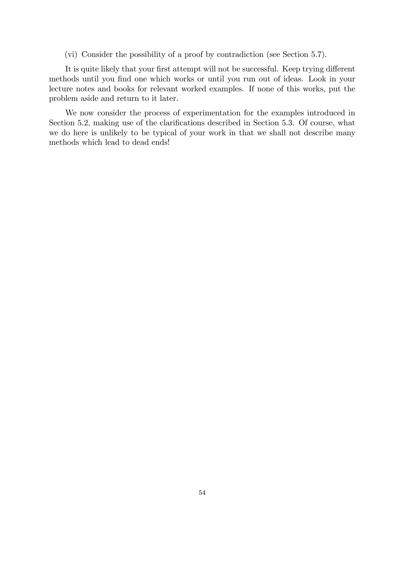(vi) Consider the possibility of a proof by contradiction (see Section 5.7).

It is quite likely that your first attempt will not be successful. Keep trying different methods until you find one which works or until you run out of ideas. Look in your lecture notes and books for relevant worked examples. If none of this works, put the problem aside and return to it later.

We now consider the process of experimentation for the examples introduced in Section 5.2, making use of the clarifications described in Section 5.3. Of course, what we do here is unlikely to be typical of your work in that we shall not describe many methods which lead to dead ends!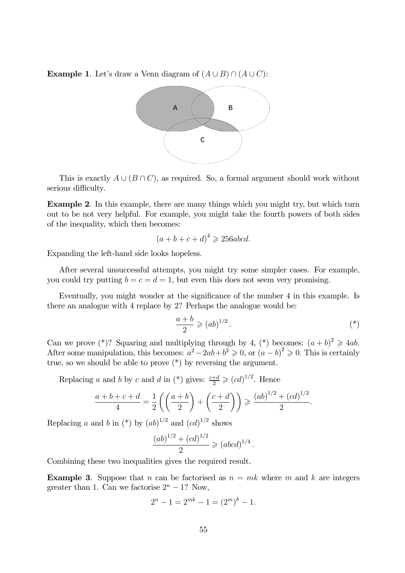**Example 1.** Let's draw a Venn diagram of  $(A \cup B) \cap (A \cup C)$ :



This is exactly  $A \cup (B \cap C)$ , as required. So, a formal argument should work without serious difficulty.

Example 2. In this example, there are many things which you might try, but which turn out to be not very helpful. For example, you might take the fourth powers of both sides of the inequality, which then becomes:

$$
(a+b+c+d)^4 \ge 256abcd.
$$

Expanding the left-hand side looks hopeless.

After several unsuccessful attempts, you might try some simpler cases. For example, you could try putting  $b = c = d = 1$ , but even this does not seem very promising.

Eventually, you might wonder at the significance of the number 4 in this example. Is there an analogue with 4 replace by 2? Perhaps the analogue would be:

$$
\frac{a+b}{2} \geqslant (ab)^{1/2} \,. \tag{*}
$$

Can we prove (\*)? Squaring and multiplying through by 4, (\*) becomes:  $(a + b)^2 \geq 4ab$ . After some manipulation, this becomes:  $a^2 - 2ab + b^2 \geq 0$ , or  $(a - b)^2 \geq 0$ . This is certainly true, so we should be able to prove  $(*)$  by reversing the argument.

Replacing a and b by c and d in (\*) gives:  $\frac{c+d}{2} \geqslant (cd)^{1/2}$ . Hence

$$
\frac{a+b+c+d}{4} = \frac{1}{2}\left(\left(\frac{a+b}{2}\right) + \left(\frac{c+d}{2}\right)\right) \geqslant \frac{(ab)^{1/2} + (cd)^{1/2}}{2}.
$$

Replacing a and b in  $(*)$  by  $(ab)^{1/2}$  and  $(cd)^{1/2}$  shows

$$
\frac{(ab)^{1/2} + (cd)^{1/2}}{2} \geq (abcd)^{1/4}.
$$

Combining these two inequalities gives the required result.

**Example 3.** Suppose that n can be factorised as  $n = mk$  where m and k are integers greater than 1. Can we factorise  $2<sup>n</sup> - 1$ ? Now,

$$
2^{n} - 1 = 2^{mk} - 1 = (2^{m})^{k} - 1.
$$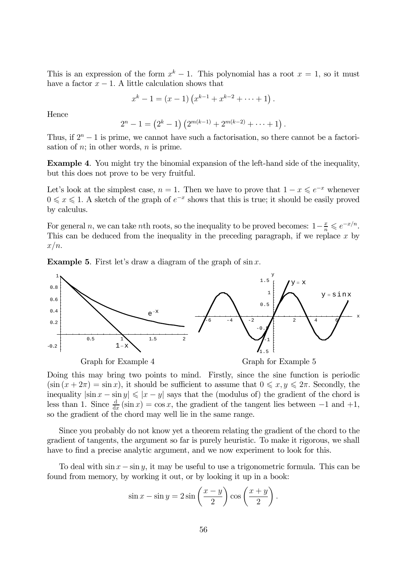This is an expression of the form  $x^k - 1$ . This polynomial has a root  $x = 1$ , so it must have a factor  $x - 1$ . A little calculation shows that

$$
x^{k}-1 = (x - 1) (x^{k-1} + x^{k-2} + \cdots + 1).
$$

Hence

$$
2^{n} - 1 = (2^{k} - 1) (2^{m(k-1)} + 2^{m(k-2)} + \cdots + 1).
$$

Thus, if  $2^{n} - 1$  is prime, we cannot have such a factorisation, so there cannot be a factorisation of  $n$ ; in other words,  $n$  is prime.

Example 4. You might try the binomial expansion of the left-hand side of the inequality, but this does not prove to be very fruitful.

Let's look at the simplest case,  $n = 1$ . Then we have to prove that  $1 - x \leqslant e^{-x}$  whenever  $0 \leq x \leq 1$ . A sketch of the graph of  $e^{-x}$  shows that this is true; it should be easily proved by calculus.

For general n, we can take nth roots, so the inequality to be proved becomes:  $1-\frac{x}{n} \leq e^{-x/n}$ . This can be deduced from the inequality in the preceding paragraph, if we replace x by  $x/n$ .

**Example 5.** First let's draw a diagram of the graph of  $\sin x$ .



Doing this may bring two points to mind. Firstly, since the sine function is periodic  $(\sin (x + 2\pi) = \sin x)$ , it should be sufficient to assume that  $0 \le x, y \le 2\pi$ . Secondly, the inequality  $|\sin x - \sin y| \leq |x - y|$  says that the (modulus of) the gradient of the chord is less than 1. Since  $\frac{d}{dx}(\sin x) = \cos x$ , the gradient of the tangent lies between -1 and +1, so the gradient of the chord may well lie in the same range.

Since you probably do not know yet a theorem relating the gradient of the chord to the gradient of tangents, the argument so far is purely heuristic. To make it rigorous, we shall have to find a precise analytic argument, and we now experiment to look for this.

To deal with  $\sin x - \sin y$ , it may be useful to use a trigonometric formula. This can be found from memory, by working it out, or by looking it up in a book:

$$
\sin x - \sin y = 2\sin\left(\frac{x-y}{2}\right)\cos\left(\frac{x+y}{2}\right).
$$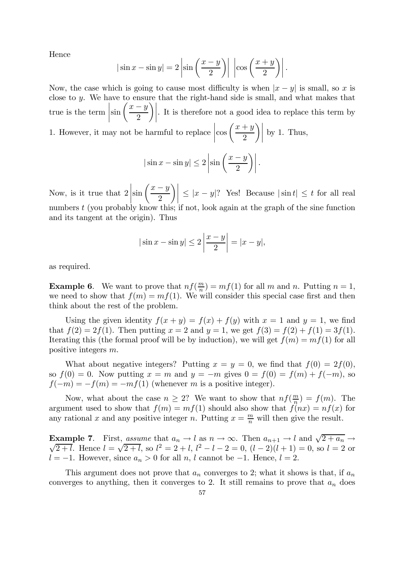Hence

$$
|\sin x - \sin y| = 2\left|\sin\left(\frac{x-y}{2}\right)\right| \left|\cos\left(\frac{x+y}{2}\right)\right|.
$$

Now, the case which is going to cause most difficulty is when  $|x - y|$  is small, so x is close to y. We have to ensure that the right-hand side is small, and what makes that true is the term ¯ ¯ ¯ ¯  $\sin\left(\frac{x-y}{2}\right)$ 2  $\begin{array}{c} \hline \text{ } \\ \text{ } \\ \text{ } \end{array}$ . It is therefore not a good idea to replace this term by

1. However, it may not be harmful to replace  $\begin{array}{|c|c|} \hline \multicolumn{1}{|c|}{3} & \multicolumn{1}{|c|}{4} \multicolumn{1}{|c|}{5} \multicolumn{1}{|c|}{6} \multicolumn{1}{|c|}{5} \multicolumn{1}{|c|}{6} \multicolumn{1}{|c|}{6} \multicolumn{1}{|c|}{6} \multicolumn{1}{|c|}{6} \multicolumn{1}{|c|}{6} \multicolumn{1}{|c|}{6} \multicolumn{1}{|c|}{6} \multicolumn{1}{|c|}{6} \multicolumn{1}{|c|}{6} \multicolumn{1}{|c|}{6} \multicolumn{1}{|c|$  $\cos\left(\frac{x+y}{2}\right)$ 2  $\left| \begin{matrix} \frac{1}{2} \\ 1 \end{matrix} \right|$ by 1. Thus,

$$
|\sin x - \sin y| \le 2 \left| \sin \left( \frac{x - y}{2} \right) \right|.
$$

Now, is it true that 2 ¯ ¯ ¯ ¯  $\sin\left(\frac{x-y}{2}\right)$ 2  $\left|\int_0^1 |z - y| \right|$ ? Yes! Because  $|\sin t| \le t$  for all real numbers t (you probably know this; if not, look again at the graph of the sine function and its tangent at the origin). Thus

$$
|\sin x - \sin y| \le 2\left|\frac{x-y}{2}\right| = |x - y|,
$$

as required.

**Example 6.** We want to prove that  $nf(\frac{m}{n}) = mf(1)$  for all m and n. Putting  $n = 1$ , we need to show that  $f(m) = mf(1)$ . We will consider this special case first and then think about the rest of the problem.

Using the given identity  $f(x + y) = f(x) + f(y)$  with  $x = 1$  and  $y = 1$ , we find that  $f(2) = 2f(1)$ . Then putting  $x = 2$  and  $y = 1$ , we get  $f(3) = f(2) + f(1) = 3f(1)$ . Iterating this (the formal proof will be by induction), we will get  $f(m) = mf(1)$  for all positive integers m.

What about negative integers? Putting  $x = y = 0$ , we find that  $f(0) = 2f(0)$ , so  $f(0) = 0$ . Now putting  $x = m$  and  $y = -m$  gives  $0 = f(0) = f(m) + f(-m)$ , so  $f(-m) = -f(m) = -mf(1)$  (whenever m is a positive integer).

Now, what about the case  $n \geq 2$ ? We want to show that  $nf(\frac{m}{n}) = f(m)$ . The argument used to show that  $f(m) = mf(1)$  should also show that  $f(nx) = nf(x)$  for any rational x and any positive integer n. Putting  $x = \frac{m}{n}$  will then give the result.

**Example 7.** First, assume that  $a_n \to l$  as  $n \to \infty$ . Then  $a_{n+1} \to l$  and  $\sqrt{2 + a_n} \to \sqrt{2 + l}$  Hence  $l = \sqrt{2 + l}$  so  $l^2 = 2 + l$   $l^2 = l - 2 = 0$   $(l - 2)(l + 1) = 0$  so  $l = 2$  or  $\overline{2+l}$ . Hence  $l = \sqrt{2+l}$ , so  $l^2 = 2+l$ ,  $l^2 - l - 2 = 0$ ,  $(l-2)(l+1) = 0$ , so  $l = 2$  or  $l = -1$ . However, since  $a_n > 0$  for all n, l cannot be −1. Hence,  $l = 2$ .

This argument does not prove that  $a_n$  converges to 2; what it shows is that, if  $a_n$ converges to anything, then it converges to 2. It still remains to prove that  $a_n$  does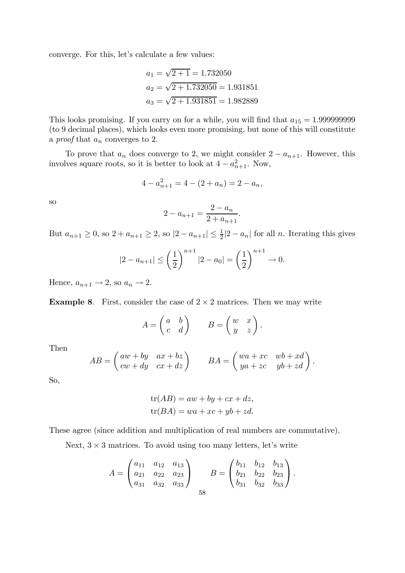converge. For this, let's calculate a few values:

$$
a_1 = \sqrt{2+1} = 1.732050
$$
  
\n
$$
a_2 = \sqrt{2+1.732050} = 1.931851
$$
  
\n
$$
a_3 = \sqrt{2+1.931851} = 1.982889
$$

This looks promising. If you carry on for a while, you will find that a<sup>15</sup> = 1.999999999 (to 9 decimal places), which looks even more promising, but none of this will constitute a *proof* that  $a_n$  converges to 2.

To prove that  $a_n$  does converge to 2, we might consider  $2 - a_{n+1}$ . However, this involves square roots, so it is better to look at  $4 - a_{n+1}^2$ . Now,

$$
4 - a_{n+1}^2 = 4 - (2 + a_n) = 2 - a_n,
$$

so

$$
2 - a_{n+1} = \frac{2 - a_n}{2 + a_{n+1}}.
$$

But  $a_{n+1} \geq 0$ , so  $2 + a_{n+1} \geq 2$ , so  $|2 - a_{n+1}| \leq \frac{1}{2}|2 - a_n|$  for all n. Iterating this gives

$$
|2 - a_{n+1}| \le \left(\frac{1}{2}\right)^{n+1} |2 - a_0| = \left(\frac{1}{2}\right)^{n+1} \to 0.
$$

Hence,  $a_{n+1} \rightarrow 2$ , so  $a_n \rightarrow 2$ .

**Example 8.** First, consider the case of  $2 \times 2$  matrices. Then we may write

$$
A = \begin{pmatrix} a & b \\ c & d \end{pmatrix} \qquad B = \begin{pmatrix} w & x \\ y & z \end{pmatrix}.
$$

Then

$$
AB = \begin{pmatrix} aw + by & ax + bz \\ cw + dy & cx + dz \end{pmatrix} \qquad BA = \begin{pmatrix} wa + xc & wb + xd \\ ya + xc & yb + zd \end{pmatrix}.
$$

So,

$$
tr(AB) = aw + by + cx + dz,
$$
  

$$
tr(BA) = wa + xc + yb + zd.
$$

These agree (since addition and multiplication of real numbers are commutative).

Next,  $3 \times 3$  matrices. To avoid using too many letters, let's write

$$
A = \begin{pmatrix} a_{11} & a_{12} & a_{13} \\ a_{21} & a_{22} & a_{23} \\ a_{31} & a_{32} & a_{33} \end{pmatrix} \qquad B = \begin{pmatrix} b_{11} & b_{12} & b_{13} \\ b_{21} & b_{22} & b_{23} \\ b_{31} & b_{32} & b_{33} \end{pmatrix}.
$$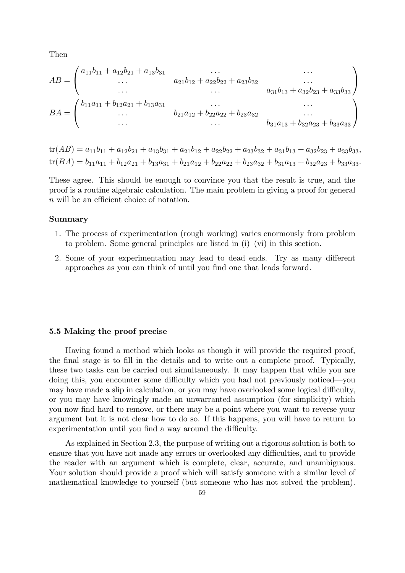Then

$$
AB = \begin{pmatrix} a_{11}b_{11} + a_{12}b_{21} + a_{13}b_{31} & \cdots & \cdots \\ \cdots & a_{21}b_{12} + a_{22}b_{22} + a_{23}b_{32} & \cdots \\ \cdots & \cdots & a_{31}b_{13} + a_{32}b_{23} + a_{33}b_{33} \end{pmatrix}
$$

$$
BA = \begin{pmatrix} b_{11}a_{11} + b_{12}a_{21} + b_{13}a_{31} & \cdots & \cdots \\ \cdots & b_{21}a_{12} + b_{22}a_{22} + b_{23}a_{32} & \cdots \\ \cdots & \cdots & \cdots & b_{31}a_{13} + b_{32}a_{23} + b_{33}a_{33} \end{pmatrix}
$$

 $tr(AB) = a_{11}b_{11} + a_{12}b_{21} + a_{13}b_{31} + a_{21}b_{12} + a_{22}b_{22} + a_{23}b_{32} + a_{31}b_{13} + a_{32}b_{23} + a_{33}b_{33}$  $tr(BA) = b_{11}a_{11} + b_{12}a_{21} + b_{13}a_{31} + b_{21}a_{12} + b_{22}a_{22} + b_{23}a_{32} + b_{31}a_{13} + b_{32}a_{23} + b_{33}a_{33}.$ 

These agree. This should be enough to convince you that the result is true, and the proof is a routine algebraic calculation. The main problem in giving a proof for general n will be an efficient choice of notation.

## Summary

- 1. The process of experimentation (rough working) varies enormously from problem to problem. Some general principles are listed in  $(i)$ —(vi) in this section.
- 2. Some of your experimentation may lead to dead ends. Try as many different approaches as you can think of until you find one that leads forward.

#### 5.5 Making the proof precise

Having found a method which looks as though it will provide the required proof, the final stage is to fill in the details and to write out a complete proof. Typically, these two tasks can be carried out simultaneously. It may happen that while you are doing this, you encounter some difficulty which you had not previously noticed–you may have made a slip in calculation, or you may have overlooked some logical difficulty, or you may have knowingly made an unwarranted assumption (for simplicity) which you now find hard to remove, or there may be a point where you want to reverse your argument but it is not clear how to do so. If this happens, you will have to return to experimentation until you find a way around the difficulty.

As explained in Section 2.3, the purpose of writing out a rigorous solution is both to ensure that you have not made any errors or overlooked any difficulties, and to provide the reader with an argument which is complete, clear, accurate, and unambiguous. Your solution should provide a proof which will satisfy someone with a similar level of mathematical knowledge to yourself (but someone who has not solved the problem).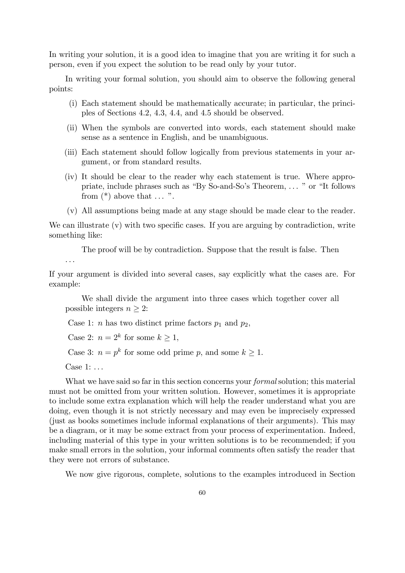In writing your solution, it is a good idea to imagine that you are writing it for such a person, even if you expect the solution to be read only by your tutor.

In writing your formal solution, you should aim to observe the following general points:

- (i) Each statement should be mathematically accurate; in particular, the principles of Sections 4.2, 4.3, 4.4, and 4.5 should be observed.
- (ii) When the symbols are converted into words, each statement should make sense as a sentence in English, and be unambiguous.
- (iii) Each statement should follow logically from previous statements in your argument, or from standard results.
- (iv) It should be clear to the reader why each statement is true. Where appropriate, include phrases such as "By So-and-So's Theorem, ... " or "It follows from  $(*)$  above that  $\dots$ ".
- (v) All assumptions being made at any stage should be made clear to the reader.

We can illustrate (v) with two specific cases. If you are arguing by contradiction, write something like:

The proof will be by contradiction. Suppose that the result is false. Then

If your argument is divided into several cases, say explicitly what the cases are. For example:

We shall divide the argument into three cases which together cover all possible integers  $n \geq 2$ :

Case 1: *n* has two distinct prime factors  $p_1$  and  $p_2$ ,

Case 2:  $n = 2^k$  for some  $k \ge 1$ ,

Case 3:  $n = p^k$  for some odd prime p, and some  $k \ge 1$ .

Case 1: ...

...

What we have said so far in this section concerns your *formal* solution; this material must not be omitted from your written solution. However, sometimes it is appropriate to include some extra explanation which will help the reader understand what you are doing, even though it is not strictly necessary and may even be imprecisely expressed (just as books sometimes include informal explanations of their arguments). This may be a diagram, or it may be some extract from your process of experimentation. Indeed, including material of this type in your written solutions is to be recommended; if you make small errors in the solution, your informal comments often satisfy the reader that they were not errors of substance.

We now give rigorous, complete, solutions to the examples introduced in Section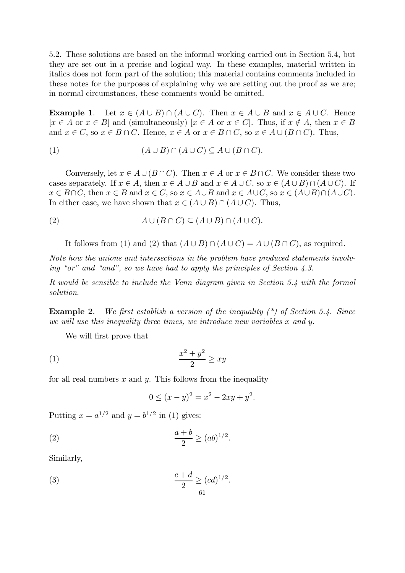5.2. These solutions are based on the informal working carried out in Section 5.4, but they are set out in a precise and logical way. In these examples, material written in italics does not form part of the solution; this material contains comments included in these notes for the purposes of explaining why we are setting out the proof as we are; in normal circumstances, these comments would be omitted.

**Example 1.** Let  $x \in (A \cup B) \cap (A \cup C)$ . Then  $x \in A \cup B$  and  $x \in A \cup C$ . Hence  $[x \in A \text{ or } x \in B]$  and (simultaneously)  $[x \in A \text{ or } x \in C]$ . Thus, if  $x \notin A$ , then  $x \in B$ and  $x \in C$ , so  $x \in B \cap C$ . Hence,  $x \in A$  or  $x \in B \cap C$ , so  $x \in A \cup (B \cap C)$ . Thus,

(1) 
$$
(A \cup B) \cap (A \cup C) \subseteq A \cup (B \cap C).
$$

Conversely, let  $x \in A \cup (B \cap C)$ . Then  $x \in A$  or  $x \in B \cap C$ . We consider these two cases separately. If  $x \in A$ , then  $x \in A \cup B$  and  $x \in A \cup C$ , so  $x \in (A \cup B) \cap (A \cup C)$ . If  $x \in B \cap C$ , then  $x \in B$  and  $x \in C$ , so  $x \in A \cup B$  and  $x \in A \cup C$ , so  $x \in (A \cup B) \cap (A \cup C)$ . In either case, we have shown that  $x \in (A \cup B) \cap (A \cup C)$ . Thus,

(2) 
$$
A \cup (B \cap C) \subseteq (A \cup B) \cap (A \cup C).
$$

It follows from (1) and (2) that  $(A \cup B) \cap (A \cup C) = A \cup (B \cap C)$ , as required.

Note how the unions and intersections in the problem have produced statements involving "or" and "and", so we have had to apply the principles of Section 4.3.

It would be sensible to include the Venn diagram given in Section 5.4 with the formal solution.

**Example 2.** We first establish a version of the inequality  $(*)$  of Section 5.4. Since we will use this inequality three times, we introduce new variables x and y.

We will first prove that

$$
(1) \qquad \qquad \frac{x^2 + y^2}{2} \geq xy
$$

for all real numbers  $x$  and  $y$ . This follows from the inequality

$$
0 \le (x - y)^2 = x^2 - 2xy + y^2.
$$

Putting  $x = a^{1/2}$  and  $y = b^{1/2}$  in (1) gives:

$$
\frac{a+b}{2} \ge (ab)^{1/2}.
$$

Similarly,

(3) 
$$
\frac{c+d}{2} \geq (cd)^{1/2}.
$$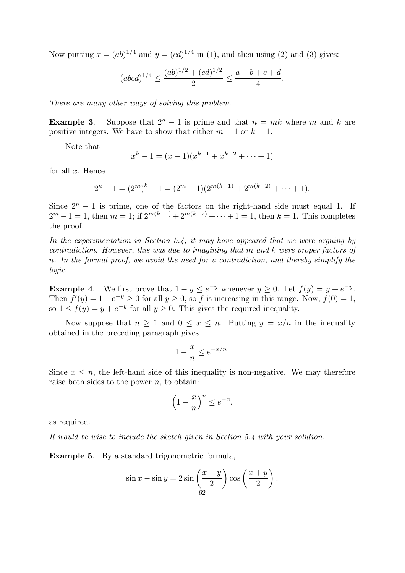Now putting  $x = (ab)^{1/4}$  and  $y = (cd)^{1/4}$  in (1), and then using (2) and (3) gives:

$$
(abcd)^{1/4} \le \frac{(ab)^{1/2} + (cd)^{1/2}}{2} \le \frac{a+b+c+d}{4}.
$$

There are many other ways of solving this problem.

**Example 3.** Suppose that  $2^{n} - 1$  is prime and that  $n = mk$  where m and k are positive integers. We have to show that either  $m = 1$  or  $k = 1$ .

Note that

$$
x^{k} - 1 = (x - 1)(x^{k-1} + x^{k-2} + \dots + 1)
$$

for all  $x$ . Hence

$$
2^{n} - 1 = (2^{m})^{k} - 1 = (2^{m} - 1)(2^{m(k-1)} + 2^{m(k-2)} + \dots + 1).
$$

Since  $2^{n} - 1$  is prime, one of the factors on the right-hand side must equal 1. If  $2^m - 1 = 1$ , then  $m = 1$ ; if  $2^{m(k-1)} + 2^{m(k-2)} + \cdots + 1 = 1$ , then  $k = 1$ . This completes the proof.

In the experimentation in Section 5.4, it may have appeared that we were arguing by contradiction. However, this was due to imagining that m and k were proper factors of n. In the formal proof, we avoid the need for a contradiction, and thereby simplify the logic.

**Example 4.** We first prove that  $1 - y \le e^{-y}$  whenever  $y \ge 0$ . Let  $f(y) = y + e^{-y}$ . Then  $f'(y)=1-e^{-y}\geq 0$  for all  $y\geq 0$ , so f is increasing in this range. Now,  $f(0)=1$ , so  $1 \le f(y) = y + e^{-y}$  for all  $y \ge 0$ . This gives the required inequality.

Now suppose that  $n \geq 1$  and  $0 \leq x \leq n$ . Putting  $y = x/n$  in the inequality obtained in the preceding paragraph gives

$$
1 - \frac{x}{n} \le e^{-x/n}.
$$

Since  $x \leq n$ , the left-hand side of this inequality is non-negative. We may therefore raise both sides to the power  $n$ , to obtain:

$$
\left(1 - \frac{x}{n}\right)^n \le e^{-x},
$$

as required.

It would be wise to include the sketch given in Section 5.4 with your solution.

Example 5. By a standard trigonometric formula,

$$
\sin x - \sin y = 2\sin\left(\frac{x-y}{2}\right)\cos\left(\frac{x+y}{2}\right).
$$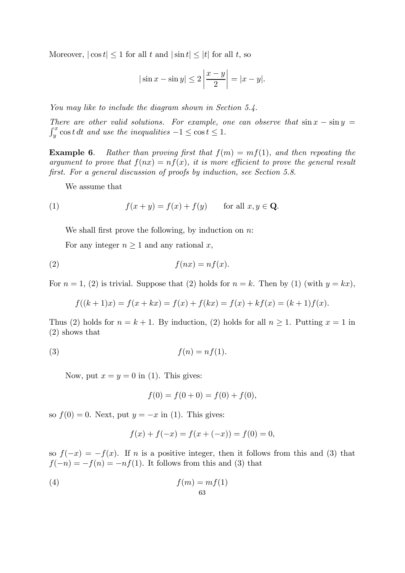Moreover,  $|\cos t| \leq 1$  for all t and  $|\sin t| \leq |t|$  for all t, so

$$
|\sin x - \sin y| \le 2 \left| \frac{x - y}{2} \right| = |x - y|.
$$

You may like to include the diagram shown in Section 5.4.

There are other valid solutions. For example, one can observe that  $\sin x - \sin y =$  $y^x$  cost dt and use the inequalities  $-1 \le \cos t \le 1$ .

**Example 6.** Rather than proving first that  $f(m) = mf(1)$ , and then repeating the argument to prove that  $f(nx) = nf(x)$ , it is more efficient to prove the general result first. For a general discussion of proofs by induction, see Section 5.8.

We assume that

(1) 
$$
f(x+y) = f(x) + f(y) \quad \text{for all } x, y \in \mathbf{Q}.
$$

We shall first prove the following, by induction on  $n$ :

For any integer  $n \geq 1$  and any rational x,

$$
(2) \t f(nx) = nf(x).
$$

For  $n = 1$ , (2) is trivial. Suppose that (2) holds for  $n = k$ . Then by (1) (with  $y = kx$ ),

$$
f((k+1)x) = f(x + kx) = f(x) + f(kx) = f(x) + kf(x) = (k+1)f(x).
$$

Thus (2) holds for  $n = k + 1$ . By induction, (2) holds for all  $n \ge 1$ . Putting  $x = 1$  in (2) shows that

$$
(3) \t\t f(n) = nf(1).
$$

Now, put  $x = y = 0$  in (1). This gives:

$$
f(0) = f(0+0) = f(0) + f(0),
$$

so  $f(0) = 0$ . Next, put  $y = -x$  in (1). This gives:

$$
f(x) + f(-x) = f(x + (-x)) = f(0) = 0,
$$

so  $f(-x) = -f(x)$ . If n is a positive integer, then it follows from this and (3) that  $f(-n) = -f(n) = -nf(1)$ . It follows from this and (3) that

$$
f(m) = mf(1)
$$
  
63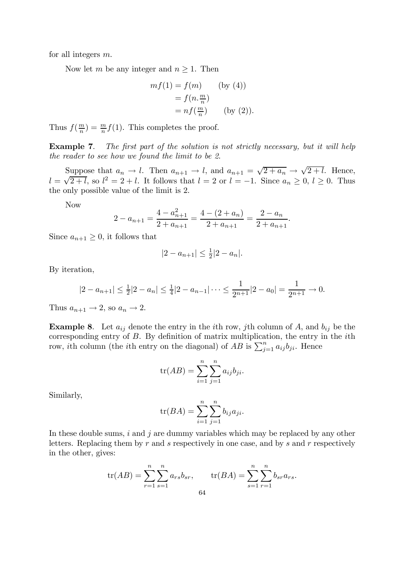for all integers m.

Now let m be any integer and  $n \geq 1$ . Then

$$
mf(1) = f(m) \qquad (by (4))
$$

$$
= f(n.\frac{m}{n})
$$

$$
= nf(\frac{m}{n}) \qquad (by (2)).
$$

Thus  $f(\frac{m}{n}) = \frac{m}{n}f(1)$ . This completes the proof.

Example 7. The first part of the solution is not strictly necessary, but it will help the reader to see how we found the limit to be 2.

Suppose that  $a_n \to l$ . Then  $a_{n+1} \to l$ , and  $a_{n+1} = \sqrt{2 + a_n} \to \sqrt{2 + l}$ . Hence,  $l = \sqrt{2+l}$ , so  $l^2 = 2+l$ . It follows that  $l = 2$  or  $l = -1$ . Since  $a_n \ge 0$ ,  $l \ge 0$ . Thus the only possible value of the limit is 2.

Now

$$
2 - a_{n+1} = \frac{4 - a_{n+1}^2}{2 + a_{n+1}} = \frac{4 - (2 + a_n)}{2 + a_{n+1}} = \frac{2 - a_n}{2 + a_{n+1}}.
$$

Since  $a_{n+1} \geq 0$ , it follows that

$$
|2 - a_{n+1}| \le \frac{1}{2}|2 - a_n|.
$$

By iteration,

$$
|2 - a_{n+1}| \le \frac{1}{2}|2 - a_n| \le \frac{1}{4}|2 - a_{n-1}| \cdots \le \frac{1}{2^{n+1}}|2 - a_0| = \frac{1}{2^{n+1}} \to 0.
$$

Thus  $a_{n+1} \rightarrow 2$ , so  $a_n \rightarrow 2$ .

**Example 8.** Let  $a_{ij}$  denote the entry in the *i*th row, *j*th column of A, and  $b_{ij}$  be the corresponding entry of B. By definition of matrix multiplication, the entry in the ith row, *i*th column (the *i*th entry on the diagonal) of AB is  $\sum_{j=1}^{n} a_{ij} b_{ji}$ . Hence

$$
\operatorname{tr}(AB) = \sum_{i=1}^{n} \sum_{j=1}^{n} a_{ij} b_{ji}.
$$

Similarly,

$$
tr(BA) = \sum_{i=1}^{n} \sum_{j=1}^{n} b_{ij} a_{ji}.
$$

In these double sums,  $i$  and  $j$  are dummy variables which may be replaced by any other letters. Replacing them by  $r$  and  $s$  respectively in one case, and by  $s$  and  $r$  respectively in the other, gives:

$$
\text{tr}(AB) = \sum_{r=1}^{n} \sum_{s=1}^{n} a_{rs} b_{sr}, \qquad \text{tr}(BA) = \sum_{s=1}^{n} \sum_{r=1}^{n} b_{sr} a_{rs}.
$$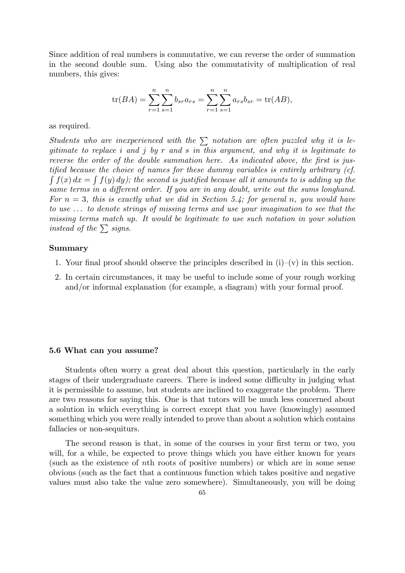Since addition of real numbers is commutative, we can reverse the order of summation in the second double sum. Using also the commutativity of multiplication of real numbers, this gives:

$$
\text{tr}(BA) = \sum_{r=1}^{n} \sum_{s=1}^{n} b_{sr} a_{rs} = \sum_{r=1}^{n} \sum_{s=1}^{n} a_{rs} b_{sr} = \text{tr}(AB),
$$

as required.

Students who are inexperienced with the  $\sum$  notation are often puzzled why it is legitimate to replace i and j by r and s in this argument, and why it is legitimate to reverse the order of the double summation here. As indicated above, the first is justified because the choice of names for these dummy variables is entirely arbitrary (cf.  $\int f(x) dx = \int f(y) dy$ ; the second is justified because all it amounts to is adding up the same terms in a different order. If you are in any doubt, write out the sums longhand. For  $n = 3$ , this is exactly what we did in Section 5.4; for general n, you would have to use ... to denote strings of missing terms and use your imagination to see that the missing terms match up. It would be legitimate to use such notation in your solution instead of the  $\sum$  signs.

#### Summary

- 1. Your final proof should observe the principles described in  $(i)-(v)$  in this section.
- 2. In certain circumstances, it may be useful to include some of your rough working and/or informal explanation (for example, a diagram) with your formal proof.

#### 5.6 What can you assume?

Students often worry a great deal about this question, particularly in the early stages of their undergraduate careers. There is indeed some difficulty in judging what it is permissible to assume, but students are inclined to exaggerate the problem. There are two reasons for saying this. One is that tutors will be much less concerned about a solution in which everything is correct except that you have (knowingly) assumed something which you were really intended to prove than about a solution which contains fallacies or non-sequiturs.

The second reason is that, in some of the courses in your first term or two, you will, for a while, be expected to prove things which you have either known for years (such as the existence of nth roots of positive numbers) or which are in some sense obvious (such as the fact that a continuous function which takes positive and negative values must also take the value zero somewhere). Simultaneously, you will be doing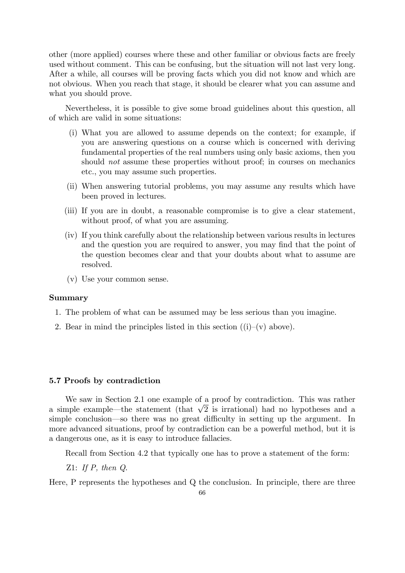other (more applied) courses where these and other familiar or obvious facts are freely used without comment. This can be confusing, but the situation will not last very long. After a while, all courses will be proving facts which you did not know and which are not obvious. When you reach that stage, it should be clearer what you can assume and what you should prove.

Nevertheless, it is possible to give some broad guidelines about this question, all of which are valid in some situations:

- (i) What you are allowed to assume depends on the context; for example, if you are answering questions on a course which is concerned with deriving fundamental properties of the real numbers using only basic axioms, then you should *not* assume these properties without proof; in courses on mechanics etc., you may assume such properties.
- (ii) When answering tutorial problems, you may assume any results which have been proved in lectures.
- (iii) If you are in doubt, a reasonable compromise is to give a clear statement, without proof, of what you are assuming.
- (iv) If you think carefully about the relationship between various results in lectures and the question you are required to answer, you may find that the point of the question becomes clear and that your doubts about what to assume are resolved.
- (v) Use your common sense.

## Summary

- 1. The problem of what can be assumed may be less serious than you imagine.
- 2. Bear in mind the principles listed in this section  $((i)–(v)$  above).

#### 5.7 Proofs by contradiction

We saw in Section 2.1 one example of a proof by contradiction. This was rather a simple example—the statement (that  $\sqrt{2}$  is irrational) had no hypotheses and a simple conclusion–so there was no great difficulty in setting up the argument. In more advanced situations, proof by contradiction can be a powerful method, but it is a dangerous one, as it is easy to introduce fallacies.

Recall from Section 4.2 that typically one has to prove a statement of the form:

Z1: If  $P$ , then  $Q$ .

Here, P represents the hypotheses and Q the conclusion. In principle, there are three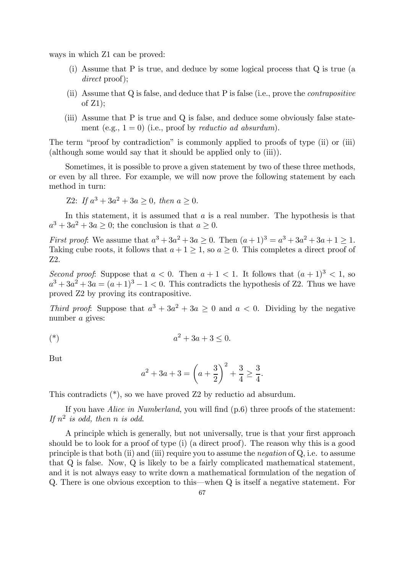ways in which Z1 can be proved:

- (i) Assume that P is true, and deduce by some logical process that Q is true (a direct proof);
- (ii) Assume that Q is false, and deduce that P is false (i.e., prove the contrapositive of Z1);
- (iii) Assume that P is true and Q is false, and deduce some obviously false statement (e.g.,  $1 = 0$ ) (i.e., proof by *reductio ad absurdum*).

The term "proof by contradiction" is commonly applied to proofs of type (ii) or (iii) (although some would say that it should be applied only to (iii)).

Sometimes, it is possible to prove a given statement by two of these three methods, or even by all three. For example, we will now prove the following statement by each method in turn:

Z2: If 
$$
a^3 + 3a^2 + 3a \ge 0
$$
, then  $a \ge 0$ .

In this statement, it is assumed that  $a$  is a real number. The hypothesis is that  $a^3 + 3a^2 + 3a > 0$ ; the conclusion is that  $a \ge 0$ .

*First proof*: We assume that  $a^3 + 3a^2 + 3a \ge 0$ . Then  $(a+1)^3 = a^3 + 3a^2 + 3a + 1 \ge 1$ . Taking cube roots, it follows that  $a + 1 \geq 1$ , so  $a \geq 0$ . This completes a direct proof of Z2.

Second proof: Suppose that  $a < 0$ . Then  $a + 1 < 1$ . It follows that  $(a + 1)^3 < 1$ , so  $a^3 + 3a^2 + 3a = (a+1)^3 - 1 < 0$ . This contradicts the hypothesis of Z2. Thus we have proved Z2 by proving its contrapositive.

Third proof: Suppose that  $a^3 + 3a^2 + 3a \ge 0$  and  $a < 0$ . Dividing by the negative number a gives:

(\*) 
$$
a^2 + 3a + 3 \le 0
$$
.

But

$$
a^{2} + 3a + 3 = \left(a + \frac{3}{2}\right)^{2} + \frac{3}{4} \ge \frac{3}{4}.
$$

This contradicts (\*), so we have proved Z2 by reductio ad absurdum.

If you have Alice in Numberland, you will find (p.6) three proofs of the statement: If  $n^2$  is odd, then n is odd.

A principle which is generally, but not universally, true is that your first approach should be to look for a proof of type (i) (a direct proof). The reason why this is a good principle is that both (ii) and (iii) require you to assume the *negation* of  $Q$ , i.e. to assume that Q is false. Now, Q is likely to be a fairly complicated mathematical statement, and it is not always easy to write down a mathematical formulation of the negation of Q. There is one obvious exception to this–when Q is itself a negative statement. For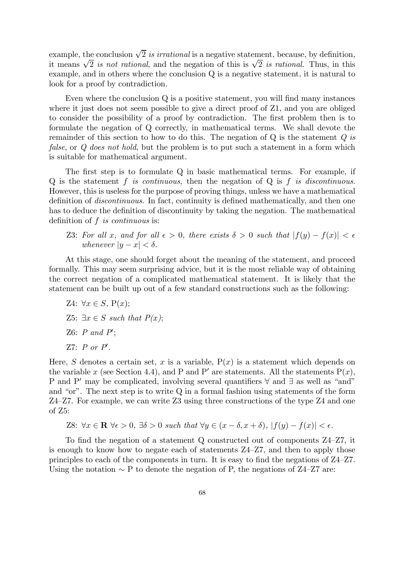example, the conclusion  $\sqrt{2}$  is irrational is a negative statement, because, by definition, it means  $\sqrt{2}$  is not rational, and the negation of this is  $\sqrt{2}$  is rational. Thus, in this example, and in others where the conclusion Q is a negative statement, it is natural to look for a proof by contradiction.

Even where the conclusion Q is a positive statement, you will find many instances where it just does not seem possible to give a direct proof of  $Z_1$ , and you are obliged to consider the possibility of a proof by contradiction. The first problem then is to formulate the negation of Q correctly, in mathematical terms. We shall devote the remainder of this section to how to do this. The negation of  $Q$  is the statement  $Q$  is false, or Q does not hold, but the problem is to put such a statement in a form which is suitable for mathematical argument.

The first step is to formulate Q in basic mathematical terms. For example, if  $Q$  is the statement f is continuous, then the negation of  $Q$  is f is discontinuous. However, this is useless for the purpose of proving things, unless we have a mathematical definition of discontinuous. In fact, continuity is defined mathematically, and then one has to deduce the definition of discontinuity by taking the negation. The mathematical definition of f is continuous is:

Z3: For all x, and for all  $\epsilon > 0$ , there exists  $\delta > 0$  such that  $|f(y) - f(x)| < \epsilon$ whenever  $|y - x| < \delta$ .

At this stage, one should forget about the meaning of the statement, and proceed formally. This may seem surprising advice, but it is the most reliable way of obtaining the correct negation of a complicated mathematical statement. It is likely that the statement can be built up out of a few standard constructions such as the following:

Z4:  $\forall x \in S$ ,  $P(x)$ ; Z5:  $\exists x \in S$  such that  $P(x)$ ;  $Z6: P \text{ and } P';$  $Z7: P \text{ or } P'.$ 

Here, S denotes a certain set, x is a variable,  $P(x)$  is a statement which depends on the variable x (see Section 4.4), and P and P' are statements. All the statements  $P(x)$ , P and P' may be complicated, involving several quantifiers  $\forall$  and  $\exists$  as well as "and" and "or". The next step is to write Q in a formal fashion using statements of the form Z4—Z7. For example, we can write Z3 using three constructions of the type Z4 and one of Z5:

Z8:  $\forall x \in \mathbb{R} \ \forall \epsilon > 0, \exists \delta > 0 \ \text{such that } \forall y \in (x - \delta, x + \delta), |f(y) - f(x)| < \epsilon.$ 

To find the negation of a statement Q constructed out of components Z4—Z7, it is enough to know how to negate each of statements Z4—Z7, and then to apply those principles to each of the components in turn. It is easy to find the negations of Z4—Z7. Using the notation  $\sim$  P to denote the negation of P, the negations of Z4–Z7 are: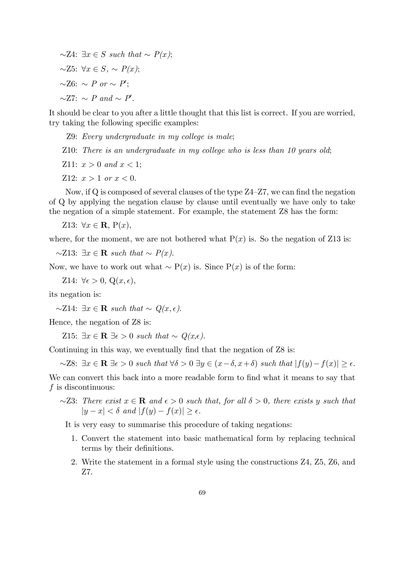$∼Z4: \exists x \in S \text{ such that } \sim P(x);$  $∼Z5: \forall x \in S, ~\sim P(x);$  $\sim$ Z6:  $\sim P$  or  $\sim P'$ ;  $\sim$ Z7:  $\sim P$  and  $\sim P'$ .

It should be clear to you after a little thought that this list is correct. If you are worried, try taking the following specific examples:

Z9: Every undergraduate in my college is male;

Z10: There is an undergraduate in my college who is less than 10 years old;

Z11:  $x > 0$  and  $x < 1$ ;

Z12:  $x > 1$  or  $x < 0$ .

Now, if Q is composed of several clauses of the type Z4—Z7, we can find the negation of Q by applying the negation clause by clause until eventually we have only to take the negation of a simple statement. For example, the statement Z8 has the form:

Z13:  $\forall x \in \mathbf{R}, P(x)$ ,

where, for the moment, we are not bothered what  $P(x)$  is. So the negation of Z13 is:

 $\sim$ Z13: ∃x ∈ **R** such that  $\sim$  P(x).

Now, we have to work out what  $\sim P(x)$  is. Since  $P(x)$  is of the form:

Z14:  $\forall \epsilon > 0, Q(x, \epsilon),$ 

its negation is:

 $\sim Z14$ : ∃x ∈ **R** such that  $\sim Q(x, \epsilon)$ .

Hence, the negation of Z8 is:

Z15:  $\exists x \in \mathbf{R} \exists \epsilon > 0$  such that  $\sim Q(x, \epsilon)$ .

Continuing in this way, we eventually find that the negation of Z8 is:

 $~\sim$ Z8:  $\exists x \in \mathbf{R} \exists \epsilon > 0$  such that  $\forall \delta > 0 \exists y \in (x - \delta, x + \delta)$  such that  $|f(y) - f(x)| \geq \epsilon$ .

We can convert this back into a more readable form to find what it means to say that  $f$  is discontinuous:

 $~\sim$ Z3: There exist  $x \in \mathbf{R}$  and  $\epsilon > 0$  such that, for all  $\delta > 0$ , there exists y such that  $|y - x| < \delta$  and  $|f(y) - f(x)| > \epsilon$ .

It is very easy to summarise this procedure of taking negations:

- 1. Convert the statement into basic mathematical form by replacing technical terms by their definitions.
- 2. Write the statement in a formal style using the constructions Z4, Z5, Z6, and Z7.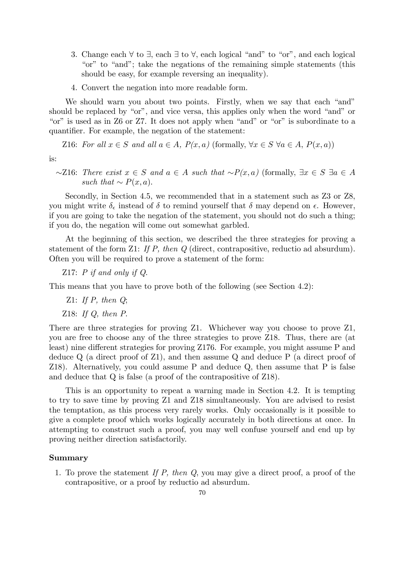- 3. Change each ∀ to ∃, each ∃ to ∀, each logical "and" to "or", and each logical "or" to "and"; take the negations of the remaining simple statements (this should be easy, for example reversing an inequality).
- 4. Convert the negation into more readable form.

We should warn you about two points. Firstly, when we say that each "and" should be replaced by "or", and vice versa, this applies only when the word "and" or "or" is used as in Z6 or Z7. It does not apply when "and" or "or" is subordinate to a quantifier. For example, the negation of the statement:

Z16: For all  $x \in S$  and all  $a \in A$ ,  $P(x, a)$  (formally,  $\forall x \in S$   $\forall a \in A$ ,  $P(x, a)$ )

is:

 $~\sim$ Z16: There exist  $x \in S$  and  $a \in A$  such that  $~\sim P(x, a)$  (formally,  $\exists x \in S \exists a \in A$ such that  $\sim P(x,a)$ .

Secondly, in Section 4.5, we recommended that in a statement such as Z3 or Z8, you might write  $\delta_{\epsilon}$  instead of  $\delta$  to remind yourself that  $\delta$  may depend on  $\epsilon$ . However, if you are going to take the negation of the statement, you should not do such a thing; if you do, the negation will come out somewhat garbled.

At the beginning of this section, we described the three strategies for proving a statement of the form Z1: If P, then Q (direct, contrapositive, reductio ad absurdum). Often you will be required to prove a statement of the form:

Z17: P if and only if Q.

This means that you have to prove both of the following (see Section 4.2):

- Z1: If  $P$ , then  $Q$ ;
- Z18: If Q, then P.

There are three strategies for proving Z1. Whichever way you choose to prove Z1, you are free to choose any of the three strategies to prove Z18. Thus, there are (at least) nine different strategies for proving Z176. For example, you might assume P and deduce Q (a direct proof of Z1), and then assume Q and deduce P (a direct proof of Z18). Alternatively, you could assume P and deduce Q, then assume that P is false and deduce that Q is false (a proof of the contrapositive of Z18).

This is an opportunity to repeat a warning made in Section 4.2. It is tempting to try to save time by proving Z1 and Z18 simultaneously. You are advised to resist the temptation, as this process very rarely works. Only occasionally is it possible to give a complete proof which works logically accurately in both directions at once. In attempting to construct such a proof, you may well confuse yourself and end up by proving neither direction satisfactorily.

## Summary

1. To prove the statement If P, then Q, you may give a direct proof, a proof of the contrapositive, or a proof by reductio ad absurdum.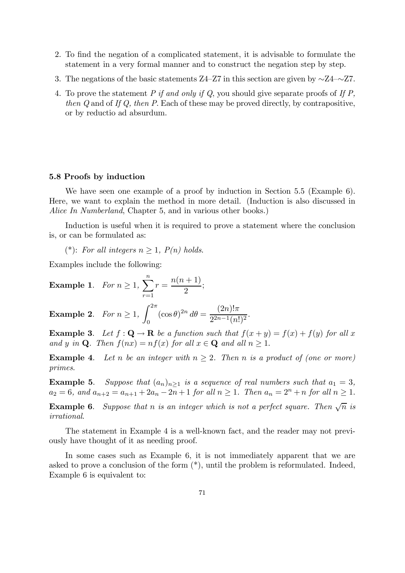- 2. To find the negation of a complicated statement, it is advisable to formulate the statement in a very formal manner and to construct the negation step by step.
- 3. The negations of the basic statements Z4—Z7 in this section are given by ∼Z4—∼Z7.
- 4. To prove the statement P if and only if Q, you should give separate proofs of If P, then Q and of If Q, then P. Each of these may be proved directly, by contrapositive, or by reductio ad absurdum.

#### 5.8 Proofs by induction

We have seen one example of a proof by induction in Section 5.5 (Example 6). Here, we want to explain the method in more detail. (Induction is also discussed in Alice In Numberland, Chapter 5, and in various other books.)

Induction is useful when it is required to prove a statement where the conclusion is, or can be formulated as:

(\*): For all integers  $n \geq 1$ ,  $P(n)$  holds.

Examples include the following:

**Example 1.** For 
$$
n \ge 1
$$
,  $\sum_{r=1}^{n} r = \frac{n(n+1)}{2}$ ;

Example 2. For  $n \geq 1$ ,  $\int^{2\pi}$  $\boldsymbol{0}$  $(\cos \theta)^{2n} d\theta = \frac{(2n)! \pi}{2^{2n-1} (1)}$  $\frac{(2n)}{2^{2n-1}(n!)^2}$ .

**Example 3.** Let  $f: \mathbf{Q} \to \mathbf{R}$  be a function such that  $f(x+y) = f(x) + f(y)$  for all x and y in Q. Then  $f(nx) = nf(x)$  for all  $x \in \mathbf{Q}$  and all  $n \geq 1$ .

**Example 4.** Let n be an integer with  $n \geq 2$ . Then n is a product of (one or more) primes.

**Example 5.** Suppose that  $(a_n)_{n\geq 1}$  is a sequence of real numbers such that  $a_1 = 3$ ,  $a_2 = 6$ , and  $a_{n+2} = a_{n+1} + 2a_n - 2n + 1$  for all  $n \ge 1$ . Then  $a_n = 2^n + n$  for all  $n \ge 1$ .

**Example 6.** Suppose that n is an integer which is not a perfect square. Then  $\sqrt{n}$  is irrational.

The statement in Example 4 is a well-known fact, and the reader may not previously have thought of it as needing proof.

In some cases such as Example 6, it is not immediately apparent that we are asked to prove a conclusion of the form (\*), until the problem is reformulated. Indeed, Example 6 is equivalent to: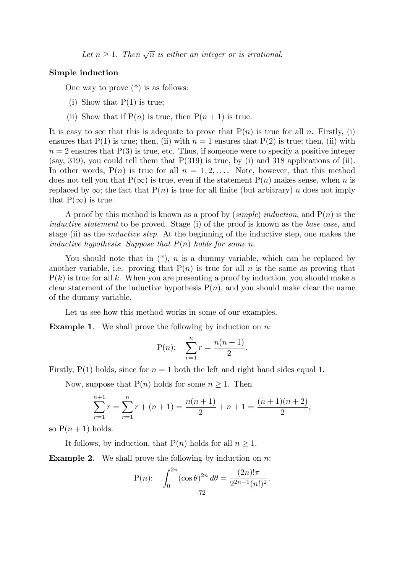Let  $n \geq 1$ . Then  $\sqrt{n}$  is either an integer or is irrational.

#### Simple induction

One way to prove  $(*)$  is as follows:

- (i) Show that  $P(1)$  is true;
- (ii) Show that if  $P(n)$  is true, then  $P(n + 1)$  is true.

It is easy to see that this is adequate to prove that  $P(n)$  is true for all n. Firstly, (i) ensures that P(1) is true; then, (ii) with  $n = 1$  ensures that P(2) is true; then, (ii) with  $n = 2$  ensures that  $P(3)$  is true, etc. Thus, if someone were to specify a positive integer (say, 319), you could tell them that  $P(319)$  is true, by (i) and 318 applications of (ii). In other words,  $P(n)$  is true for all  $n = 1, 2, \ldots$ . Note, however, that this method does not tell you that  $P(\infty)$  is true, even if the statement  $P(n)$  makes sense, when n is replaced by  $\infty$ ; the fact that  $P(n)$  is true for all finite (but arbitrary) n does not imply that  $P(\infty)$  is true.

A proof by this method is known as a proof by (simple) induction, and  $P(n)$  is the inductive statement to be proved. Stage (i) of the proof is known as the base case, and stage (ii) as the inductive step. At the beginning of the inductive step, one makes the inductive hypothesis: Suppose that  $P(n)$  holds for some n.

You should note that in  $(*)$ , *n* is a dummy variable, which can be replaced by another variable, i.e. proving that  $P(n)$  is true for all n is the same as proving that  $P(k)$  is true for all k. When you are presenting a proof by induction, you should make a clear statement of the inductive hypothesis  $P(n)$ , and you should make clear the name of the dummy variable.

Let us see how this method works in some of our examples.

**Example 1.** We shall prove the following by induction on  $n$ :

P(n): 
$$
\sum_{r=1}^{n} r = \frac{n(n+1)}{2}.
$$

Firstly,  $P(1)$  holds, since for  $n = 1$  both the left and right hand sides equal 1.

Now, suppose that  $P(n)$  holds for some  $n \geq 1$ . Then

$$
\sum_{r=1}^{n+1} r = \sum_{r=1}^{n} r + (n+1) = \frac{n(n+1)}{2} + n + 1 = \frac{(n+1)(n+2)}{2},
$$

so  $P(n+1)$  holds.

It follows, by induction, that  $P(n)$  holds for all  $n \geq 1$ .

**Example 2.** We shall prove the following by induction on  $n$ :

$$
P(n): \int_0^{2\pi} (\cos \theta)^{2n} d\theta = \frac{(2n)! \pi}{2^{2n-1} (n!)^2}.
$$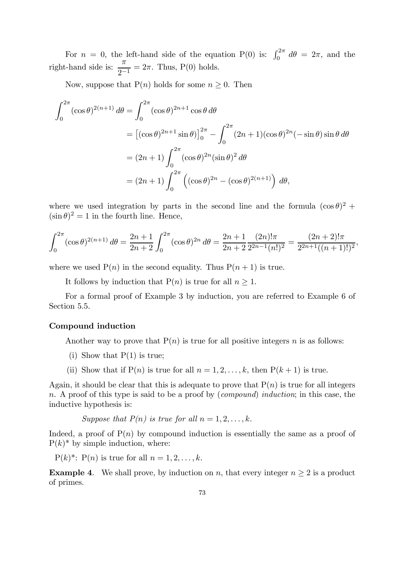For  $n = 0$ , the left-hand side of the equation P(0) is:  $\int_0^{2\pi} d\theta = 2\pi$ , and the right-hand side is:  $\frac{\pi}{2}$  $\frac{\pi}{2^{-1}} = 2\pi$ . Thus, P(0) holds.

Now, suppose that  $P(n)$  holds for some  $n \geq 0$ . Then

$$
\int_0^{2\pi} (\cos \theta)^{2(n+1)} d\theta = \int_0^{2\pi} (\cos \theta)^{2n+1} \cos \theta d\theta
$$
  
=  $[(\cos \theta)^{2n+1} \sin \theta]_0^{2\pi} - \int_0^{2\pi} (2n+1)(\cos \theta)^{2n} (-\sin \theta) \sin \theta d\theta$   
=  $(2n+1) \int_0^{2\pi} (\cos \theta)^{2n} (\sin \theta)^2 d\theta$   
=  $(2n+1) \int_0^{2\pi} ((\cos \theta)^{2n} - (\cos \theta)^{2(n+1)}) d\theta,$ 

where we used integration by parts in the second line and the formula  $(\cos \theta)^2$  +  $(\sin \theta)^2 = 1$  in the fourth line. Hence,

$$
\int_0^{2\pi} (\cos \theta)^{2(n+1)} d\theta = \frac{2n+1}{2n+2} \int_0^{2\pi} (\cos \theta)^{2n} d\theta = \frac{2n+1}{2n+2} \frac{(2n)! \pi}{2^{2n-1} (n!)^2} = \frac{(2n+2)! \pi}{2^{2n+1} ((n+1)!)^2},
$$

where we used  $P(n)$  in the second equality. Thus  $P(n + 1)$  is true.

It follows by induction that  $P(n)$  is true for all  $n \geq 1$ .

For a formal proof of Example 3 by induction, you are referred to Example 6 of Section 5.5.

#### Compound induction

Another way to prove that  $P(n)$  is true for all positive integers n is as follows:

- (i) Show that  $P(1)$  is true;
- (ii) Show that if  $P(n)$  is true for all  $n = 1, 2, \ldots, k$ , then  $P(k + 1)$  is true.

Again, it should be clear that this is adequate to prove that  $P(n)$  is true for all integers n. A proof of this type is said to be a proof by (*compound*) *induction*; in this case, the inductive hypothesis is:

Suppose that  $P(n)$  is true for all  $n = 1, 2, \ldots, k$ .

Indeed, a proof of  $P(n)$  by compound induction is essentially the same as a proof of  $P(k)^*$  by simple induction, where:

 $P(k)^*$ :  $P(n)$  is true for all  $n = 1, 2, \ldots, k$ .

**Example 4.** We shall prove, by induction on n, that every integer  $n \geq 2$  is a product of primes.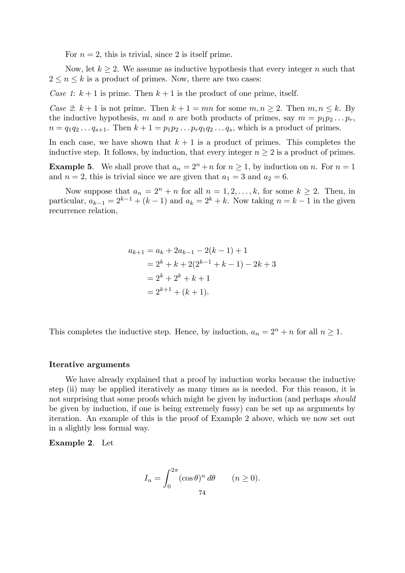For  $n = 2$ , this is trivial, since 2 is itself prime.

Now, let  $k \geq 2$ . We assume as inductive hypothesis that every integer n such that  $2 \leq n \leq k$  is a product of primes. Now, there are two cases:

Case 1:  $k + 1$  is prime. Then  $k + 1$  is the product of one prime, itself.

Case 2:  $k+1$  is not prime. Then  $k+1= mn$  for some  $m, n \ge 2$ . Then  $m, n \le k$ . By the inductive hypothesis, m and n are both products of primes, say  $m = p_1p_2 \ldots p_r$ ,  $n = q_1 q_2 ... q_{s+1}$ . Then  $k + 1 = p_1 p_2 ... p_r q_1 q_2 ... q_s$ , which is a product of primes.

In each case, we have shown that  $k + 1$  is a product of primes. This completes the inductive step. It follows, by induction, that every integer  $n \geq 2$  is a product of primes.

**Example 5.** We shall prove that  $a_n = 2^n + n$  for  $n \ge 1$ , by induction on n. For  $n = 1$ and  $n = 2$ , this is trivial since we are given that  $a_1 = 3$  and  $a_2 = 6$ .

Now suppose that  $a_n = 2^n + n$  for all  $n = 1, 2, ..., k$ , for some  $k \ge 2$ . Then, in particular,  $a_{k-1} = 2^{k-1} + (k-1)$  and  $a_k = 2^k + k$ . Now taking  $n = k-1$  in the given recurrence relation,

$$
a_{k+1} = a_k + 2a_{k-1} - 2(k - 1) + 1
$$
  
=  $2^k + k + 2(2^{k-1} + k - 1) - 2k + 3$   
=  $2^k + 2^k + k + 1$   
=  $2^{k+1} + (k + 1)$ .

This completes the inductive step. Hence, by induction,  $a_n = 2^n + n$  for all  $n \ge 1$ .

#### Iterative arguments

We have already explained that a proof by induction works because the inductive step (ii) may be applied iteratively as many times as is needed. For this reason, it is not surprising that some proofs which might be given by induction (and perhaps *should* be given by induction, if one is being extremely fussy) can be set up as arguments by iteration. An example of this is the proof of Example 2 above, which we now set out in a slightly less formal way.

Example 2. Let

$$
I_n = \int_0^{2\pi} (\cos \theta)^n d\theta \qquad (n \ge 0).
$$
  
74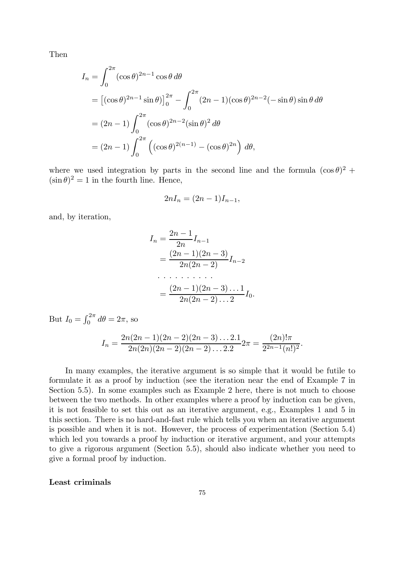Then

$$
I_n = \int_0^{2\pi} (\cos \theta)^{2n-1} \cos \theta \, d\theta
$$
  
=  $[(\cos \theta)^{2n-1} \sin \theta]_0^{2\pi} - \int_0^{2\pi} (2n-1)(\cos \theta)^{2n-2}(-\sin \theta) \sin \theta \, d\theta$   
=  $(2n-1) \int_0^{2\pi} (\cos \theta)^{2n-2} (\sin \theta)^2 \, d\theta$   
=  $(2n-1) \int_0^{2\pi} ((\cos \theta)^{2(n-1)} - (\cos \theta)^{2n}) \, d\theta,$ 

where we used integration by parts in the second line and the formula  $(\cos \theta)^2$  +  $(\sin \theta)^2 = 1$  in the fourth line. Hence,

$$
2nI_n = (2n - 1)I_{n-1},
$$

and, by iteration,

$$
I_n = \frac{2n-1}{2n} I_{n-1}
$$
  
= 
$$
\frac{(2n-1)(2n-3)}{2n(2n-2)} I_{n-2}
$$
  
= 
$$
\frac{(2n-1)(2n-3)...1}{2n(2n-2)...2} I_0.
$$

But  $I_0 = \int_0^{2\pi} d\theta = 2\pi$ , so

$$
I_n = \frac{2n(2n-1)(2n-2)(2n-3)\dots 2.1}{2n(2n)(2n-2)(2n-2)\dots 2.2}2\pi = \frac{(2n)! \pi}{2^{2n-1}(n!)^2}.
$$

In many examples, the iterative argument is so simple that it would be futile to formulate it as a proof by induction (see the iteration near the end of Example 7 in Section 5.5). In some examples such as Example 2 here, there is not much to choose between the two methods. In other examples where a proof by induction can be given, it is not feasible to set this out as an iterative argument, e.g., Examples 1 and 5 in this section. There is no hard-and-fast rule which tells you when an iterative argument is possible and when it is not. However, the process of experimentation (Section 5.4) which led you towards a proof by induction or iterative argument, and your attempts to give a rigorous argument (Section 5.5), should also indicate whether you need to give a formal proof by induction.

## Least criminals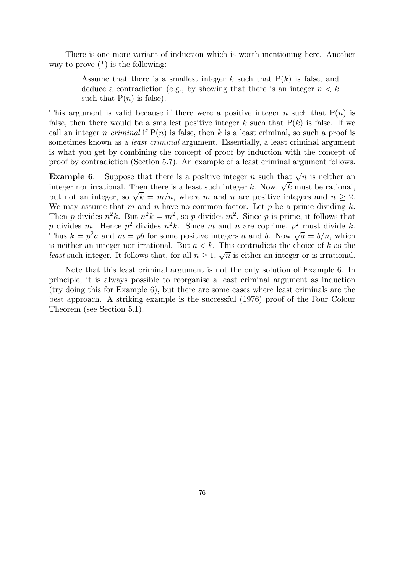There is one more variant of induction which is worth mentioning here. Another way to prove  $(*)$  is the following:

> Assume that there is a smallest integer k such that  $P(k)$  is false, and deduce a contradiction (e.g., by showing that there is an integer  $n < k$ such that  $P(n)$  is false).

This argument is valid because if there were a positive integer n such that  $P(n)$  is false, then there would be a smallest positive integer k such that  $P(k)$  is false. If we call an integer *n criminal* if  $P(n)$  is false, then k is a least criminal, so such a proof is sometimes known as a *least criminal* argument. Essentially, a least criminal argument is what you get by combining the concept of proof by induction with the concept of proof by contradiction (Section 5.7). An example of a least criminal argument follows.

**Example 6.** Suppose that there is a positive integer n such that  $\sqrt{n}$  is neither an integer nor irrational. Then there is a least such integer k. Now,  $\sqrt{k}$  must be rational, but not an integer, so  $\sqrt{k} = m/n$ , where m and n are positive integers and  $n \geq 2$ . We may assume that m and n have no common factor. Let p be a prime dividing  $k$ . Then p divides  $n^2k$ . But  $n^2k = m^2$ , so p divides  $m^2$ . Since p is prime, it follows that p divides m. Hence  $p^2$  divides  $n^2k$ . Since m and n are coprime,  $p^2$  must divide k. Thus  $k = p^2 a$  and  $m = pb$  for some positive integers a and b. Now  $\sqrt{a} = b/n$ , which is neither an integer nor irrational. But  $a < k$ . This contradicts the choice of k as the least such integer. It follows that, for all  $n \geq 1$ ,  $\sqrt{n}$  is either an integer or is irrational.

Note that this least criminal argument is not the only solution of Example 6. In principle, it is always possible to reorganise a least criminal argument as induction (try doing this for Example 6), but there are some cases where least criminals are the best approach. A striking example is the successful (1976) proof of the Four Colour Theorem (see Section 5.1).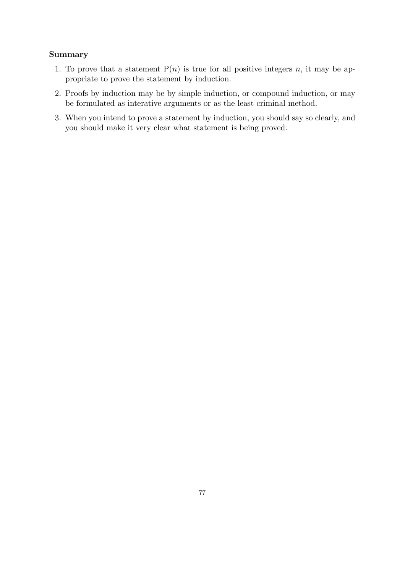# Summary

- 1. To prove that a statement  $P(n)$  is true for all positive integers n, it may be appropriate to prove the statement by induction.
- 2. Proofs by induction may be by simple induction, or compound induction, or may be formulated as interative arguments or as the least criminal method.
- 3. When you intend to prove a statement by induction, you should say so clearly, and you should make it very clear what statement is being proved.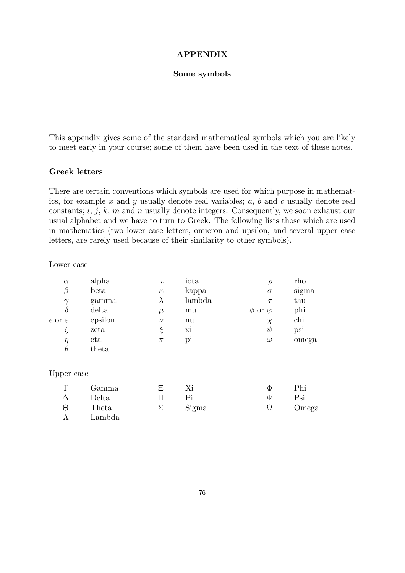## APPENDIX

#### Some symbols

This appendix gives some of the standard mathematical symbols which you are likely to meet early in your course; some of them have been used in the text of these notes.

## Greek letters

There are certain conventions which symbols are used for which purpose in mathematics, for example  $x$  and  $y$  usually denote real variables;  $a, b$  and  $c$  usually denote real constants;  $i, j, k, m$  and n usually denote integers. Consequently, we soon exhaust our usual alphabet and we have to turn to Greek. The following lists those which are used in mathematics (two lower case letters, omicron and upsilon, and several upper case letters, are rarely used because of their similarity to other symbols).

Lower case

| $\alpha$                    | alpha   | ı        | iota        |                     | rho   |
|-----------------------------|---------|----------|-------------|---------------------|-------|
| β                           | beta    | $\kappa$ | kappa       | $\sigma$            | sigma |
| $\gamma$                    | gamma   |          | lambda      | $\tau$              | tau   |
| $\delta$                    | delta   | $\mu$    | mu          | $\phi$ or $\varphi$ | phi   |
| $\epsilon$ or $\varepsilon$ | epsilon | $\nu$    | nu          | $\chi$              | chi   |
|                             | zeta    |          | X1          | ψ                   | psi   |
| $\eta$                      | eta     | π        | $\rm p_{1}$ | $\omega$            | omega |
| $\theta$                    | theta   |          |             |                     |       |

## Upper case

|          | Gamma  | Ξ        |       | O        | Phi   |
|----------|--------|----------|-------|----------|-------|
|          | Delta  |          |       | Ψ        | Psi   |
| $\Theta$ | Theta  | $\Sigma$ | Sigma | $\Omega$ | Omega |
|          | Lambda |          |       |          |       |